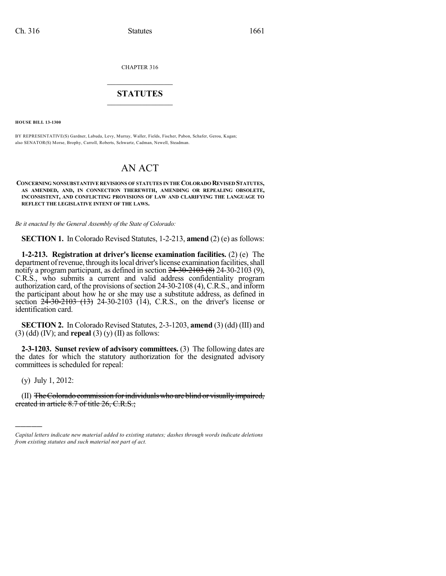CHAPTER 316

# $\mathcal{L}_\text{max}$  . The set of the set of the set of the set of the set of the set of the set of the set of the set of the set of the set of the set of the set of the set of the set of the set of the set of the set of the set **STATUTES**  $\_$   $\_$

**HOUSE BILL 13-1300**

BY REPRESENTATIVE(S) Gardner, Labuda, Levy, Murray, Waller, Fields, Fischer, Pabon, Schafer, Gerou, Kagan; also SENATOR(S) Morse, Brophy, Carroll, Roberts, Schwartz, Cadman, Newell, Steadman.

# AN ACT

**CONCERNING NONSUBSTANTIVE REVISIONS OF STATUTES IN THE COLORADO REVISED STATUTES, AS AMENDED, AND, IN CONNECTION THEREWITH, AMENDING OR REPEALING OBSOLETE, INCONSISTENT, AND CONFLICTING PROVISIONS OF LAW AND CLARIFYING THE LANGUAGE TO REFLECT THE LEGISLATIVE INTENT OF THE LAWS.**

*Be it enacted by the General Assembly of the State of Colorado:*

**SECTION 1.** In Colorado Revised Statutes, 1-2-213, **amend** (2) (e) as follows:

**1-2-213. Registration at driver's license examination facilities.** (2) (e) The department of revenue, through its local driver's license examination facilities, shall notify a program participant, as defined in section  $24-30-2103$  (8)  $24-30-2103$  (9), C.R.S., who submits a current and valid address confidentiality program authorization card, of the provisions of section  $24-30-2108$  (4), C.R.S., and inform the participant about how he or she may use a substitute address, as defined in section  $24-30-2103$  (13) 24-30-2103 (14), C.R.S., on the driver's license or identification card.

**SECTION 2.** In Colorado Revised Statutes, 2-3-1203, **amend** (3) (dd) (III) and (3) (dd) (IV); and **repeal** (3) (y) (II) as follows:

**2-3-1203. Sunset review of advisory committees.** (3) The following dates are the dates for which the statutory authorization for the designated advisory committees is scheduled for repeal:

(y) July 1, 2012:

)))))

(II) The Colorado commission for individuals who are blind or visually impaired, ereated in article 8.7 of title 26, C.R.S.;

*Capital letters indicate new material added to existing statutes; dashes through words indicate deletions from existing statutes and such material not part of act.*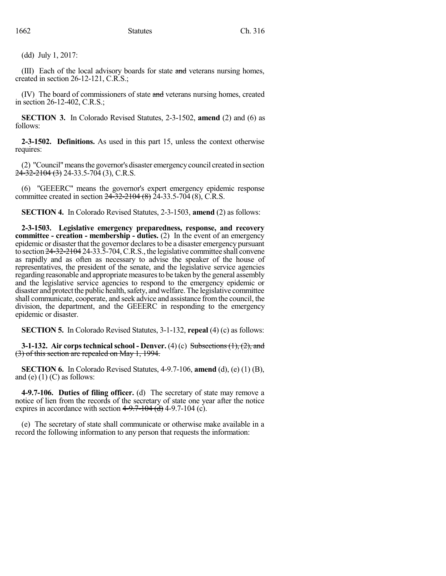(dd) July 1, 2017:

(III) Each of the local advisory boards for state and veterans nursing homes, created in section 26-12-121, C.R.S.;

(IV) The board of commissioners of state and veterans nursing homes, created in section 26-12-402, C.R.S.;

**SECTION 3.** In Colorado Revised Statutes, 2-3-1502, **amend** (2) and (6) as follows:

**2-3-1502. Definitions.** As used in this part 15, unless the context otherwise requires:

(2) "Council"meansthe governor's disaster emergencycouncil created in section  $24-32-2104(3)$  24-33.5-704 (3), C.R.S.

(6) "GEEERC" means the governor's expert emergency epidemic response committee created in section  $24\overline{-32\cdot -2104}$  (8)  $24\overline{-33.5\cdot 704}$  (8), C.R.S.

**SECTION 4.** In Colorado Revised Statutes, 2-3-1503, **amend** (2) as follows:

**2-3-1503. Legislative emergency preparedness, response, and recovery committee - creation - membership - duties.** (2) In the event of an emergency epidemic or disaster that the governor declares to be a disaster emergency pursuant to section 24-32-2104 24-33.5-704,C.R.S., the legislative committee shall convene as rapidly and as often as necessary to advise the speaker of the house of representatives, the president of the senate, and the legislative service agencies regarding reasonable and appropriate measures to be taken by the general assembly and the legislative service agencies to respond to the emergency epidemic or disaster and protect the public health, safety, and welfare. The legislative committee shall communicate, cooperate, and seek advice and assistance fromthe council, the division, the department, and the GEEERC in responding to the emergency epidemic or disaster.

**SECTION 5.** In Colorado Revised Statutes, 3-1-132, **repeal** (4) (c) as follows:

**3-1-132.** Air corps technical school - Denver. (4) (c) Subsections (1), (2), and (3) of this section are repealed on May 1, 1994.

**SECTION 6.** In Colorado Revised Statutes, 4-9.7-106, **amend** (d), (e) (1) (B), and (e)  $(1)$  (C) as follows:

**4-9.7-106. Duties of filing officer.** (d) The secretary of state may remove a notice of lien from the records of the secretary of state one year after the notice expires in accordance with section  $4-9.7-104$  (d) 4-9.7-104 (c).

(e) The secretary of state shall communicate or otherwise make available in a record the following information to any person that requests the information: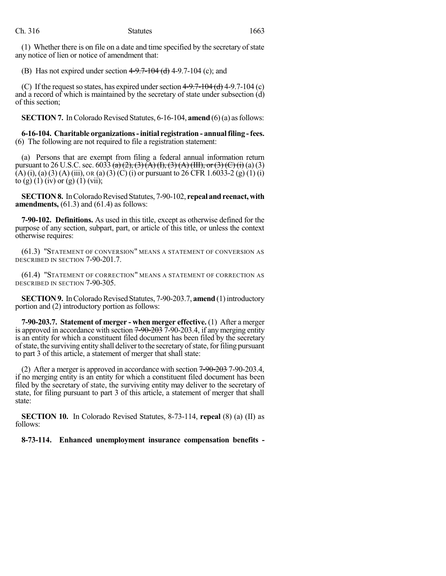(1) Whether there is on file on a date and time specified by the secretary of state any notice of lien or notice of amendment that:

(B) Has not expired under section  $4-9.7-104$  (d)  $4-9.7-104$  (c); and

(C) If the request so states, has expired under section  $4-9.7-104$  (d)  $4-9.7-104$  (c) and a record of which is maintained by the secretary of state under subsection (d) of this section;

**SECTION 7.** In Colorado Revised Statutes, 6-16-104, **amend** (6)(a) as follows:

**6-16-104. Charitable organizations-initial registration - annualfiling -fees.** (6) The following are not required to file a registration statement:

(a) Persons that are exempt from filing a federal annual information return pursuant to 26 U.S.C. sec. 6033 (a) (2), (3) (A) (I), (3) (A) (III), or (3) (C) (i) (a) (3) (A) (i), (a) (3) (A) (iii), OR (a) (3) (C) (i) or pursuant to 26 CFR 1.6033-2 (g) (1) (i) to (g) (1) (iv) or (g) (1) (vii);

**SECTION 8.** In Colorado Revised Statutes, 7-90-102, repeal and reenact, with **amendments,** (61.3) and (61.4) as follows:

**7-90-102. Definitions.** As used in this title, except as otherwise defined for the purpose of any section, subpart, part, or article of this title, or unless the context otherwise requires:

(61.3) "STATEMENT OF CONVERSION" MEANS A STATEMENT OF CONVERSION AS DESCRIBED IN SECTION 7-90-201.7.

(61.4) "STATEMENT OF CORRECTION" MEANS A STATEMENT OF CORRECTION AS DESCRIBED IN SECTION 7-90-305.

**SECTION 9.** In Colorado Revised Statutes, 7-90-203.7, **amend** (1) introductory portion and (2) introductory portion as follows:

**7-90-203.7. Statement of merger - when merger effective.** (1) After a merger is approved in accordance with section  $7\text{-}90\text{-}203$  7-90-203.4, if any merging entity is an entity for which a constituent filed document has been filed by the secretary of state, the surviving entity shall deliver to the secretary of state, for filing pursuant to part 3 of this article, a statement of merger that shall state:

(2) After a merger is approved in accordance with section 7-90-203 7-90-203.4, if no merging entity is an entity for which a constituent filed document has been filed by the secretary of state, the surviving entity may deliver to the secretary of state, for filing pursuant to part 3 of this article, a statement of merger that shall state:

**SECTION 10.** In Colorado Revised Statutes, 8-73-114, **repeal** (8) (a) (II) as follows:

**8-73-114. Enhanced unemployment insurance compensation benefits -**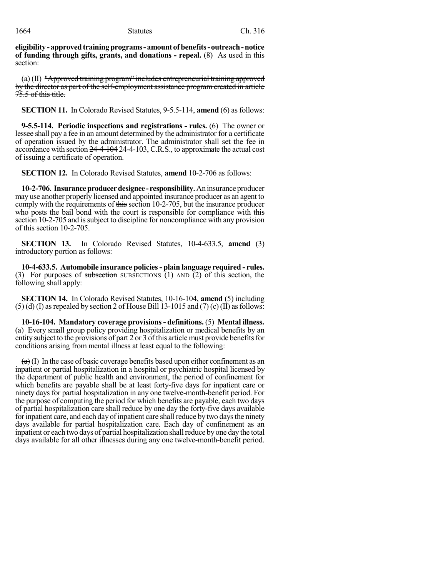**eligibility - approvedtrainingprograms- amount of benefits-outreach-notice of funding through gifts, grants, and donations - repeal.** (8) As used in this section:

(a) (II) "Approved training program" includes entrepreneurial training approved by the director as part of the self-employment assistance program created in article 75.5 of this title.

**SECTION 11.** In Colorado Revised Statutes, 9-5.5-114, **amend** (6) as follows:

**9-5.5-114. Periodic inspections and registrations - rules.** (6) The owner or lessee shall pay a fee in an amount determined by the administrator for a certificate of operation issued by the administrator. The administrator shall set the fee in accordance with section 24-4-104 24-4-103, C.R.S., to approximate the actual cost of issuing a certificate of operation.

**SECTION 12.** In Colorado Revised Statutes, **amend** 10-2-706 as follows:

**10-2-706. Insuranceproducerdesignee - responsibility.**Aninsuranceproducer may use another properly licensed and appointed insurance producer as an agent to comply with the requirements of this section 10-2-705, but the insurance producer who posts the bail bond with the court is responsible for compliance with this section 10-2-705 and is subject to discipline for noncompliance with any provision of this section  $10-2-705$ .

**SECTION 13.** In Colorado Revised Statutes, 10-4-633.5, **amend** (3) introductory portion as follows:

**10-4-633.5. Automobile insurance policies- plain language required - rules.** (3) For purposes of subsection SUBSECTIONS  $(1)$  AND  $(2)$  of this section, the following shall apply:

**SECTION 14.** In Colorado Revised Statutes, 10-16-104, **amend** (5) including  $(5)$  (d) (I) as repealed by section 2 of House Bill 13-1015 and (7) (c) (II) as follows:

**10-16-104. Mandatory coverage provisions- definitions.** (5) **Mental illness.** (a) Every small group policy providing hospitalization or medical benefits by an entity subject to the provisions of part 2 or 3 of this article must provide benefits for conditions arising from mental illness at least equal to the following:

 $\left( \frac{a}{b} \right)$  In the case of basic coverage benefits based upon either confinement as an inpatient or partial hospitalization in a hospital or psychiatric hospital licensed by the department of public health and environment, the period of confinement for which benefits are payable shall be at least forty-five days for inpatient care or ninety days for partial hospitalization in any one twelve-month-benefit period. For the purpose of computing the period for which benefits are payable, each two days of partial hospitalization care shall reduce by one day the forty-five days available for inpatient care, and each day of inpatient care shall reduce by two days the ninety days available for partial hospitalization care. Each day of confinement as an inpatient or each two days of partial hospitalization shallreduce byone day the total days available for all other illnesses during any one twelve-month-benefit period.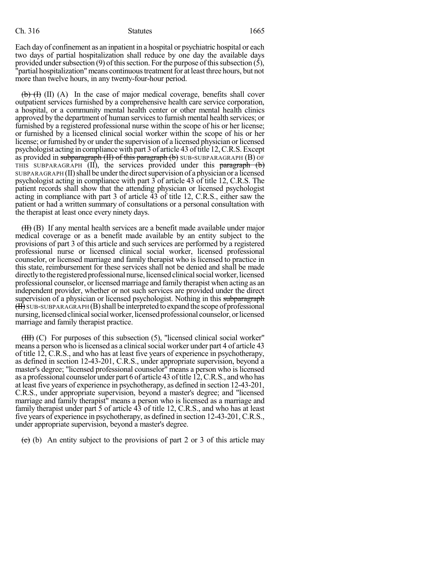## Ch. 316 Statutes 1665

Each day of confinement as an inpatient in a hospital or psychiatric hospital or each two days of partial hospitalization shall reduce by one day the available days provided under subsection (9) of this section. For the purpose of this subsection (5), "partial hospitalization" means continuous treatment for at least three hours, but not more than twelve hours, in any twenty-four-hour period.

 $\left(\frac{b}{b}\right)$  (I) (A) In the case of major medical coverage, benefits shall cover outpatient services furnished by a comprehensive health care service corporation, a hospital, or a community mental health center or other mental health clinics approved by the department of human servicesto furnish mental health services; or furnished by a registered professional nurse within the scope of his or her license; or furnished by a licensed clinical social worker within the scope of his or her license; or furnished by or under the supervision of a licensed physician or licensed psychologist acting in compliance with part 3 of article 43 of title 12, C.R.S. Except as provided in subparagraph  $(H)$  of this paragraph  $(b)$  SUB-SUBPARAGRAPH  $(B)$  OF THIS SUBPARAGRAPH  $(II)$ , the services provided under this paragraph  $(b)$ SUBPARAGRAPH (II) shall be under the direct supervision of a physician or a licensed psychologist acting in compliance with part 3 of article 43 of title 12, C.R.S. The patient records shall show that the attending physician or licensed psychologist acting in compliance with part 3 of article  $\overline{43}$  of title 12, C.R.S., either saw the patient or had a written summary of consultations or a personal consultation with the therapist at least once every ninety days.

(II) (B) If any mental health services are a benefit made available under major medical coverage or as a benefit made available by an entity subject to the provisions of part 3 of this article and such services are performed by a registered professional nurse or licensed clinical social worker, licensed professional counselor, or licensed marriage and family therapist who is licensed to practice in this state, reimbursement for these services shall not be denied and shall be made directly to the registered professional nurse, licensed clinical social worker, licensed professional counselor, or licensed marriage and family therapist when acting as an independent provider, whether or not such services are provided under the direct supervision of a physician or licensed psychologist. Nothing in this subparagraph  $(H)$  SUB-SUBPARAGRAPH  $(B)$  shall be interpreted to expand the scope of professional nursing, licensed clinical social worker, licensed professional counselor, or licensed marriage and family therapist practice.

(III) (C) For purposes of this subsection (5), "licensed clinical social worker" means a person who is licensed as a clinical social worker under part 4 of article 43 of title 12, C.R.S., and who has at least five years of experience in psychotherapy, as defined in section 12-43-201, C.R.S., under appropriate supervision, beyond a master's degree; "licensed professional counselor" means a person who is licensed as a professional counselor under part 6 of article 43 oftitle 12,C.R.S., andwho has at least five years of experience in psychotherapy, as defined in section 12-43-201, C.R.S., under appropriate supervision, beyond a master's degree; and "licensed marriage and family therapist" means a person who is licensed as a marriage and family therapist under part 5 of article 43 of title 12, C.R.S., and who has at least five years of experience in psychotherapy, as defined in section 12-43-201, C.R.S., under appropriate supervision, beyond a master's degree.

 $\overline{(e)}$  (b) An entity subject to the provisions of part 2 or 3 of this article may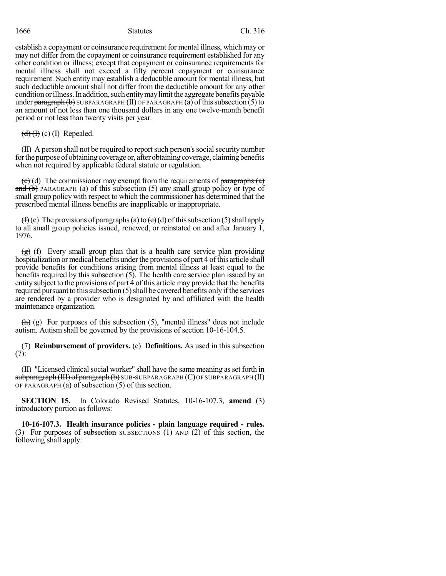establish a copayment or coinsurance requirement for mental illness, which may or may not differ from the copayment or coinsurance requirement established for any other condition or illness; except that copayment or coinsurance requirements for mental illness shall not exceed a fifty percent copayment or coinsurance requirement. Such entity may establish a deductible amount for mental illness, but such deductible amount shall not differ from the deductible amount for any other condition or illness. In addition, such entity may limit the aggregate benefits payable under  $\frac{\text{parameter of 1}}{\text{parameter of 1}}$  SUBPARAGRAPH (II) OF PARAGRAPH (a) of this subsection (5) to an amount of not less than one thousand dollars in any one twelve-month benefit period or not less than twenty visits per year.

 $(d)$  (H) (c) (I) Repealed.

(II) A person shall not be required to reportsuch person'ssocialsecurity number for the purpose of obtaining coverage or, after obtaining coverage, claiming benefits when not required by applicable federal statute or regulation.

(e) (d) The commissioner may exempt from the requirements of  $\frac{\partial}{\partial x}$  $\overline{\text{and (b)}}$  PARAGRAPH (a) of this subsection (5) any small group policy or type of small group policy with respect to which the commissioner has determined that the prescribed mental illness benefits are inapplicable or inappropriate.

(f)(e) The provisions of paragraphs(a) to  $(e)$ (d) of this subsection (5) shall apply to all small group policies issued, renewed, or reinstated on and after January 1, 1976.

 $(g)$  (f) Every small group plan that is a health care service plan providing hospitalization or medical benefits under the provisions of part 4 of this article shall provide benefits for conditions arising from mental illness at least equal to the benefits required by this subsection (5). The health care service plan issued by an entity subject to the provisions of part 4 of this article may provide that the benefits required pursuant to this subsection  $(5)$  shall be covered benefits only if the services are rendered by a provider who is designated by and affiliated with the health maintenance organization.

 $\left(\frac{h}{h}\right)$  (g) For purposes of this subsection (5), "mental illness" does not include autism. Autism shall be governed by the provisions of section 10-16-104.5.

(7) **Reimbursement of providers.** (c) **Definitions.** As used in this subsection (7):

(II) "Licensed clinicalsocial worker" shall have the same meaning asset forth in subparagraph (III) of paragraph (b) SUB-SUBPARAGRAPH (C) OF SUBPARAGRAPH (II) OF PARAGRAPH (a) of subsection (5) of this section.

**SECTION 15.** In Colorado Revised Statutes, 10-16-107.3, **amend** (3) introductory portion as follows:

**10-16-107.3. Health insurance policies - plain language required - rules.** (3) For purposes of subsection SUBSECTIONS (1) AND (2) of this section, the following shall apply: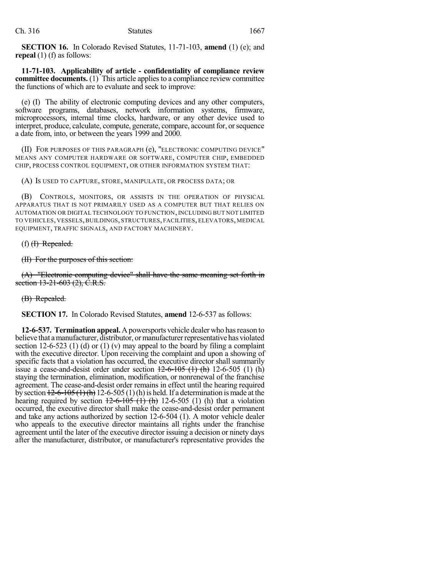**SECTION 16.** In Colorado Revised Statutes, 11-71-103, **amend** (1) (e); and **repeal** (1) (f) as follows:

**11-71-103. Applicability of article - confidentiality of compliance review committee documents.** (1) This article applies to a compliance review committee the functions of which are to evaluate and seek to improve:

(e) (I) The ability of electronic computing devices and any other computers, software programs, databases, network information systems, firmware, microprocessors, internal time clocks, hardware, or any other device used to interpret, produce, calculate, compute, generate, compare, account for, or sequence a date from, into, or between the years 1999 and 2000.

(II) FOR PURPOSES OF THIS PARAGRAPH (e), "ELECTRONIC COMPUTING DEVICE" MEANS ANY COMPUTER HARDWARE OR SOFTWARE, COMPUTER CHIP, EMBEDDED CHIP, PROCESS CONTROL EQUIPMENT, OR OTHER INFORMATION SYSTEM THAT:

(A) IS USED TO CAPTURE, STORE, MANIPULATE, OR PROCESS DATA; OR

(B) CONTROLS, MONITORS, OR ASSISTS IN THE OPERATION OF PHYSICAL APPARATUS THAT IS NOT PRIMARILY USED AS A COMPUTER BUT THAT RELIES ON AUTOMATION OR DIGITAL TECHNOLOGY TO FUNCTION, INCLUDING BUT NOT LIMITED TO VEHICLES, VESSELS, BUILDINGS, STRUCTURES, FACILITIES, ELEVATORS, MEDICAL EQUIPMENT, TRAFFIC SIGNALS, AND FACTORY MACHINERY.

### $(f)$  (f) Repealed.

### (II) For the purposes of this section:

(A) "Electronic computing device" shall have the same meaning set forth in section 13-21-603 (2), C.R.S.

### (B) Repealed.

**SECTION 17.** In Colorado Revised Statutes, **amend** 12-6-537 as follows:

**12-6-537. Termination appeal.** Apowersports vehicle dealer who hasreason to believe that a manufacturer, distributor, or manufacturer representative has violated section 12-6-523 (1) (d) or (1) (v) may appeal to the board by filing a complaint with the executive director. Upon receiving the complaint and upon a showing of specific facts that a violation has occurred, the executive director shall summarily issue a cease-and-desist order under section  $12-6-105$  (1) (h) 12-6-505 (1) (h) staying the termination, elimination, modification, or nonrenewal of the franchise agreement. The cease-and-desist order remains in effect until the hearing required by section  $12-6-105$  (1)(h) 12-6-505 (1)(h) is held. If a determination is made at the hearing required by section  $\frac{12-6-105(1)}{11-12-6-505(1)}$  (h) that a violation occurred, the executive director shall make the cease-and-desist order permanent and take any actions authorized by section 12-6-504 (1). A motor vehicle dealer who appeals to the executive director maintains all rights under the franchise agreement until the later of the executive director issuing a decision or ninety days after the manufacturer, distributor, or manufacturer's representative provides the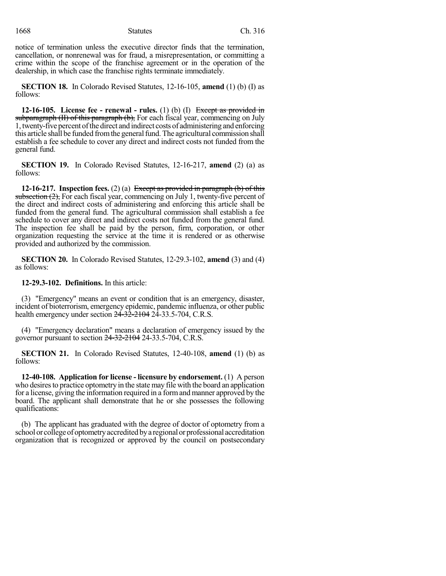## 1668 Ch. 316

notice of termination unless the executive director finds that the termination, cancellation, or nonrenewal was for fraud, a misrepresentation, or committing a crime within the scope of the franchise agreement or in the operation of the dealership, in which case the franchise rights terminate immediately.

**SECTION 18.** In Colorado Revised Statutes, 12-16-105, **amend** (1) (b) (I) as follows:

**12-16-105. License fee - renewal - rules.** (1) (b) (I) Except as provided in subparagraph (II) of this paragraph (b), For each fiscal year, commencing on July 1, twenty-five percent ofthe direct and indirect costs of administering and enforcing this article shall be funded from the general fund. The agricultural commission shall establish a fee schedule to cover any direct and indirect costs not funded from the general fund.

**SECTION 19.** In Colorado Revised Statutes, 12-16-217, **amend** (2) (a) as follows:

**12-16-217. Inspection fees.** (2) (a) Except as provided in paragraph (b) of this subsection  $(2)$ , For each fiscal year, commencing on July 1, twenty-five percent of the direct and indirect costs of administering and enforcing this article shall be funded from the general fund. The agricultural commission shall establish a fee schedule to cover any direct and indirect costs not funded from the general fund. The inspection fee shall be paid by the person, firm, corporation, or other organization requesting the service at the time it is rendered or as otherwise provided and authorized by the commission.

**SECTION 20.** In Colorado Revised Statutes, 12-29.3-102, **amend** (3) and (4) as follows:

**12-29.3-102. Definitions.** In this article:

(3) "Emergency" means an event or condition that is an emergency, disaster, incident of bioterrorism, emergency epidemic, pandemic influenza, or other public health emergency under section  $2\overline{4} - 32 - 21042$   $2\overline{4} - 33.5 - 704$ , C.R.S.

(4) "Emergency declaration" means a declaration of emergency issued by the governor pursuant to section 24-32-2104 24-33.5-704, C.R.S.

**SECTION 21.** In Colorado Revised Statutes, 12-40-108, **amend** (1) (b) as follows:

**12-40-108. Application for license - licensure by endorsement.** (1) A person who desires to practice optometry in the state may file with the board an application for a license, giving the information required in a formand manner approved by the board. The applicant shall demonstrate that he or she possesses the following qualifications:

(b) The applicant has graduated with the degree of doctor of optometry from a school or college of optometry accredited by a regional or professional accreditation organization that is recognized or approved by the council on postsecondary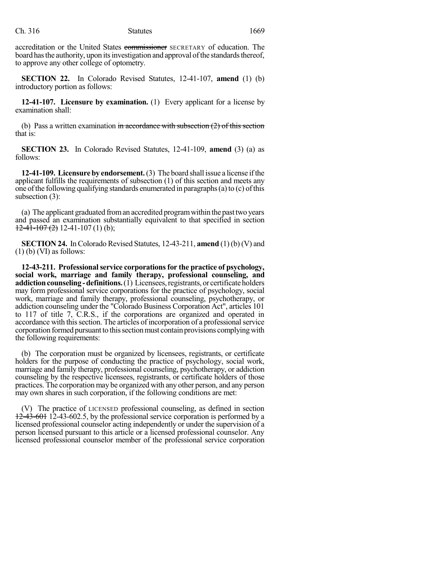accreditation or the United States commissioner SECRETARY of education. The board has the authority, upon its investigation and approval of the standards thereof, to approve any other college of optometry.

**SECTION 22.** In Colorado Revised Statutes, 12-41-107, **amend** (1) (b) introductory portion as follows:

**12-41-107. Licensure by examination.** (1) Every applicant for a license by examination shall:

(b) Pass a written examination in accordance with subsection  $(2)$  of this section that is:

**SECTION 23.** In Colorado Revised Statutes, 12-41-109, **amend** (3) (a) as follows:

**12-41-109. Licensureby endorsement.**(3) The board shall issue a license ifthe applicant fulfills the requirements of subsection (1) of this section and meets any one of the following qualifying standards enumerated in paragraphs $(a)$  to  $(c)$  of this subsection (3):

(a) The applicant graduated froman accredited programwithin the pasttwo years and passed an examination substantially equivalent to that specified in section  $12-41-107(2)$  12-41-107(1)(b);

**SECTION 24.** In Colorado Revised Statutes, 12-43-211, **amend** (1) (b) (V) and  $(1)$  (b) (VI) as follows:

**12-43-211. Professionalservice corporationsfor the practice of psychology, social work, marriage and family therapy, professional counseling, and addiction counseling - definitions.** (1) Licensees, registrants, or certificate holders may form professional service corporations for the practice of psychology, social work, marriage and family therapy, professional counseling, psychotherapy, or addiction counseling under the "Colorado Business Corporation Act", articles 101 to 117 of title 7, C.R.S., if the corporations are organized and operated in accordance with thissection. The articles of incorporation of a professionalservice corporation formed pursuantto thissectionmust contain provisions complyingwith the following requirements:

(b) The corporation must be organized by licensees, registrants, or certificate holders for the purpose of conducting the practice of psychology, social work, marriage and family therapy, professional counseling, psychotherapy, or addiction counseling by the respective licensees, registrants, or certificate holders of those practices. The corporation may be organized with any other person, and any person may own shares in such corporation, if the following conditions are met:

(V) The practice of LICENSED professional counseling, as defined in section  $12-43-601$  12-43-602.5, by the professional service corporation is performed by a licensed professional counselor acting independently or under the supervision of a person licensed pursuant to this article or a licensed professional counselor. Any licensed professional counselor member of the professional service corporation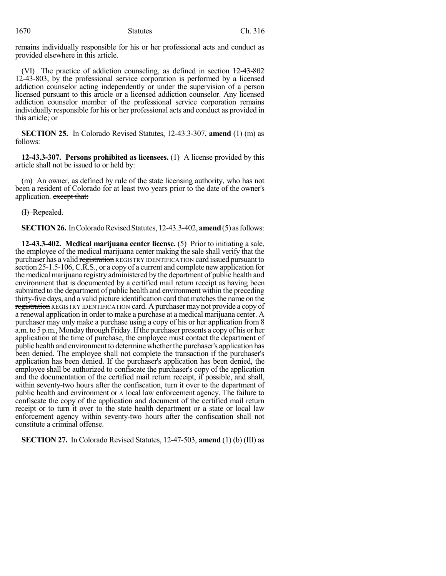remains individually responsible for his or her professional acts and conduct as provided elsewhere in this article.

(VI) The practice of addiction counseling, as defined in section  $12-43-802$ 12-43-803, by the professional service corporation is performed by a licensed addiction counselor acting independently or under the supervision of a person licensed pursuant to this article or a licensed addiction counselor. Any licensed addiction counselor member of the professional service corporation remains individually responsible for his or her professional acts and conduct as provided in this article; or

**SECTION 25.** In Colorado Revised Statutes, 12-43.3-307, **amend** (1) (m) as follows:

**12-43.3-307. Persons prohibited as licensees.** (1) A license provided by this article shall not be issued to or held by:

(m) An owner, as defined by rule of the state licensing authority, who has not been a resident of Colorado for at least two years prior to the date of the owner's application. except that:

(I) Repealed.

**SECTION 26.** In Colorado Revised Statutes, 12-43.3-402, **amend** (5) as follows:

**12-43.3-402. Medical marijuana center license.** (5) Prior to initiating a sale, the employee of the medical marijuana center making the sale shall verify that the purchaser has a valid registration REGISTRY IDENTIFICATION card issued pursuant to section 25-1.5-106, C.R.S., or a copy of a current and complete new application for the medical marijuana registry administered by the department of public health and environment that is documented by a certified mail return receipt as having been submitted to the department of public health and environment within the preceding thirty-five days, and a valid picture identification card that matches the name on the registration REGISTRY IDENTIFICATION card. A purchaser may not provide a copy of a renewal application in order to make a purchase at a medical marijuana center. A purchaser may only make a purchase using a copy of his or her application from 8 a.m. to 5 p.m., Monday through Friday. If the purchaser presents a copy of his or her application at the time of purchase, the employee must contact the department of public health and environment to determine whether the purchaser's application has been denied. The employee shall not complete the transaction if the purchaser's application has been denied. If the purchaser's application has been denied, the employee shall be authorized to confiscate the purchaser's copy of the application and the documentation of the certified mail return receipt, if possible, and shall, within seventy-two hours after the confiscation, turn it over to the department of public health and environment or A local law enforcement agency. The failure to confiscate the copy of the application and document of the certified mail return receipt or to turn it over to the state health department or a state or local law enforcement agency within seventy-two hours after the confiscation shall not constitute a criminal offense.

**SECTION 27.** In Colorado Revised Statutes, 12-47-503, **amend** (1) (b) (III) as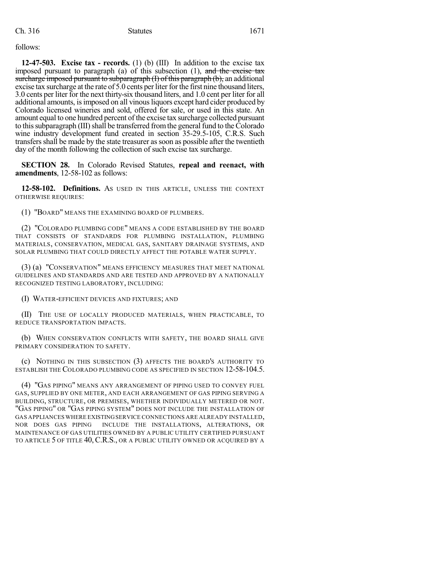Ch. 316 Statutes 1671

follows:

**12-47-503. Excise tax - records.** (1) (b) (III) In addition to the excise tax imposed pursuant to paragraph (a) of this subsection  $(1)$ , and the excise tax surcharge imposed pursuant to subparagraph (I) of this paragraph (b), an additional excise tax surcharge at the rate of 5.0 cents per liter forthe first nine thousand liters, 3.0 cents per liter for the next thirty-six thousand liters, and 1.0 cent per liter for all additional amounts, is imposed on all vinous liquors except hard cider produced by Colorado licensed wineries and sold, offered for sale, or used in this state. An amount equal to one hundred percent of the excise tax surcharge collected pursuant to this subparagraph (III) shall be transferred from the general fund to the Colorado wine industry development fund created in section 35-29.5-105, C.R.S. Such transfersshall be made by the state treasurer assoon as possible after the twentieth day of the month following the collection of such excise tax surcharge.

**SECTION 28.** In Colorado Revised Statutes, **repeal and reenact, with amendments**, 12-58-102 as follows:

**12-58-102. Definitions.** AS USED IN THIS ARTICLE, UNLESS THE CONTEXT OTHERWISE REQUIRES:

(1) "BOARD" MEANS THE EXAMINING BOARD OF PLUMBERS.

(2) "COLORADO PLUMBING CODE" MEANS A CODE ESTABLISHED BY THE BOARD THAT CONSISTS OF STANDARDS FOR PLUMBING INSTALLATION, PLUMBING MATERIALS, CONSERVATION, MEDICAL GAS, SANITARY DRAINAGE SYSTEMS, AND SOLAR PLUMBING THAT COULD DIRECTLY AFFECT THE POTABLE WATER SUPPLY.

(3) (a) "CONSERVATION" MEANS EFFICIENCY MEASURES THAT MEET NATIONAL GUIDELINES AND STANDARDS AND ARE TESTED AND APPROVED BY A NATIONALLY RECOGNIZED TESTING LABORATORY, INCLUDING:

(I) WATER-EFFICIENT DEVICES AND FIXTURES; AND

(II) THE USE OF LOCALLY PRODUCED MATERIALS, WHEN PRACTICABLE, TO REDUCE TRANSPORTATION IMPACTS.

(b) WHEN CONSERVATION CONFLICTS WITH SAFETY, THE BOARD SHALL GIVE PRIMARY CONSIDERATION TO SAFETY.

(c) NOTHING IN THIS SUBSECTION (3) AFFECTS THE BOARD'S AUTHORITY TO ESTABLISH THE COLORADO PLUMBING CODE AS SPECIFIED IN SECTION 12-58-104.5.

(4) "GAS PIPING" MEANS ANY ARRANGEMENT OF PIPING USED TO CONVEY FUEL GAS, SUPPLIED BY ONE METER, AND EACH ARRANGEMENT OF GAS PIPING SERVING A BUILDING, STRUCTURE, OR PREMISES, WHETHER INDIVIDUALLY METERED OR NOT. "GAS PIPING" OR "GAS PIPING SYSTEM" DOES NOT INCLUDE THE INSTALLATION OF GAS APPLIANCES WHERE EXISTINGSERVICE CONNECTIONS ARE ALREADY INSTALLED, NOR DOES GAS PIPING INCLUDE THE INSTALLATIONS, ALTERATIONS, OR MAINTENANCE OF GAS UTILITIES OWNED BY A PUBLIC UTILITY CERTIFIED PURSUANT TO ARTICLE 5 OF TITLE 40, C.R.S., OR A PUBLIC UTILITY OWNED OR ACQUIRED BY A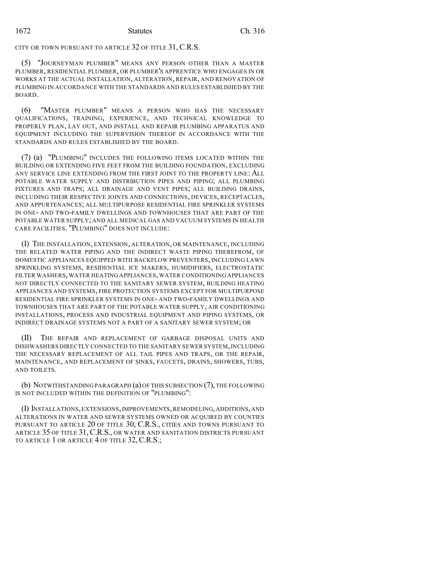CITY OR TOWN PURSUANT TO ARTICLE 32 OF TITLE 31, C.R.S.

(5) "JOURNEYMAN PLUMBER" MEANS ANY PERSON OTHER THAN A MASTER PLUMBER, RESIDENTIAL PLUMBER, OR PLUMBER'S APPRENTICE WHO ENGAGES IN OR WORKS AT THE ACTUAL INSTALLATION, ALTERATION, REPAIR, AND RENOVATION OF PLUMBING IN ACCORDANCE WITH THE STANDARDS AND RULES ESTABLISHED BY THE BOARD.

(6) "MASTER PLUMBER" MEANS A PERSON WHO HAS THE NECESSARY QUALIFICATIONS, TRAINING, EXPERIENCE, AND TECHNICAL KNOWLEDGE TO PROPERLY PLAN, LAY OUT, AND INSTALL AND REPAIR PLUMBING APPARATUS AND EQUIPMENT INCLUDING THE SUPERVISION THEREOF IN ACCORDANCE WITH THE STANDARDS AND RULES ESTABLISHED BY THE BOARD.

(7) (a) "PLUMBING" INCLUDES THE FOLLOWING ITEMS LOCATED WITHIN THE BUILDING OR EXTENDING FIVE FEET FROM THE BUILDING FOUNDATION, EXCLUDING ANY SERVICE LINE EXTENDING FROM THE FIRST JOINT TO THE PROPERTY LINE: ALL POTABLE WATER SUPPLY AND DISTRIBUTION PIPES AND PIPING; ALL PLUMBING FIXTURES AND TRAPS; ALL DRAINAGE AND VENT PIPES; ALL BUILDING DRAINS, INCLUDING THEIR RESPECTIVE JOINTS AND CONNECTIONS, DEVICES, RECEPTACLES, AND APPURTENANCES; ALL MULTIPURPOSE RESIDENTIAL FIRE SPRINKLER SYSTEMS IN ONE- AND TWO-FAMILY DWELLINGS AND TOWNHOUSES THAT ARE PART OF THE POTABLE WATER SUPPLY; AND ALL MEDICAL GAS AND VACUUM SYSTEMS IN HEALTH CARE FACILITIES. "PLUMBING" DOES NOT INCLUDE:

(I) THE INSTALLATION, EXTENSION, ALTERATION, OR MAINTENANCE, INCLUDING THE RELATED WATER PIPING AND THE INDIRECT WASTE PIPING THEREFROM, OF DOMESTIC APPLIANCES EQUIPPED WITH BACKFLOW PREVENTERS, INCLUDING LAWN SPRINKLING SYSTEMS, RESIDENTIAL ICE MAKERS, HUMIDIFIERS, ELECTROSTATIC FILTER WASHERS, WATER HEATING APPLIANCES, WATER CONDITIONING APPLIANCES NOT DIRECTLY CONNECTED TO THE SANITARY SEWER SYSTEM, BUILDING HEATING APPLIANCES AND SYSTEMS, FIRE PROTECTION SYSTEMS EXCEPT FOR MULTIPURPOSE RESIDENTIAL FIRE SPRINKLER SYSTEMS IN ONE- AND TWO-FAMILY DWELLINGS AND TOWNHOUSES THAT ARE PART OF THE POTABLE WATER SUPPLY, AIR CONDITIONING INSTALLATIONS, PROCESS AND INDUSTRIAL EQUIPMENT AND PIPING SYSTEMS, OR INDIRECT DRAINAGE SYSTEMS NOT A PART OF A SANITARY SEWER SYSTEM; OR

(II) THE REPAIR AND REPLACEMENT OF GARBAGE DISPOSAL UNITS AND DISHWASHERS DIRECTLY CONNECTED TO THE SANITARY SEWER SYSTEM,INCLUDING THE NECESSARY REPLACEMENT OF ALL TAIL PIPES AND TRAPS, OR THE REPAIR, MAINTENANCE, AND REPLACEMENT OF SINKS, FAUCETS, DRAINS, SHOWERS, TUBS, AND TOILETS.

(b) NOTWITHSTANDING PARAGRAPH (a) OF THIS SUBSECTION (7), THE FOLLOWING IS NOT INCLUDED WITHIN THE DEFINITION OF "PLUMBING":

(I) INSTALLATIONS,EXTENSIONS,IMPROVEMENTS,REMODELING,ADDITIONS,AND ALTERATIONS IN WATER AND SEWER SYSTEMS OWNED OR ACQUIRED BY COUNTIES PURSUANT TO ARTICLE 20 OF TITLE 30, C.R.S., CITIES AND TOWNS PURSUANT TO ARTICLE 35 OF TITLE 31, C.R.S., OR WATER AND SANITATION DISTRICTS PURSUANT TO ARTICLE 1 OR ARTICLE 4 OF TITLE 32, C.R.S.;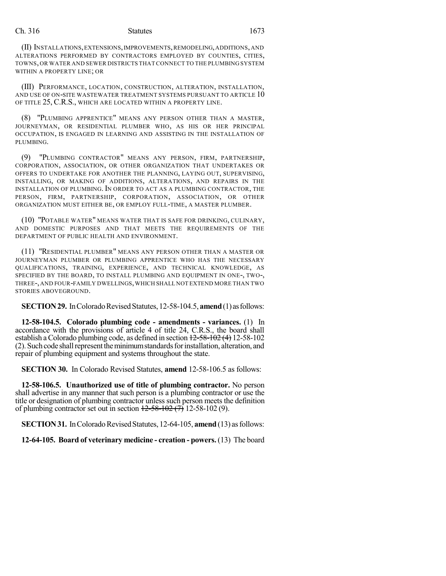(II) INSTALLATIONS,EXTENSIONS,IMPROVEMENTS,REMODELING,ADDITIONS,AND ALTERATIONS PERFORMED BY CONTRACTORS EMPLOYED BY COUNTIES, CITIES, TOWNS, OR WATER AND SEWER DISTRICTS THAT CONNECT TO THE PLUMBING SYSTEM WITHIN A PROPERTY LINE; OR

(III) PERFORMANCE, LOCATION, CONSTRUCTION, ALTERATION, INSTALLATION, AND USE OF ON-SITE WASTEWATER TREATMENT SYSTEMS PURSUANT TO ARTICLE 10 OF TITLE 25, C.R.S., WHICH ARE LOCATED WITHIN A PROPERTY LINE.

(8) "PLUMBING APPRENTICE" MEANS ANY PERSON OTHER THAN A MASTER, JOURNEYMAN, OR RESIDENTIAL PLUMBER WHO, AS HIS OR HER PRINCIPAL OCCUPATION, IS ENGAGED IN LEARNING AND ASSISTING IN THE INSTALLATION OF PLUMBING.

(9) "PLUMBING CONTRACTOR" MEANS ANY PERSON, FIRM, PARTNERSHIP, CORPORATION, ASSOCIATION, OR OTHER ORGANIZATION THAT UNDERTAKES OR OFFERS TO UNDERTAKE FOR ANOTHER THE PLANNING, LAYING OUT, SUPERVISING, INSTALLING, OR MAKING OF ADDITIONS, ALTERATIONS, AND REPAIRS IN THE INSTALLATION OF PLUMBING. IN ORDER TO ACT AS A PLUMBING CONTRACTOR, THE PERSON, FIRM, PARTNERSHIP, CORPORATION, ASSOCIATION, OR OTHER ORGANIZATION MUST EITHER BE, OR EMPLOY FULL-TIME, A MASTER PLUMBER.

(10) "POTABLE WATER" MEANS WATER THAT IS SAFE FOR DRINKING, CULINARY, AND DOMESTIC PURPOSES AND THAT MEETS THE REQUIREMENTS OF THE DEPARTMENT OF PUBLIC HEALTH AND ENVIRONMENT.

(11) "RESIDENTIAL PLUMBER" MEANS ANY PERSON OTHER THAN A MASTER OR JOURNEYMAN PLUMBER OR PLUMBING APPRENTICE WHO HAS THE NECESSARY QUALIFICATIONS, TRAINING, EXPERIENCE, AND TECHNICAL KNOWLEDGE, AS SPECIFIED BY THE BOARD, TO INSTALL PLUMBING AND EQUIPMENT IN ONE-, TWO-, THREE-,AND FOUR-FAMILY DWELLINGS,WHICH SHALL NOT EXTEND MORE THAN TWO STORIES ABOVEGROUND.

**SECTION 29.** In Colorado Revised Statutes, 12-58-104.5, **amend** (1) as follows:

**12-58-104.5. Colorado plumbing code - amendments - variances.** (1) In accordance with the provisions of article 4 of title 24, C.R.S., the board shall establish a Colorado plumbing code, as defined in section  $12-58-102$  (4) 12-58-102  $(2)$ . Such code shall represent the minimum standards for installation, alteration, and repair of plumbing equipment and systems throughout the state.

**SECTION 30.** In Colorado Revised Statutes, **amend** 12-58-106.5 as follows:

**12-58-106.5. Unauthorized use of title of plumbing contractor.** No person shall advertise in any manner that such person is a plumbing contractor or use the title or designation of plumbing contractor unless such person meets the definition of plumbing contractor set out in section  $12-58-102$  (7) 12-58-102 (9).

**SECTION 31.** In Colorado Revised Statutes, 12-64-105, **amend** (13) as follows:

**12-64-105. Board of veterinary medicine - creation - powers.** (13) The board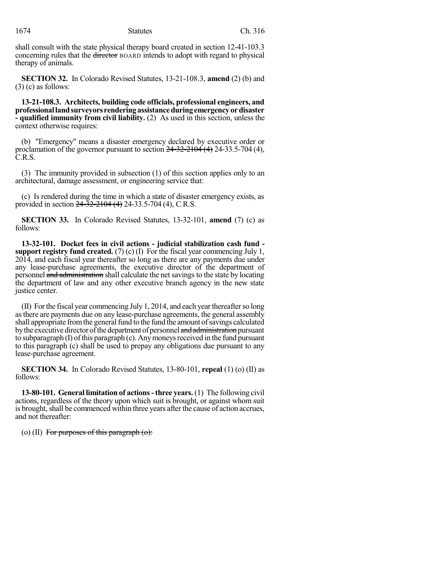shall consult with the state physical therapy board created in section 12-41-103.3 concerning rules that the director BOARD intends to adopt with regard to physical therapy of animals.

**SECTION 32.** In Colorado Revised Statutes, 13-21-108.3, **amend** (2) (b) and (3) (c) as follows:

**13-21-108.3. Architects, building code officials, professional engineers, and professionallandsurveyors renderingassistanceduringemergencyordisaster - qualified immunity from civil liability.** (2) As used in this section, unless the context otherwise requires:

(b) "Emergency" means a disaster emergency declared by executive order or proclamation of the governor pursuant to section  $24-32-2104$  (4) 24-33.5-704 (4), C.R.S.

(3) The immunity provided in subsection (1) of this section applies only to an architectural, damage assessment, or engineering service that:

(c) Is rendered during the time in which a state of disaster emergency exists, as provided in section  $24 - 32 - 2104$  (4) 24-33.5-704 (4), C.R.S.

**SECTION 33.** In Colorado Revised Statutes, 13-32-101, **amend** (7) (c) as follows:

**13-32-101. Docket fees in civil actions - judicial stabilization cash fund support registry fund created.** (7) (c) (I) For the fiscal year commencing July 1, 2014, and each fiscal year thereafter so long as there are any payments due under any lease-purchase agreements, the executive director of the department of personnel and administration shall calculate the net savings to the state by locating the department of law and any other executive branch agency in the new state justice center.

(II) Forthe fiscal year commencing July 1, 2014, and each yearthereafterso long asthere are payments due on any lease-purchase agreements, the general assembly shall appropriate from the general fund to the fund the amount of savings calculated by the executive director of the department of personnel and administration pursuant to subparagraph (I) of this paragraph (c). Any moneys received in the fund pursuant to this paragraph (c) shall be used to prepay any obligations due pursuant to any lease-purchase agreement.

**SECTION 34.** In Colorado Revised Statutes, 13-80-101, **repeal** (1) (o) (II) as follows:

**13-80-101. General limitation of actions-three years.** (1) The following civil actions, regardless of the theory upon which suit is brought, or against whom suit is brought, shall be commenced within three years after the cause of action accrues, and not thereafter:

(o) (II) For purposes of this paragraph  $\omega$ :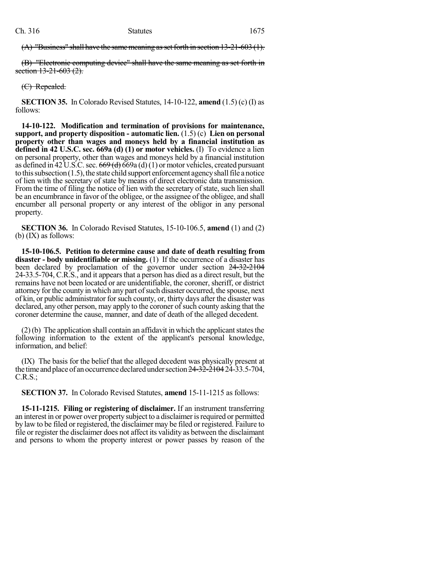$(A)$  "Business" shall have the same meaning as set forth in section  $13-21-603(1)$ .

(B) "Electronic computing device" shall have the same meaning as set forth in section 13-21-603 (2).

(C) Repealed.

**SECTION 35.** In Colorado Revised Statutes, 14-10-122, **amend** (1.5) (c) (I) as follows:

**14-10-122. Modification and termination of provisions for maintenance, support, and property disposition - automatic lien.** (1.5) (c) **Lien on personal property other than wages and moneys held by a financial institution as defined in 42 U.S.C. sec. 669a (d) (1) or motor vehicles.** (I) To evidence a lien on personal property, other than wages and moneys held by a financial institution as defined in  $42 \text{ U.S.C.}$  sec.  $669$  (d)  $69a$  (d)(1) or motor vehicles, created pursuant to this subsection  $(1.5)$ , the state child support enforcement agency shall file a notice of lien with the secretary of state by means of direct electronic data transmission. From the time of filing the notice of lien with the secretary of state, such lien shall be an encumbrance in favor of the obligee, or the assignee of the obligee, and shall encumber all personal property or any interest of the obligor in any personal property.

**SECTION 36.** In Colorado Revised Statutes, 15-10-106.5, **amend** (1) and (2) (b) (IX) as follows:

**15-10-106.5. Petition to determine cause and date of death resulting from disaster - body unidentifiable or missing.** (1) If the occurrence of a disaster has been declared by proclamation of the governor under section  $24-32-2104$ 24-33.5-704, C.R.S., and it appearsthat a person has died as a direct result, but the remains have not been located or are unidentifiable, the coroner, sheriff, or district attorney for the county in which any part of such disaster occurred, the spouse, next of kin, or public administrator forsuch county, or, thirty days after the disaster was declared, any other person, may apply to the coroner of such county asking that the coroner determine the cause, manner, and date of death of the alleged decedent.

 $(2)$ (b) The application shall contain an affidavit in which the applicant states the following information to the extent of the applicant's personal knowledge, information, and belief:

(IX) The basis for the belief that the alleged decedent was physically present at the time and place of an occurrence declared under section  $24-32-210424-33.5-704$ , C.R.S.;

**SECTION 37.** In Colorado Revised Statutes, **amend** 15-11-1215 as follows:

**15-11-1215. Filing or registering of disclaimer.** If an instrument transferring an interest in or power over property subject to a disclaimer is required or permitted by law to be filed or registered, the disclaimer may be filed or registered. Failure to file or register the disclaimer does not affect its validity as between the disclaimant and persons to whom the property interest or power passes by reason of the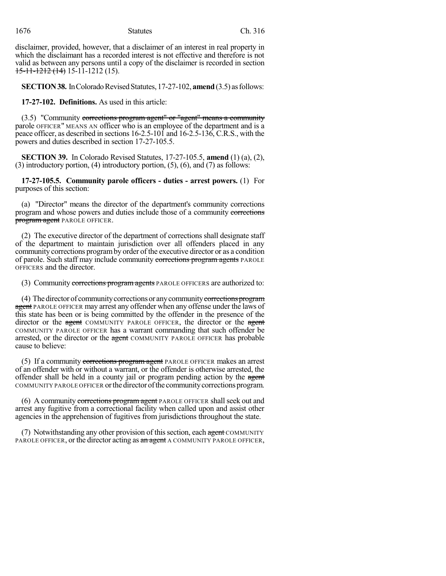disclaimer, provided, however, that a disclaimer of an interest in real property in which the disclaimant has a recorded interest is not effective and therefore is not valid as between any persons until a copy of the disclaimer is recorded in section 15-11-1212 (14) 15-11-1212 (15).

**SECTION 38.** In Colorado Revised Statutes, 17-27-102, **amend** (3.5) as follows:

**17-27-102. Definitions.** As used in this article:

(3.5) "Community corrections program agent" or "agent" means a community parole OFFICER" MEANS AN officer who is an employee of the department and is a peace officer, as described in sections 16-2.5-101 and 16-2.5-136, C.R.S., with the powers and duties described in section 17-27-105.5.

**SECTION 39.** In Colorado Revised Statutes, 17-27-105.5, **amend** (1) (a), (2), (3) introductory portion, (4) introductory portion, (5), (6), and (7) as follows:

**17-27-105.5. Community parole officers - duties - arrest powers.** (1) For purposes of this section:

(a) "Director" means the director of the department's community corrections program and whose powers and duties include those of a community corrections program agent PAROLE OFFICER.

(2) The executive director of the department of corrections shall designate staff of the department to maintain jurisdiction over all offenders placed in any community corrections programby order of the executive director or as a condition of parole. Such staff may include community corrections program agents PAROLE OFFICERS and the director.

(3) Community corrections program agents PAROLE OFFICERS are authorized to:

(4) The director of community corrections or any community corrections program agent PAROLE OFFICER may arrest any offender when any offense under the laws of this state has been or is being committed by the offender in the presence of the director or the agent COMMUNITY PAROLE OFFICER, the director or the agent COMMUNITY PAROLE OFFICER has a warrant commanding that such offender be arrested, or the director or the agent COMMUNITY PAROLE OFFICER has probable cause to believe:

(5) If a community corrections program agent PAROLE OFFICER makes an arrest of an offender with or without a warrant, or the offender is otherwise arrested, the offender shall be held in a county jail or program pending action by the agent COMMUNITY PAROLE OFFICER orthe director ofthe communitycorrectionsprogram.

(6) A community corrections program agent PAROLE OFFICER shall seek out and arrest any fugitive from a correctional facility when called upon and assist other agencies in the apprehension of fugitives from jurisdictions throughout the state.

(7) Notwithstanding any other provision of this section, each agent COMMUNITY PAROLE OFFICER, or the director acting as an agent A COMMUNITY PAROLE OFFICER,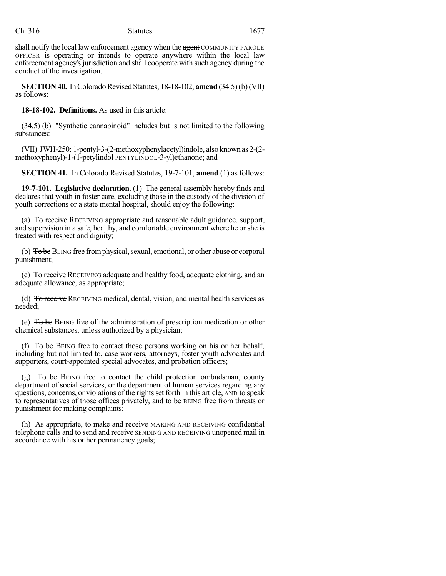shall notify the local law enforcement agency when the agent COMMUNITY PAROLE OFFICER is operating or intends to operate anywhere within the local law enforcement agency's jurisdiction and shall cooperate with such agency during the conduct of the investigation.

**SECTION 40.** In Colorado Revised Statutes, 18-18-102, **amend** (34.5) (b) (VII) as follows:

**18-18-102. Definitions.** As used in this article:

(34.5) (b) "Synthetic cannabinoid" includes but is not limited to the following substances:

(VII) JWH-250: 1-pentyl-3-(2-methoxyphenylacetyl)indole, also known as 2-(2 methoxyphenyl)-1-(1-petylindol PENTYLINDOL-3-yl)ethanone; and

**SECTION 41.** In Colorado Revised Statutes, 19-7-101, **amend** (1) as follows:

**19-7-101. Legislative declaration.** (1) The general assembly hereby finds and declares that youth in foster care, excluding those in the custody of the division of youth corrections or a state mental hospital, should enjoy the following:

(a) To receive RECEIVING appropriate and reasonable adult guidance, support, and supervision in a safe, healthy, and comfortable environment where he orshe is treated with respect and dignity;

(b) To be BEING free from physical, sexual, emotional, or other abuse or corporal punishment;

(c) To receive RECEIVING adequate and healthy food, adequate clothing, and an adequate allowance, as appropriate;

(d) To receive RECEIVING medical, dental, vision, and mental health services as needed;

(e)  $\overline{To}$  be BEING free of the administration of prescription medication or other chemical substances, unless authorized by a physician;

(f)  $T_0$  be BEING free to contact those persons working on his or her behalf, including but not limited to, case workers, attorneys, foster youth advocates and supporters, court-appointed special advocates, and probation officers;

(g)  $\overline{0}$  To be BEING free to contact the child protection ombudsman, county department of social services, or the department of human services regarding any questions, concerns, or violations of the rightsset forth in this article, AND to speak to representatives of those offices privately, and to be BEING free from threats or punishment for making complaints;

(h) As appropriate, to make and receive MAKING AND RECEIVING confidential telephone calls and to send and receive SENDING AND RECEIVING unopened mail in accordance with his or her permanency goals;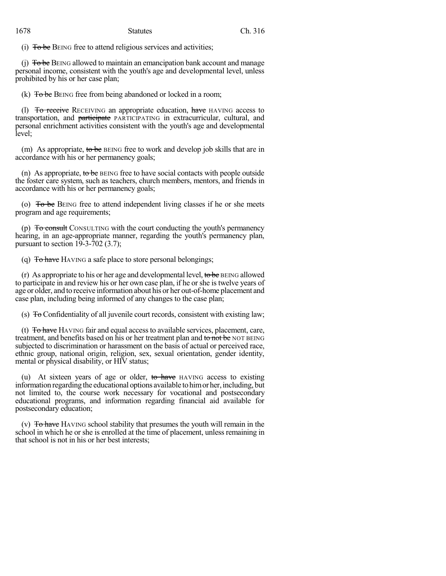(i)  $T<sub>o</sub>$  be BEING free to attend religious services and activities;

 $(i)$  To be BEING allowed to maintain an emancipation bank account and manage personal income, consistent with the youth's age and developmental level, unless prohibited by his or her case plan;

(k)  $\overline{To}$  be BEING free from being abandoned or locked in a room;

(1)  $\overline{To receive}$  RECEIVING an appropriate education, have HAVING access to transportation, and participate PARTICIPATING in extracurricular, cultural, and personal enrichment activities consistent with the youth's age and developmental level;

(m) As appropriate, to be BEING free to work and develop job skills that are in accordance with his or her permanency goals;

(n) As appropriate, to be  $BENG$  free to have social contacts with people outside the foster care system, such as teachers, church members, mentors, and friends in accordance with his or her permanency goals;

(o)  $\overline{To}$  be BEING free to attend independent living classes if he or she meets program and age requirements;

(p)  $\overline{To}$  consult CONSULTING with the court conducting the youth's permanency hearing, in an age-appropriate manner, regarding the youth's permanency plan, pursuant to section 19-3-702 (3.7);

(q) To have HAVING a safe place to store personal belongings;

(r) As appropriate to his or her age and developmental level, to be BEING allowed to participate in and review his or her own case plan, if he orshe is twelve years of age or older, and to receive information about his or her out-of-home placement and case plan, including being informed of any changes to the case plan;

(s) To Confidentiality of all juvenile court records, consistent with existing law;

(t)  $\overline{To \text{ have}}$  HAVING fair and equal access to available services, placement, care, treatment, and benefits based on his or her treatment plan and to not be NOT BEING subjected to discrimination or harassment on the basis of actual or perceived race, ethnic group, national origin, religion, sex, sexual orientation, gender identity, mental or physical disability, or HIV status;

(u) At sixteen years of age or older, to have HAVING access to existing information regarding the educational options available to him or her, including, but not limited to, the course work necessary for vocational and postsecondary educational programs, and information regarding financial aid available for postsecondary education;

(v)  $\overline{To}$  have HAVING school stability that presumes the youth will remain in the school in which he or she is enrolled at the time of placement, unless remaining in that school is not in his or her best interests;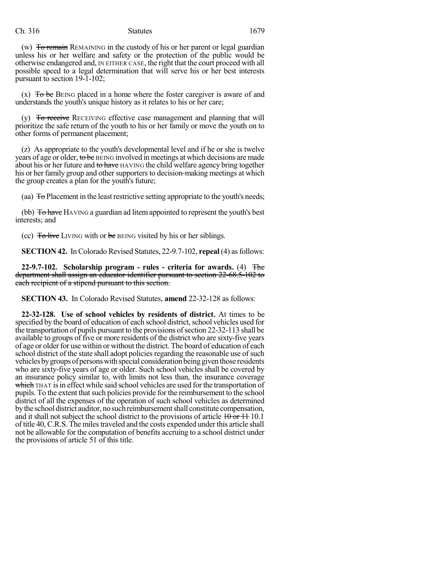Ch. 316 Statutes 1679

(w) To remain REMAINING in the custody of his or her parent or legal guardian unless his or her welfare and safety or the protection of the public would be otherwise endangered and, IN EITHER CASE, the right that the court proceed with all possible speed to a legal determination that will serve his or her best interests pursuant to section 19-1-102;

 $(x)$  To be BEING placed in a home where the foster caregiver is aware of and understands the youth's unique history as it relates to his or her care;

(y) To receive RECEIVING effective case management and planning that will prioritize the safe return of the youth to his or her family or move the youth on to other forms of permanent placement;

(z) As appropriate to the youth's developmental level and if he or she is twelve years of age or older, to be BEING involved in meetings at which decisions are made about his or her future and to have HAVING the child welfare agency bring together his or her family group and other supporters to decision-making meetings at which the group creates a plan for the youth's future;

(aa) To Placement in the least restrictive setting appropriate to the youth's needs;

(bb) To have HAVING a guardian ad litem appointed to represent the youth's best interests; and

(cc) To live LIVING with or be BEING visited by his or her siblings.

**SECTION 42.** In Colorado Revised Statutes, 22-9.7-102, **repeal** (4) as follows:

**22-9.7-102. Scholarship program - rules - criteria for awards.** (4) The department shall assign an educator identifier pursuant to section 22-68.5-102 to each recipient of a stipend pursuant to this section.

**SECTION 43.** In Colorado Revised Statutes, **amend** 22-32-128 as follows:

**22-32-128. Use of school vehicles by residents of district.** At times to be specified by the board of education of each school district, school vehicles used for the transportation of pupils pursuant to the provisions ofsection 22-32-113 shall be available to groups of five or more residents of the district who are sixty-five years of age or older for use within or without the district. The board of education of each school district of the state shall adopt policies regarding the reasonable use of such vehicles by groups of persons with special consideration being given those residents who are sixty-five years of age or older. Such school vehicles shall be covered by an insurance policy similar to, with limits not less than, the insurance coverage which THAT is in effect while said school vehicles are used for the transportation of pupils. To the extent thatsuch policies provide for the reimbursement to the school district of all the expenses of the operation of such school vehicles as determined bythe school district auditor, nosuchreimbursementshall constitute compensation, and it shall not subject the school district to the provisions of article  $10 \text{ or } 11$  10.1 of title 40, C.R.S. The milestraveled and the costs expended under this article shall not be allowable for the computation of benefits accruing to a school district under the provisions of article 51 of this title.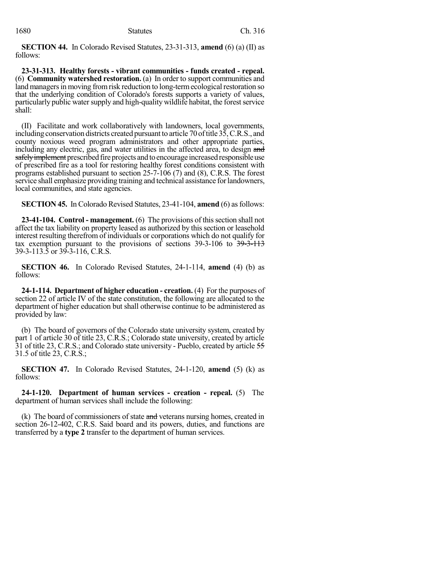**SECTION 44.** In Colorado Revised Statutes, 23-31-313, **amend** (6) (a) (II) as follows:

**23-31-313. Healthy forests - vibrant communities - funds created - repeal.** (6) **Community watershed restoration.** (a) In order to support communities and land managers in moving from risk reduction to long-term ecological restoration so that the underlying condition of Colorado's forests supports a variety of values, particularly public water supply and high-quality wildlife habitat, the forest service shall:

(II) Facilitate and work collaboratively with landowners, local governments, including conservation districts created pursuant to article 70 of title 35, C.R.S., and county noxious weed program administrators and other appropriate parties, including any electric, gas, and water utilities in the affected area, to design and safely implement prescribed fire projects and to encourage increased responsible use of prescribed fire as a tool for restoring healthy forest conditions consistent with programs established pursuant to section 25-7-106 (7) and (8), C.R.S. The forest service shall emphasize providing training and technical assistance for landowners, local communities, and state agencies.

**SECTION 45.** In Colorado Revised Statutes, 23-41-104, **amend** (6) as follows:

**23-41-104. Control - management.** (6) The provisions of this section shall not affect the tax liability on property leased as authorized by this section or leasehold interest resulting therefrom of individuals or corporations which do not qualify for tax exemption pursuant to the provisions of sections  $39-3-106$  to  $39-3-113$ 39-3-113.5 or 39-3-116, C.R.S.

**SECTION 46.** In Colorado Revised Statutes, 24-1-114, **amend** (4) (b) as follows:

**24-1-114. Department of higher education - creation.** (4) For the purposes of section 22 of article IV of the state constitution, the following are allocated to the department of higher education but shall otherwise continue to be administered as provided by law:

(b) The board of governors of the Colorado state university system, created by part 1 of article 30 of title 23, C.R.S.; Colorado state university, created by article 31 of title 23, C.R.S.; and Colorado state university - Pueblo, created by article 55 31.5 of title 23, C.R.S.;

**SECTION 47.** In Colorado Revised Statutes, 24-1-120, **amend** (5) (k) as follows:

**24-1-120. Department of human services - creation - repeal.** (5) The department of human services shall include the following:

(k) The board of commissioners of state and veterans nursing homes, created in section 26-12-402, C.R.S. Said board and its powers, duties, and functions are transferred by a **type 2** transfer to the department of human services.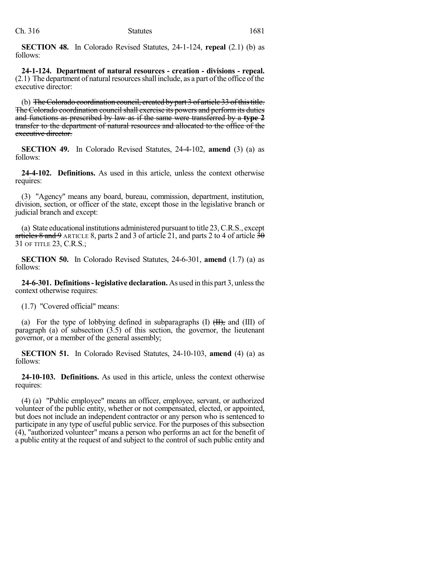**SECTION 48.** In Colorado Revised Statutes, 24-1-124, **repeal** (2.1) (b) as follows:

**24-1-124. Department of natural resources - creation - divisions - repeal.**  $(2.1)$  The department of natural resources shall include, as a part of the office of the executive director:

(b) The Colorado coordination council, created by part 3 of article 33 of this title. The Colorado coordination council shall exercise its powers and perform its duties and functions as prescribed by law as if the same were transferred by a **type 2** transfer to the department of natural resources and allocated to the office of the executive director.

**SECTION 49.** In Colorado Revised Statutes, 24-4-102, **amend** (3) (a) as follows:

**24-4-102. Definitions.** As used in this article, unless the context otherwise requires:

(3) "Agency" means any board, bureau, commission, department, institution, division, section, or officer of the state, except those in the legislative branch or judicial branch and except:

(a) State educational institutions administered pursuant to title 23,C.R.S., except articles  $8$  and  $9$  ARTICLE 8, parts 2 and 3 of article 21, and parts 2 to 4 of article  $3\theta$ 31 OF TITLE 23, C.R.S.;

**SECTION 50.** In Colorado Revised Statutes, 24-6-301, **amend** (1.7) (a) as follows:

**24-6-301. Definitions-legislative declaration.** As used in this part 3, unlessthe context otherwise requires:

(1.7) "Covered official" means:

(a) For the type of lobbying defined in subparagraphs  $(I)$   $(H)$ , and  $(III)$  of paragraph (a) of subsection (3.5) of this section, the governor, the lieutenant governor, or a member of the general assembly;

**SECTION 51.** In Colorado Revised Statutes, 24-10-103, **amend** (4) (a) as follows:

**24-10-103. Definitions.** As used in this article, unless the context otherwise requires:

(4) (a) "Public employee" means an officer, employee, servant, or authorized volunteer of the public entity, whether or not compensated, elected, or appointed, but does not include an independent contractor or any person who is sentenced to participate in any type of useful public service. For the purposes of this subsection (4), "authorized volunteer" means a person who performs an act for the benefit of a public entity at the request of and subject to the control of such public entity and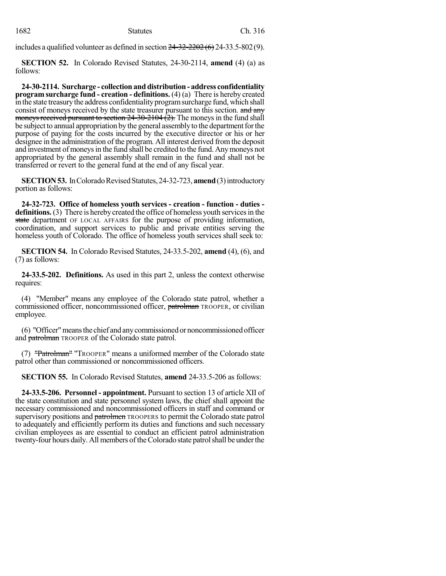includes a qualified volunteer as defined in section  $24-32-2202(6)$  24-33.5-802(9).

**SECTION 52.** In Colorado Revised Statutes, 24-30-2114, **amend** (4) (a) as follows:

**24-30-2114. Surcharge - collection and distribution - address confidentiality program surcharge fund - creation - definitions.** (4) (a) There is hereby created in the state treasury the address confidentiality program surcharge fund, which shall consist of moneys received by the state treasurer pursuant to this section. and any moneys received pursuant to section  $24-30-2104$   $(2)$ . The moneys in the fund shall be subject to annual appropriation by the general assembly to the department for the purpose of paying for the costs incurred by the executive director or his or her designee in the administration of the program. All interest derived fromthe deposit and investment of moneysin the fund shall be credited to the fund. Anymoneys not appropriated by the general assembly shall remain in the fund and shall not be transferred or revert to the general fund at the end of any fiscal year.

**SECTION 53.** In Colorado Revised Statutes, 24-32-723, **amend** (3) introductory portion as follows:

**24-32-723. Office of homeless youth services - creation - function - duties**  definitions. (3) There is hereby created the office of homeless youth services in the state department OF LOCAL AFFAIRS for the purpose of providing information, coordination, and support services to public and private entities serving the homeless youth of Colorado. The office of homeless youth services shall seek to:

**SECTION 54.** In Colorado Revised Statutes, 24-33.5-202, **amend** (4), (6), and (7) as follows:

**24-33.5-202. Definitions.** As used in this part 2, unless the context otherwise requires:

(4) "Member" means any employee of the Colorado state patrol, whether a commissioned officer, noncommissioned officer, patrolman TROOPER, or civilian employee.

(6) "Officer"meansthe chief and anycommissioned or noncommissioned officer and patrolman TROOPER of the Colorado state patrol.

(7) "Patrolman" "TROOPER" means a uniformed member of the Colorado state patrol other than commissioned or noncommissioned officers.

**SECTION 55.** In Colorado Revised Statutes, **amend** 24-33.5-206 as follows:

**24-33.5-206. Personnel - appointment.** Pursuant to section 13 of article XII of the state constitution and state personnel system laws, the chief shall appoint the necessary commissioned and noncommissioned officers in staff and command or supervisory positions and patrolmen TROOPERS to permit the Colorado state patrol to adequately and efficiently perform its duties and functions and such necessary civilian employees as are essential to conduct an efficient patrol administration twenty-four hours daily. All members of the Colorado state patrol shall be under the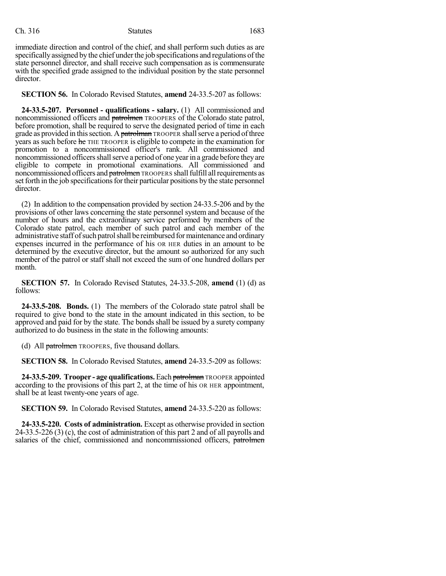# Ch. 316 Statutes 1683

immediate direction and control of the chief, and shall perform such duties as are specifically assigned by the chief under the job specifications and regulations of the state personnel director, and shall receive such compensation as is commensurate with the specified grade assigned to the individual position by the state personnel director.

**SECTION 56.** In Colorado Revised Statutes, **amend** 24-33.5-207 as follows:

**24-33.5-207. Personnel - qualifications - salary.** (1) All commissioned and noncommissioned officers and patrolmen TROOPERS of the Colorado state patrol, before promotion, shall be required to serve the designated period of time in each grade as provided in this section. A patrolman TROOPER shall serve a period of three years as such before he THE TROOPER is eligible to compete in the examination for promotion to a noncommissioned officer's rank. All commissioned and noncommissioned officers shall serve a period of one year in a grade before they are eligible to compete in promotional examinations. All commissioned and noncommissioned officers and patrolmen TROOPERS shall fulfill all requirements as set forth in the job specifications for their particular positions by the state personnel director.

(2) In addition to the compensation provided by section 24-33.5-206 and by the provisions of other laws concerning the state personnel system and because of the number of hours and the extraordinary service performed by members of the Colorado state patrol, each member of such patrol and each member of the administrative staff of such patrol shall be reimbursed for maintenance and ordinary expenses incurred in the performance of his OR HER duties in an amount to be determined by the executive director, but the amount so authorized for any such member of the patrol or staff shall not exceed the sum of one hundred dollars per month.

**SECTION 57.** In Colorado Revised Statutes, 24-33.5-208, **amend** (1) (d) as follows:

**24-33.5-208. Bonds.** (1) The members of the Colorado state patrol shall be required to give bond to the state in the amount indicated in this section, to be approved and paid for by the state. The bonds shall be issued by a surety company authorized to do business in the state in the following amounts:

(d) All **patrolmen** TROOPERS, five thousand dollars.

**SECTION 58.** In Colorado Revised Statutes, **amend** 24-33.5-209 as follows:

**24-33.5-209. Trooper - age qualifications.** Each patrolman TROOPER appointed according to the provisions of this part 2, at the time of his OR HER appointment, shall be at least twenty-one years of age.

**SECTION 59.** In Colorado Revised Statutes, **amend** 24-33.5-220 as follows:

**24-33.5-220. Costs of administration.** Except as otherwise provided in section 24-33.5-226 (3) (c), the cost of administration of this part 2 and of all payrolls and salaries of the chief, commissioned and noncommissioned officers, patrolmen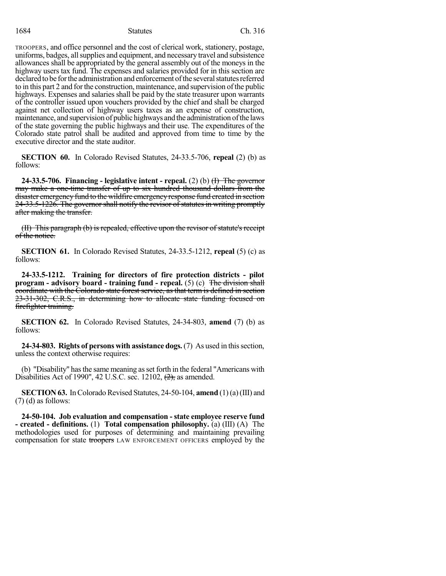# 1684 Ch. 316

TROOPERS, and office personnel and the cost of clerical work, stationery, postage, uniforms, badges, all supplies and equipment, and necessary travel and subsistence allowances shall be appropriated by the general assembly out of the moneys in the highway users tax fund. The expenses and salaries provided for in this section are declared to be for the administration and enforcement of the several statutes referred to in this part 2 and forthe construction, maintenance, and supervision ofthe public highways. Expenses and salaries shall be paid by the state treasurer upon warrants of the controller issued upon vouchers provided by the chief and shall be charged against net collection of highway users taxes as an expense of construction, maintenance, and supervision of public highways and the administration of the laws of the state governing the public highways and their use. The expenditures of the Colorado state patrol shall be audited and approved from time to time by the executive director and the state auditor.

**SECTION 60.** In Colorado Revised Statutes, 24-33.5-706, **repeal** (2) (b) as follows:

**24-33.5-706. Financing - legislative intent - repeal.** (2) (b) (I) The governor may make a one-time transfer of up to six hundred thousand dollars from the disaster emergency fund to the wildfire emergency response fund created in section 24-33.5-1226. The governor shall notify the revisor of statutes in writing promptly after making the transfer.

(II) This paragraph (b) is repealed, effective upon the revisor of statute's receipt of the notice.

**SECTION 61.** In Colorado Revised Statutes, 24-33.5-1212, **repeal** (5) (c) as follows:

**24-33.5-1212. Training for directors of fire protection districts - pilot program - advisory board - training fund - repeal.** (5) (c) The division shall coordinate with the Colorado state forest service, as that term is defined in section 23-31-302, C.R.S., in determining how to allocate state funding focused on firefighter training.

**SECTION 62.** In Colorado Revised Statutes, 24-34-803, **amend** (7) (b) as follows:

**24-34-803. Rights of persons with assistance dogs.**(7) As used in thissection, unless the context otherwise requires:

(b) "Disability" hasthe same meaning asset forth in the federal "Americans with Disabilities Act of 1990", 42 U.S.C. sec. 12102,  $(2)$ , as amended.

**SECTION 63.** In Colorado Revised Statutes, 24-50-104, **amend** (1)(a)(III) and (7) (d) as follows:

**24-50-104. Job evaluation and compensation - state employee reserve fund - created - definitions.** (1) **Total compensation philosophy.** (a) (III) (A) The methodologies used for purposes of determining and maintaining prevailing compensation for state troopers LAW ENFORCEMENT OFFICERS employed by the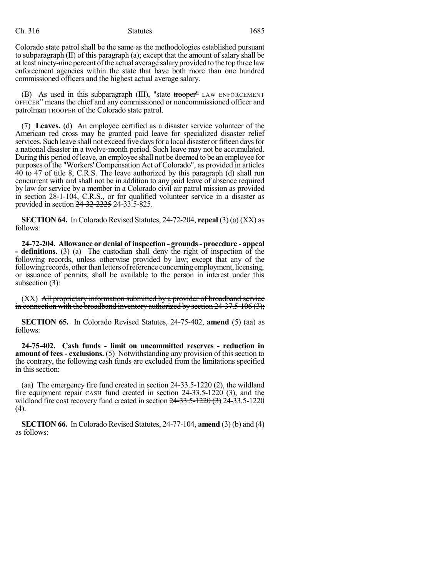## Ch. 316 Statutes 1685

Colorado state patrol shall be the same as the methodologies established pursuant to subparagraph  $(II)$  of this paragraph  $(a)$ ; except that the amount of salary shall be at least ninety-nine percent of the actual average salary provided to the top three law enforcement agencies within the state that have both more than one hundred commissioned officers and the highest actual average salary.

(B) As used in this subparagraph (III), "state  $t$ rooper" LAW ENFORCEMENT OFFICER" means the chief and any commissioned or noncommissioned officer and **patrolman** TROOPER of the Colorado state patrol.

(7) **Leaves.** (d) An employee certified as a disaster service volunteer of the American red cross may be granted paid leave for specialized disaster relief services. Such leave shall not exceed five days for a local disaster or fifteen days for a national disaster in a twelve-month period. Such leave may not be accumulated. During this period of leave, an employee shall not be deemed to be an employee for purposes of the "Workers' Compensation Act of Colorado", as provided in articles 40 to 47 of title 8, C.R.S. The leave authorized by this paragraph (d) shall run concurrent with and shall not be in addition to any paid leave of absence required by law for service by a member in a Colorado civil air patrol mission as provided in section 28-1-104, C.R.S., or for qualified volunteer service in a disaster as provided in section  $24-32-2225$  24-33.5-825.

**SECTION 64.** In Colorado Revised Statutes, 24-72-204, **repeal** (3) (a) (XX) as follows:

**24-72-204. Allowance or denial of inspection - grounds- procedure - appeal - definitions.** (3) (a) The custodian shall deny the right of inspection of the following records, unless otherwise provided by law; except that any of the following records, other than letters of reference concerning employment, licensing, or issuance of permits, shall be available to the person in interest under this subsection (3):

(XX) All proprietary information submitted by a provider of broadband service in connection with the broadband inventory authorized by section  $24-37.5-106(3)$ ;

**SECTION 65.** In Colorado Revised Statutes, 24-75-402, **amend** (5) (aa) as follows:

**24-75-402. Cash funds - limit on uncommitted reserves - reduction in amount of fees - exclusions.** (5) Notwithstanding any provision of this section to the contrary, the following cash funds are excluded from the limitations specified in this section:

(aa) The emergency fire fund created in section 24-33.5-1220 (2), the wildland fire equipment repair CASH fund created in section 24-33.5-1220 (3), and the wildland fire cost recovery fund created in section  $24-33.5-1220$  (3) 24-33.5-1220 (4).

**SECTION 66.** In Colorado Revised Statutes, 24-77-104, **amend** (3) (b) and (4) as follows: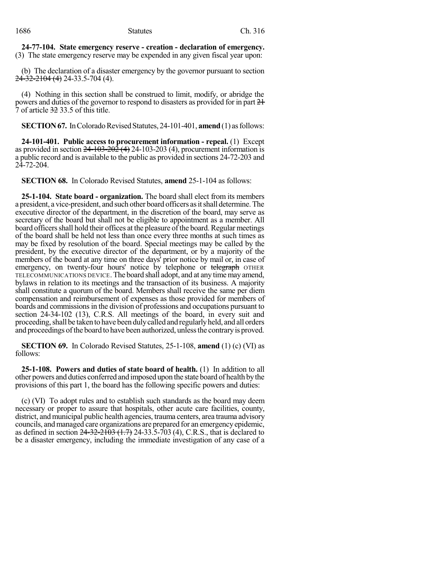**24-77-104. State emergency reserve - creation - declaration of emergency.** (3) The state emergency reserve may be expended in any given fiscal year upon:

(b) The declaration of a disaster emergency by the governor pursuant to section 24-32-2104 (4) 24-33.5-704 (4).

(4) Nothing in this section shall be construed to limit, modify, or abridge the powers and duties of the governor to respond to disasters as provided for in part 21 7 of article 32 33.5 of this title.

**SECTION 67.** In Colorado Revised Statutes, 24-101-401, **amend** (1) as follows:

**24-101-401. Public access to procurement information - repeal.** (1) Except as provided in section  $24-103-202$  (4) 24-103-203 (4), procurement information is a public record and is available to the public as provided in sections 24-72-203 and 24-72-204.

**SECTION 68.** In Colorado Revised Statutes, **amend** 25-1-104 as follows:

**25-1-104. State board - organization.** The board shall elect from its members a president, a vice-president, and such other board officers asitshall determine.The executive director of the department, in the discretion of the board, may serve as secretary of the board but shall not be eligible to appointment as a member. All board officersshall hold their offices at the pleasure ofthe board.Regular meetings of the board shall be held not less than once every three months at such times as may be fixed by resolution of the board. Special meetings may be called by the president, by the executive director of the department, or by a majority of the members of the board at any time on three days' prior notice by mail or, in case of emergency, on twenty-four hours' notice by telephone or telegraph OTHER TELECOMMUNICATIONS DEVICE.The board shall adopt, and at any timemay amend, bylaws in relation to its meetings and the transaction of its business. A majority shall constitute a quorum of the board. Members shall receive the same per diem compensation and reimbursement of expenses as those provided for members of boards and commissionsin the division of professions and occupations pursuant to section 24-34-102 (13), C.R.S. All meetings of the board, in every suit and proceeding, shall be taken to have been duly called and regularly held, and all orders and proceedings ofthe board to have been authorized, unlessthe contraryis proved.

**SECTION 69.** In Colorado Revised Statutes, 25-1-108, **amend** (1) (c) (VI) as follows:

**25-1-108. Powers and duties of state board of health.** (1) In addition to all other powers and duties conferred and imposed upon the state board of health bythe provisions of this part 1, the board has the following specific powers and duties:

(c) (VI) To adopt rules and to establish such standards as the board may deem necessary or proper to assure that hospitals, other acute care facilities, county, district, and municipal public health agencies, trauma centers, area trauma advisory councils, and managed care organizations are prepared for an emergency epidemic, as defined in section  $24-32-2103$   $(1.7)$  24-33.5-703  $(4)$ , C.R.S., that is declared to be a disaster emergency, including the immediate investigation of any case of a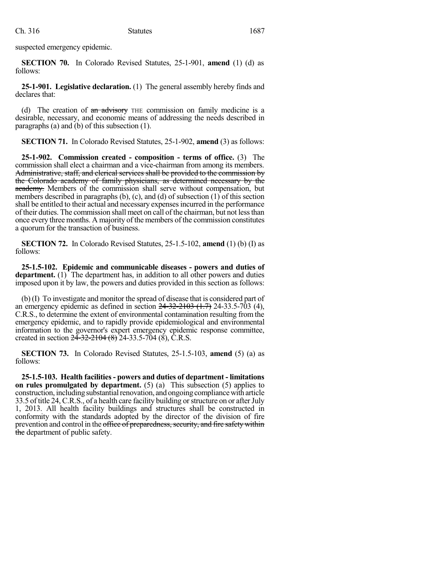suspected emergency epidemic.

**SECTION 70.** In Colorado Revised Statutes, 25-1-901, **amend** (1) (d) as follows:

**25-1-901. Legislative declaration.** (1) The general assembly hereby finds and declares that:

(d) The creation of  $\theta$  an advisory THE commission on family medicine is a desirable, necessary, and economic means of addressing the needs described in paragraphs (a) and (b) of this subsection (1).

**SECTION 71.** In Colorado Revised Statutes, 25-1-902, **amend** (3) as follows:

**25-1-902. Commission created - composition - terms of office.** (3) The commission shall elect a chairman and a vice-chairman from among its members. Administrative, staff, and clerical services shall be provided to the commission by the Colorado academy of family physicians, as determined necessary by the academy. Members of the commission shall serve without compensation, but members described in paragraphs (b), (c), and (d) of subsection  $(1)$  of this section shall be entitled to their actual and necessary expensesincurred in the performance of their duties. The commission shall meet on call of the chairman, but not lessthan once every three months. A majority of the members of the commission constitutes a quorum for the transaction of business.

**SECTION 72.** In Colorado Revised Statutes, 25-1.5-102, **amend** (1) (b) (I) as follows:

**25-1.5-102. Epidemic and communicable diseases - powers and duties of** department. (1) The department has, in addition to all other powers and duties imposed upon it by law, the powers and duties provided in this section as follows:

(b) (I) To investigate and monitor the spread of disease that is considered part of an emergency epidemic as defined in section  $24-32-2103$   $(1.7)$  24-33.5-703 (4), C.R.S., to determine the extent of environmental contamination resulting from the emergency epidemic, and to rapidly provide epidemiological and environmental information to the governor's expert emergency epidemic response committee, created in section  $2\overline{4} - 32 - 2104$  (8)  $24 - 33.5 - 704$  (8), C.R.S.

**SECTION 73.** In Colorado Revised Statutes, 25-1.5-103, **amend** (5) (a) as follows:

**25-1.5-103. Health facilities- powers and duties of department - limitations on rules promulgated by department.** (5) (a) This subsection (5) applies to construction, including substantial renovation, and ongoing compliance with article 33.5 of title 24, C.R.S., of a health care facility building orstructure on or afterJuly 1, 2013. All health facility buildings and structures shall be constructed in conformity with the standards adopted by the director of the division of fire prevention and control in the office of preparedness, security, and fire safety within the department of public safety.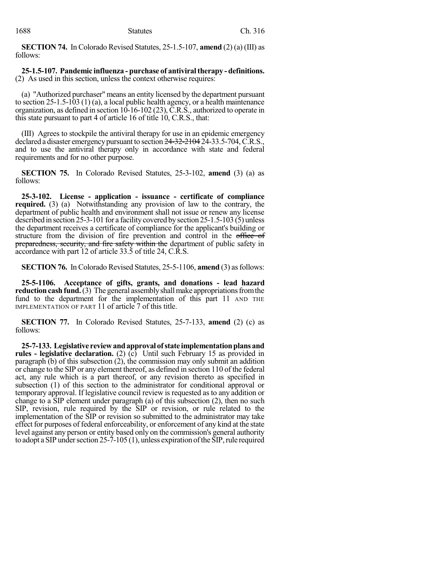**SECTION 74.** In Colorado Revised Statutes, 25-1.5-107, **amend** (2) (a) (III) as follows:

### **25-1.5-107. Pandemic influenza - purchase of antiviraltherapy - definitions.** (2) As used in this section, unless the context otherwise requires:

(a) "Authorized purchaser" means an entity licensed by the department pursuant to section 25-1.5-103 (1) (a), a local public health agency, or a health maintenance organization, as defined in section 10-16-102 (23), C.R.S., authorized to operate in this state pursuant to part 4 of article 16 of title 10, C.R.S., that:

(III) Agrees to stockpile the antiviral therapy for use in an epidemic emergency declared a disaster emergency pursuant to section 24-32-2104 24-33.5-704, C.R.S., and to use the antiviral therapy only in accordance with state and federal requirements and for no other purpose.

**SECTION 75.** In Colorado Revised Statutes, 25-3-102, **amend** (3) (a) as follows:

**25-3-102. License - application - issuance - certificate of compliance required.** (3) (a) Notwithstanding any provision of law to the contrary, the department of public health and environment shall not issue or renew any license described in section 25-3-101 for a facility covered by section 25-1.5-103 (5) unless the department receives a certificate of compliance for the applicant's building or structure from the division of fire prevention and control in the office of preparedness, security, and fire safety within the department of public safety in accordance with part 12 of article 33.5 of title 24, C.R.S.

**SECTION 76.** In Colorado Revised Statutes, 25-5-1106, **amend** (3) as follows:

**25-5-1106. Acceptance of gifts, grants, and donations - lead hazard reduction cash fund.** (3) The general assembly shall make appropriations from the fund to the department for the implementation of this part 11 AND THE IMPLEMENTATION OF PART 11 of article 7 of this title.

**SECTION 77.** In Colorado Revised Statutes, 25-7-133, **amend** (2) (c) as follows:

**25-7-133. Legislative reviewandapproval of state implementationplansand rules - legislative declaration.** (2) (c) Until such February 15 as provided in paragraph (b) of this subsection (2), the commission may only submit an addition or change to the SIP or any element thereof, as defined in section 110 of the federal act, any rule which is a part thereof, or any revision thereto as specified in subsection (1) of this section to the administrator for conditional approval or temporary approval. If legislative council review is requested as to any addition or change to a SIP element under paragraph (a) of this subsection (2), then no such SIP, revision, rule required by the SIP or revision, or rule related to the implementation of the SIP or revision so submitted to the administrator may take effect for purposes of federal enforceability, or enforcement of any kind at the state level against any person or entity based only on the commission's general authority to adopt a SIP under section  $25-7-105$  (1), unless expiration of the SIP, rule required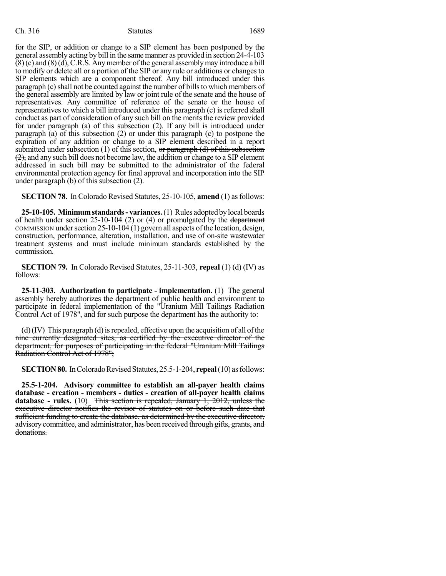## Ch. 316 Statutes 1689

for the SIP, or addition or change to a SIP element has been postponed by the general assembly acting by bill in the same manner as provided in section 24-4-103  $(8)$  (c) and  $(8)$  (d), C.R.S. Any member of the general assembly may introduce a bill to modify or delete all or a portion of the SIP or any rule or additions or changes to SIP elements which are a component thereof. Any bill introduced under this paragraph (c) shall not be counted against the number of bills to which members of the general assembly are limited by law or joint rule of the senate and the house of representatives. Any committee of reference of the senate or the house of representatives to which a bill introduced under this paragraph (c) is referred shall conduct as part of consideration of any such bill on the merits the review provided for under paragraph (a) of this subsection (2). If any bill is introduced under paragraph (a) of this subsection (2) or under this paragraph (c) to postpone the expiration of any addition or change to a SIP element described in a report submitted under subsection (1) of this section, or paragraph (d) of this subsection  $(2)$ , and any such bill does not become law, the addition or change to a SIP element addressed in such bill may be submitted to the administrator of the federal environmental protection agency for final approval and incorporation into the SIP under paragraph (b) of this subsection (2).

**SECTION 78.** In Colorado Revised Statutes, 25-10-105, **amend** (1) as follows:

**25-10-105. Minimumstandards- variances.**(1) Rules adopted bylocal boards of health under section 25-10-104 (2) or (4) or promulgated by the department  $COMMISSION$  under section  $25-10-104$  (1) govern all aspects of the location, design, construction, performance, alteration, installation, and use of on-site wastewater treatment systems and must include minimum standards established by the commission.

**SECTION 79.** In Colorado Revised Statutes, 25-11-303, **repeal** (1) (d) (IV) as follows:

**25-11-303. Authorization to participate - implementation.** (1) The general assembly hereby authorizes the department of public health and environment to participate in federal implementation of the "Uranium Mill Tailings Radiation Control Act of 1978", and for such purpose the department has the authority to:

 $(d)(IV)$  This paragraph  $(d)$  is repealed, effective upon the acquisition of all of the nine currently designated sites, as certified by the executive director of the department, for purposes of participating in the federal "Uranium Mill Tailings Radiation Control Act of 1978";

**SECTION 80.** In Colorado Revised Statutes, 25.5-1-204, **repeal** (10) as follows:

**25.5-1-204. Advisory committee to establish an all-payer health claims database - creation - members - duties - creation of all-payer health claims database - rules.** (10) This section is repealed, January 1, 2012, unless the executive director notifies the revisor of statutes on or before such date that sufficient funding to create the database, as determined by the executive director, advisory committee, and administrator, has been received through gifts, grants, and donations.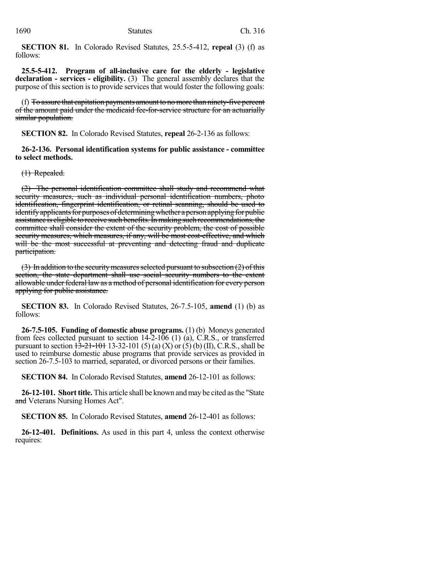**SECTION 81.** In Colorado Revised Statutes, 25.5-5-412, **repeal** (3) (f) as follows:

**25.5-5-412. Program of all-inclusive care for the elderly - legislative declaration - services - eligibility.** (3) The general assembly declares that the purpose of this section is to provide services that would foster the following goals:

(f) To assure that capitation payments amount to no more than ninety-five percent of the amount paid under the medicaid fee-for-service structure for an actuarially similar population.

**SECTION 82.** In Colorado Revised Statutes, **repeal** 26-2-136 as follows:

**26-2-136. Personal identification systems for public assistance - committee to select methods.**

(1) Repealed.

(2) The personal identification committee shall study and recommend what security measures, such as individual personal identification numbers, photo identification, fingerprint identification, or retinal scanning, should be used to identify applicants for purposes of determining whether a person applying for public assistance is eligible to receive such benefits. In making such recommendations, the committee shall consider the extent of the security problem, the cost of possible security measures, which measures, if any, will be most cost-effective, and which will be the most successful at preventing and detecting fraud and duplicate participation.

 $(3)$  In addition to the security measures selected pursuant to subsection  $(2)$  of this section, the state department shall use social security numbers to the extent allowable under federal law as a method of personal identification for every person applying for public assistance.

**SECTION 83.** In Colorado Revised Statutes, 26-7.5-105, **amend** (1) (b) as follows:

**26-7.5-105. Funding of domestic abuse programs.** (1) (b) Moneys generated from fees collected pursuant to section 14-2-106 (1) (a), C.R.S., or transferred pursuant to section  $13-21-101$  13-32-101 (5) (a) (X) or (5) (b) (II), C.R.S., shall be used to reimburse domestic abuse programs that provide services as provided in section 26-7.5-103 to married, separated, or divorced persons or their families.

**SECTION 84.** In Colorado Revised Statutes, **amend** 26-12-101 as follows:

**26-12-101. Short title.** This article shall be known and may be cited as the "State" and Veterans Nursing Homes Act".

**SECTION 85.** In Colorado Revised Statutes, **amend** 26-12-401 as follows:

**26-12-401. Definitions.** As used in this part 4, unless the context otherwise requires: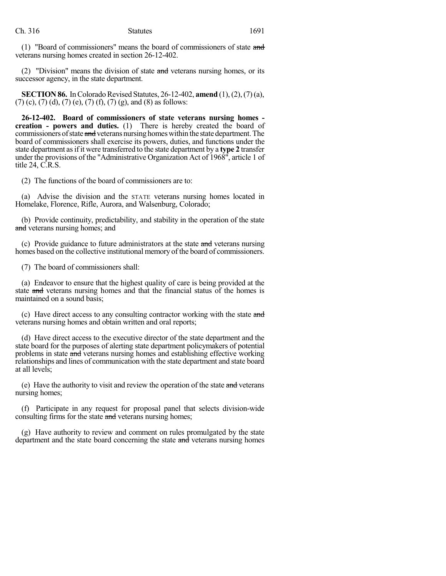(1) "Board of commissioners" means the board of commissioners of state and veterans nursing homes created in section 26-12-402.

(2) "Division" means the division of state  $\frac{1}{2}$  veterans nursing homes, or its successor agency, in the state department.

**SECTION 86.** In Colorado Revised Statutes, 26-12-402, **amend** (1), (2), (7) (a),  $(7)$  (c),  $(7)$  (d),  $(7)$  (e),  $(7)$  (f),  $(7)$  (g), and  $(8)$  as follows:

**26-12-402. Board of commissioners of state veterans nursing homes creation - powers and duties.** (1) There is hereby created the board of commissioners of state and veterans nursing homes within the state department. The board of commissioners shall exercise its powers, duties, and functions under the state department asifit were transferred to the state department by a **type 2** transfer under the provisions of the "Administrative Organization Act of 1968", article 1 of title 24, C.R.S.

(2) The functions of the board of commissioners are to:

(a) Advise the division and the STATE veterans nursing homes located in Homelake, Florence, Rifle, Aurora, and Walsenburg, Colorado;

(b) Provide continuity, predictability, and stability in the operation of the state and veterans nursing homes; and

(c) Provide guidance to future administrators at the state and veterans nursing homes based on the collective institutional memory of the board of commissioners.

(7) The board of commissioners shall:

(a) Endeavor to ensure that the highest quality of care is being provided at the state and veterans nursing homes and that the financial status of the homes is maintained on a sound basis;

(c) Have direct access to any consulting contractor working with the state and veterans nursing homes and obtain written and oral reports;

(d) Have direct access to the executive director of the state department and the state board for the purposes of alerting state department policymakers of potential problems in state and veterans nursing homes and establishing effective working relationships and lines of communication with the state department and state board at all levels;

(e) Have the authority to visit and review the operation of the state  $\ddot{a}$  veterans nursing homes;

(f) Participate in any request for proposal panel that selects division-wide consulting firms for the state and veterans nursing homes;

(g) Have authority to review and comment on rules promulgated by the state department and the state board concerning the state and veterans nursing homes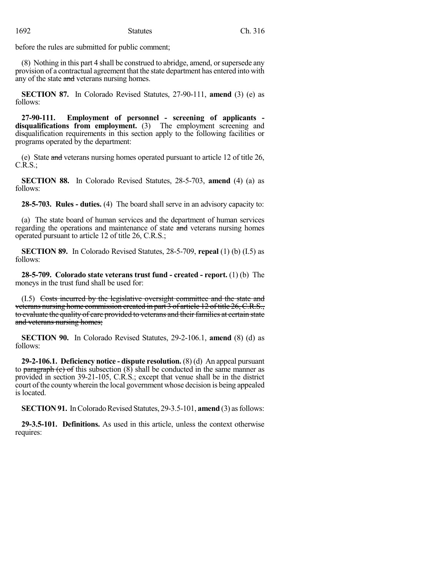before the rules are submitted for public comment;

(8) Nothing in this part 4 shall be construed to abridge, amend, orsupersede any provision of a contractual agreement that the state department has entered into with any of the state and veterans nursing homes.

**SECTION 87.** In Colorado Revised Statutes, 27-90-111, **amend** (3) (e) as follows:

**27-90-111. Employment of personnel - screening of applicants disqualifications from employment.** (3) The employment screening and disqualification requirements in this section apply to the following facilities or programs operated by the department:

(e) State and veterans nursing homes operated pursuant to article 12 of title 26, C.R.S.;

**SECTION 88.** In Colorado Revised Statutes, 28-5-703, **amend** (4) (a) as follows:

**28-5-703. Rules - duties.** (4) The board shall serve in an advisory capacity to:

(a) The state board of human services and the department of human services regarding the operations and maintenance of state and veterans nursing homes operated pursuant to article 12 of title 26, C.R.S.;

**SECTION 89.** In Colorado Revised Statutes, 28-5-709, **repeal** (1) (b) (I.5) as follows:

**28-5-709. Colorado state veterans trust fund - created - report.** (1) (b) The moneys in the trust fund shall be used for:

(I.5) Costs incurred by the legislative oversight committee and the state and veterans nursing home commission created in part 3 of article 12 of title 26, C.R.S., to evaluate the quality of care provided to veterans and their families at certain state and veterans nursing homes;

**SECTION 90.** In Colorado Revised Statutes, 29-2-106.1, **amend** (8) (d) as follows:

**29-2-106.1. Deficiency notice - dispute resolution.** (8) (d) An appeal pursuant to paragraph (c) of this subsection  $(8)$  shall be conducted in the same manner as provided in section 39-21-105, C.R.S.; except that venue shall be in the district court of the countywherein the local government whose decision is being appealed is located.

**SECTION 91.** In Colorado Revised Statutes, 29-3.5-101, **amend** (3) as follows:

**29-3.5-101. Definitions.** As used in this article, unless the context otherwise requires: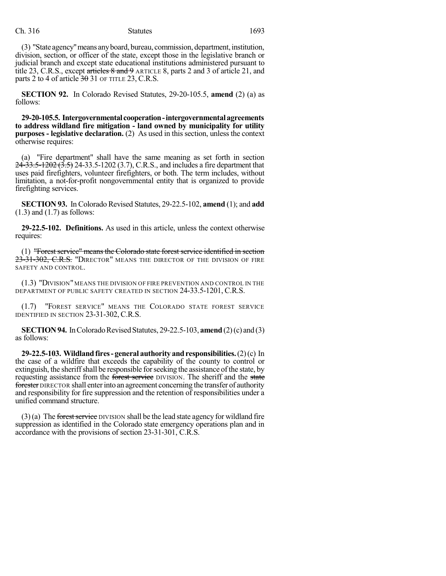(3) "State agency" means any board, bureau, commission, department, institution, division, section, or officer of the state, except those in the legislative branch or judicial branch and except state educational institutions administered pursuant to title 23, C.R.S., except articles 8 and 9 ARTICLE 8, parts 2 and 3 of article 21, and parts 2 to 4 of article  $30\overline{0}$  31 OF TITLE 23, C.R.S.

**SECTION 92.** In Colorado Revised Statutes, 29-20-105.5, **amend** (2) (a) as follows:

**29-20-105.5. Intergovernmental cooperation-intergovernmentalagreements to address wildland fire mitigation - land owned by municipality for utility purposes - legislative declaration.** (2) As used in this section, unless the context otherwise requires:

(a) "Fire department" shall have the same meaning as set forth in section  $24-33.5-1202$   $(3.5)$  24-33.5-1202 (3.7), C.R.S., and includes a fire department that uses paid firefighters, volunteer firefighters, or both. The term includes, without limitation, a not-for-profit nongovernmental entity that is organized to provide firefighting services.

**SECTION 93.** In Colorado Revised Statutes, 29-22.5-102, **amend** (1); and **add** (1.3) and (1.7) as follows:

**29-22.5-102. Definitions.** As used in this article, unless the context otherwise requires:

(1) "Forest service" means the Colorado state forest service identified in section 23-31-302, C.R.S. "DIRECTOR" MEANS THE DIRECTOR OF THE DIVISION OF FIRE SAFETY AND CONTROL.

(1.3) "DIVISION" MEANS THE DIVISION OF FIRE PREVENTION AND CONTROL IN THE DEPARTMENT OF PUBLIC SAFETY CREATED IN SECTION 24-33.5-1201, C.R.S.

(1.7) "FOREST SERVICE" MEANS THE COLORADO STATE FOREST SERVICE IDENTIFIED IN SECTION 23-31-302, C.R.S.

**SECTION 94.** In Colorado Revised Statutes, 29-22.5-103, **amend** (2)(c) and (3) as follows:

**29-22.5-103. Wildlandfires- general authority andresponsibilities.**(2)(c) In the case of a wildfire that exceeds the capability of the county to control or extinguish, the sheriff shall be responsible for seeking the assistance of the state, by requesting assistance from the forest service DIVISION. The sheriff and the state forester DIRECTOR shall enterinto an agreement concerning the transfer of authority and responsibility for fire suppression and the retention of responsibilities under a unified command structure.

 $(3)(a)$  The forest service DIVISION shall be the lead state agency for wildland fire suppression as identified in the Colorado state emergency operations plan and in accordance with the provisions of section 23-31-301, C.R.S.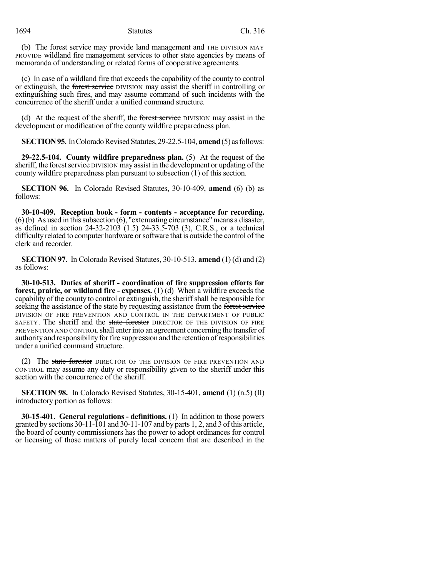(b) The forest service may provide land management and THE DIVISION MAY PROVIDE wildland fire management services to other state agencies by means of memoranda of understanding or related forms of cooperative agreements.

(c) In case of a wildland fire that exceeds the capability of the county to control or extinguish, the forest service DIVISION may assist the sheriff in controlling or extinguishing such fires, and may assume command of such incidents with the concurrence of the sheriff under a unified command structure.

(d) At the request of the sheriff, the forest service DIVISION may assist in the development or modification of the county wildfire preparedness plan.

**SECTION 95.** In Colorado Revised Statutes, 29-22.5-104, **amend** (5) as follows:

**29-22.5-104. County wildfire preparedness plan.** (5) At the request of the sheriff, the forest service DIVISION may assist in the development or updating of the county wildfire preparedness plan pursuant to subsection (1) of this section.

**SECTION 96.** In Colorado Revised Statutes, 30-10-409, **amend** (6) (b) as follows:

**30-10-409. Reception book - form - contents - acceptance for recording.**  $(6)$  (b) As used in this subsection  $(6)$ , "extenuating circumstance" means a disaster, as defined in section  $24-32-2103$   $(1.5)$  24-33.5-703 (3), C.R.S., or a technical difficulty related to computer hardware orsoftware that is outside the control of the clerk and recorder.

**SECTION 97.** In Colorado Revised Statutes, 30-10-513, **amend** (1) (d) and (2) as follows:

**30-10-513. Duties of sheriff - coordination of fire suppression efforts for forest, prairie, or wildland fire - expenses.** (1) (d) When a wildfire exceeds the capability of the county to control or extinguish, the sheriff shall be responsible for seeking the assistance of the state by requesting assistance from the forest service DIVISION OF FIRE PREVENTION AND CONTROL IN THE DEPARTMENT OF PUBLIC SAFETY. The sheriff and the state forester DIRECTOR OF THE DIVISION OF FIRE PREVENTION AND CONTROL shall enterinto an agreement concerning the transfer of authority and responsibility for fire suppression and the retention of responsibilities under a unified command structure.

(2) The state forester DIRECTOR OF THE DIVISION OF FIRE PREVENTION AND CONTROL may assume any duty or responsibility given to the sheriff under this section with the concurrence of the sheriff.

**SECTION 98.** In Colorado Revised Statutes, 30-15-401, **amend** (1) (n.5) (II) introductory portion as follows:

**30-15-401. General regulations - definitions.** (1) In addition to those powers granted by sections 30-11-101 and 30-11-107 and by parts 1, 2, and 3 ofthis article, the board of county commissioners has the power to adopt ordinances for control or licensing of those matters of purely local concern that are described in the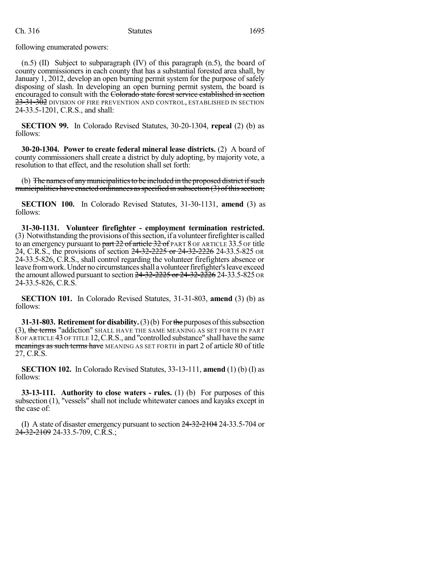following enumerated powers:

 $(n.5)$  (II) Subject to subparagraph (IV) of this paragraph  $(n.5)$ , the board of county commissioners in each county that has a substantial forested area shall, by January 1, 2012, develop an open burning permit system for the purpose of safely disposing of slash. In developing an open burning permit system, the board is encouraged to consult with the Colorado state forest service established in section 23-31-302 DIVISION OF FIRE PREVENTION AND CONTROL, ESTABLISHED IN SECTION 24-33.5-1201, C.R.S., and shall:

**SECTION 99.** In Colorado Revised Statutes, 30-20-1304, **repeal** (2) (b) as follows:

**30-20-1304. Power to create federal mineral lease districts.** (2) A board of county commissioners shall create a district by duly adopting, by majority vote, a resolution to that effect, and the resolution shall set forth:

(b) The names of any municipalities to be included in the proposed district if such municipalities have enacted ordinances as specified in subsection  $(3)$  of this section;

**SECTION 100.** In Colorado Revised Statutes, 31-30-1131, **amend** (3) as follows:

**31-30-1131. Volunteer firefighter - employment termination restricted.** (3) Notwithstanding the provisions ofthissection, if a volunteerfirefighteris called to an emergency pursuant to part 22 of article 32 of PART 8 OF ARTICLE 33.5 OF title 24, C.R.S., the provisions of section 24-32-2225 or 24-32-2226 24-33.5-825 OR 24-33.5-826, C.R.S., shall control regarding the volunteer firefighters absence or leave from work. Under no circumstances shall a volunteer firefighter's leave exceed the amount allowed pursuant to section  $24 - 32 - 2225$  or  $24 - 32 - 2226$  24-33.5-825 or 24-33.5-826, C.R.S.

**SECTION 101.** In Colorado Revised Statutes, 31-31-803, **amend** (3) (b) as follows:

**31-31-803. Retirement for disability.** (3)(b) For the purposes of this subsection (3), the terms "addiction" SHALL HAVE THE SAME MEANING AS SET FORTH IN PART 8 OF ARTICLE 43OF TITLE 12,C.R.S., and "controlled substance" shall have the same meanings as such terms have MEANING AS SET FORTH in part 2 of article 80 of title 27, C.R.S.

**SECTION 102.** In Colorado Revised Statutes, 33-13-111, **amend** (1) (b) (I) as follows:

**33-13-111. Authority to close waters - rules.** (1) (b) For purposes of this subsection (1), "vessels" shall not include whitewater canoes and kayaks except in the case of:

(I) A state of disaster emergency pursuant to section 24-32-2104 24-33.5-704 or  $24-32-2109$  24-33.5-709, C.R.S.;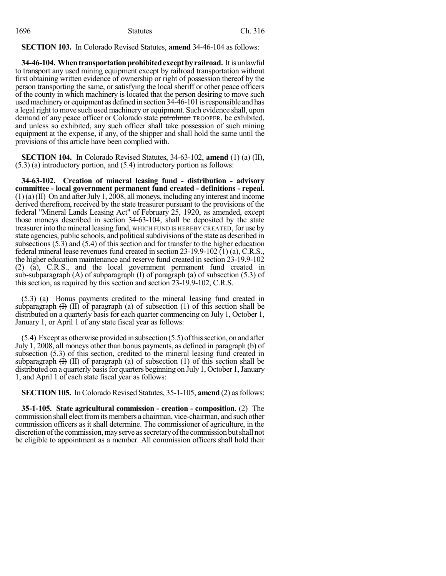**SECTION 103.** In Colorado Revised Statutes, **amend** 34-46-104 as follows:

**34-46-104. When transportation prohibited except by railroad.** It is unlawful to transport any used mining equipment except by railroad transportation without first obtaining written evidence of ownership or right of possession thereof by the person transporting the same, or satisfying the local sheriff or other peace officers of the county in which machinery is located that the person desiring to move such usedmachineryor equipment as defined in section 34-46-101 isresponsible and has a legal right to move such used machinery or equipment. Such evidence shall, upon demand of any peace officer or Colorado state patrolman TROOPER, be exhibited, and unless so exhibited, any such officer shall take possession of such mining equipment at the expense, if any, of the shipper and shall hold the same until the provisions of this article have been complied with.

**SECTION 104.** In Colorado Revised Statutes, 34-63-102, **amend** (1) (a) (II), (5.3) (a) introductory portion, and (5.4) introductory portion as follows:

**34-63-102. Creation of mineral leasing fund - distribution - advisory committee - local government permanent fund created - definitions - repeal.**  $(1)$  (a) (II) On and after July 1, 2008, all moneys, including any interest and income derived therefrom, received by the state treasurer pursuant to the provisions of the federal "Mineral Lands Leasing Act" of February 25, 1920, as amended, except those moneys described in section 34-63-104, shall be deposited by the state treasurerinto the mineral leasing fund, WHICH FUND IS HEREBY CREATED,for use by state agencies, public schools, and political subdivisions of the state as described in subsections (5.3) and (5.4) of this section and for transfer to the higher education federal mineral lease revenues fund created in section  $23-19.9-102$  (1) (a), C.R.S., the higher education maintenance and reserve fund created in section 23-19.9-102 (2) (a), C.R.S., and the local government permanent fund created in sub-subparagraph (A) of subparagraph (I) of paragraph (a) of subsection (5.3) of this section, as required by this section and section 23-19.9-102, C.R.S.

(5.3) (a) Bonus payments credited to the mineral leasing fund created in subparagraph  $(H)$  (II) of paragraph (a) of subsection (1) of this section shall be distributed on a quarterly basis for each quarter commencing on July 1, October 1, January 1, or April 1 of any state fiscal year as follows:

 $(5.4)$  Except as otherwise provided in subsection  $(5.5)$  of this section, on and after July 1, 2008, all moneys other than bonus payments, as defined in paragraph (b) of subsection (5.3) of this section, credited to the mineral leasing fund created in subparagraph  $(H)$  (II) of paragraph (a) of subsection (1) of this section shall be distributed on a quarterly basis for quarters beginning on July 1, October 1, January 1, and April 1 of each state fiscal year as follows:

**SECTION 105.** In Colorado Revised Statutes, 35-1-105, **amend** (2) as follows:

**35-1-105. State agricultural commission - creation - composition.** (2) The commission shall elect from its members a chairman, vice-chairman, and such other commission officers as it shall determine. The commissioner of agriculture, in the discretion of the commission, may serve as secretary of the commission but shall not be eligible to appointment as a member. All commission officers shall hold their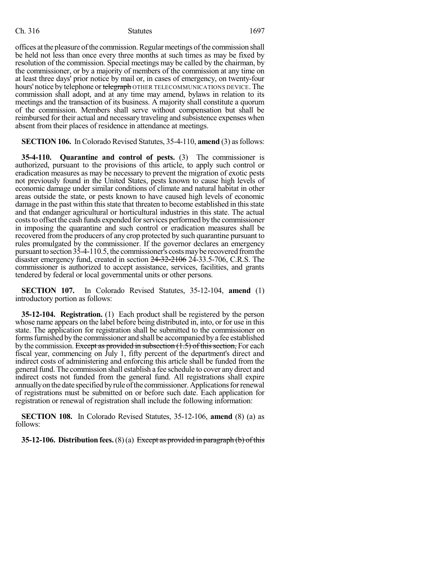offices at the pleasure of the commission. Regular meetings of the commission shall be held not less than once every three months at such times as may be fixed by resolution of the commission. Special meetings may be called by the chairman, by the commissioner, or by a majority of members of the commission at any time on at least three days' prior notice by mail or, in cases of emergency, on twenty-four hours' notice by telephone or telegraph OTHER TELECOMMUNICATIONS DEVICE. The commission shall adopt, and at any time may amend, bylaws in relation to its meetings and the transaction of its business. A majority shall constitute a quorum of the commission. Members shall serve without compensation but shall be reimbursed for their actual and necessary traveling and subsistence expenses when absent from their places of residence in attendance at meetings.

**SECTION 106.** In Colorado Revised Statutes, 35-4-110, **amend** (3) asfollows:

**35-4-110. Quarantine and control of pests.** (3) The commissioner is authorized, pursuant to the provisions of this article, to apply such control or eradication measures as may be necessary to prevent the migration of exotic pests not previously found in the United States, pests known to cause high levels of economic damage under similar conditions of climate and natural habitat in other areas outside the state, or pests known to have caused high levels of economic damage in the past within this state that threaten to become established in this state and that endanger agricultural or horticultural industries in this state. The actual coststo offset the cash funds expended forservices performed by the commissioner in imposing the quarantine and such control or eradication measures shall be recovered fromthe producers of any crop protected by such quarantine pursuant to rules promulgated by the commissioner. If the governor declares an emergency pursuant to section 35-4-110.5, the commissioner's costsmaybe recovered fromthe disaster emergency fund, created in section 24-32-2106 24-33.5-706, C.R.S. The commissioner is authorized to accept assistance, services, facilities, and grants tendered by federal or local governmental units or other persons.

**SECTION 107.** In Colorado Revised Statutes, 35-12-104, **amend** (1) introductory portion as follows:

**35-12-104. Registration.** (1) Each product shall be registered by the person whose name appears on the label before being distributed in, into, or for use in this state. The application for registration shall be submitted to the commissioner on forms furnished by the commissioner and shall be accompanied by a fee established by the commission. Except as provided in subsection  $(1.5)$  of this section, For each fiscal year, commencing on July 1, fifty percent of the department's direct and indirect costs of administering and enforcing this article shall be funded from the generalfund. The commission shall establish a fee schedule to cover any direct and indirect costs not funded from the general fund. All registrations shall expire annually on the date specified by rule of the commissioner. Applications for renewal of registrations must be submitted on or before such date. Each application for registration or renewal of registration shall include the following information:

**SECTION 108.** In Colorado Revised Statutes, 35-12-106, **amend** (8) (a) as follows:

**35-12-106. Distribution fees.**(8)(a) Except as provided in paragraph (b) ofthis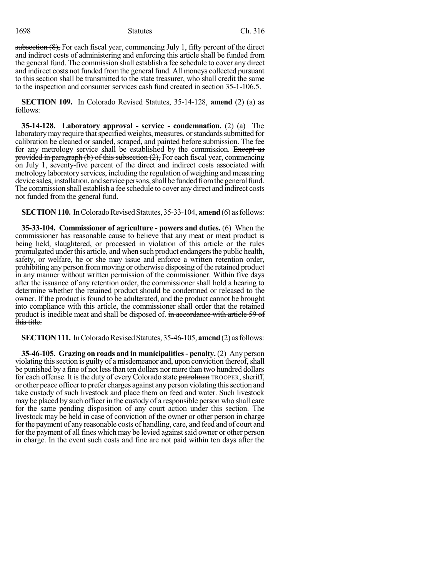subsection  $(8)$ , For each fiscal year, commencing July 1, fifty percent of the direct and indirect costs of administering and enforcing this article shall be funded from the general fund. The commission shall establish a fee schedule to cover any direct and indirect costs not funded fromthe general fund. All moneys collected pursuant to this section shall be transmitted to the state treasurer, who shall credit the same to the inspection and consumer services cash fund created in section 35-1-106.5.

**SECTION 109.** In Colorado Revised Statutes, 35-14-128, **amend** (2) (a) as follows:

**35-14-128. Laboratory approval - service - condemnation.** (2) (a) The laboratory may require that specified weights, measures, or standards submitted for calibration be cleaned or sanded, scraped, and painted before submission. The fee for any metrology service shall be established by the commission. Except as provided in paragraph (b) of this subsection  $(2)$ , For each fiscal year, commencing on July 1, seventy-five percent of the direct and indirect costs associated with metrology laboratory services, including the regulation of weighing and measuring device sales, installation, and service persons, shall be funded from the general fund. The commission shall establish a fee schedule to cover any direct and indirect costs not funded from the general fund.

**SECTION 110.** In Colorado Revised Statutes, 35-33-104, **amend** (6) as follows:

**35-33-104. Commissioner of agriculture - powers and duties.** (6) When the commissioner has reasonable cause to believe that any meat or meat product is being held, slaughtered, or processed in violation of this article or the rules promulgated under this article, and when such product endangers the public health, safety, or welfare, he or she may issue and enforce a written retention order, prohibiting any person frommoving or otherwise disposing of the retained product in any manner without written permission of the commissioner. Within five days after the issuance of any retention order, the commissioner shall hold a hearing to determine whether the retained product should be condemned or released to the owner. If the product is found to be adulterated, and the product cannot be brought into compliance with this article, the commissioner shall order that the retained product is inedible meat and shall be disposed of. in accordance with article 59 of this title.

**SECTION 111.** In Colorado Revised Statutes, 35-46-105, **amend** (2) as follows:

**35-46-105. Grazing on roads and in municipalities- penalty.** (2) Any person violating this section is guilty of a misdemeanor and, upon conviction thereof, shall be punished by a fine of not less than ten dollars nor more than two hundred dollars for each offense. It is the duty of every Colorado state patrolman TROOPER, sheriff, or other peace officerto prefer charges against any person violating thissection and take custody of such livestock and place them on feed and water. Such livestock may be placed by such officer in the custody of a responsible person who shall care for the same pending disposition of any court action under this section. The livestock may be held in case of conviction of the owner or other person in charge forthe payment of any reasonable costs of handling, care, and feed and of court and for the payment of all fines which may be levied against said owner or other person in charge. In the event such costs and fine are not paid within ten days after the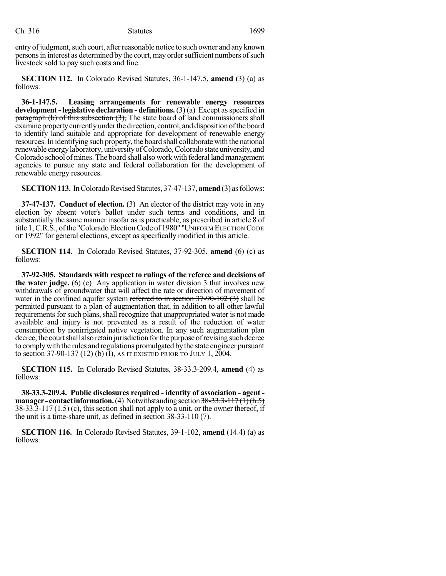entry of judgment, such court, after reasonable notice to such owner and any known persons in interest as determined by the court, may order sufficient numbers of such livestock sold to pay such costs and fine.

**SECTION 112.** In Colorado Revised Statutes, 36-1-147.5, **amend** (3) (a) as follows:

**36-1-147.5. Leasing arrangements for renewable energy resources development - legislative declaration - definitions.** (3) (a) Except asspecified in  $\frac{1}{2}$  paragraph (b) of this subsection (3), The state board of land commissioners shall examine property currently under the direction, control, and disposition of the board to identify land suitable and appropriate for development of renewable energy resources.In identifying such property, the board shall collaborate with the national renewable energylaboratory, universityofColorado,Colorado state university, and Colorado school ofmines. The board shall also work with federal landmanagement agencies to pursue any state and federal collaboration for the development of renewable energy resources.

**SECTION 113.** In Colorado Revised Statutes, 37-47-137, **amend** (3) as follows:

**37-47-137. Conduct of election.** (3) An elector of the district may vote in any election by absent voter's ballot under such terms and conditions, and in substantially the same manner insofar as is practicable, as prescribed in article 8 of title 1, C.R.S., of the "Colorado Election Code of 1980" "UNIFORM ELECTION CODE OF 1992" for general elections, except as specifically modified in this article.

**SECTION 114.** In Colorado Revised Statutes, 37-92-305, **amend** (6) (c) as follows:

**37-92-305. Standards with respect to rulings of the referee and decisions of the water judge.** (6) (c) Any application in water division 3 that involves new withdrawals of groundwater that will affect the rate or direction of movement of water in the confined aquifer system referred to in section  $37-90-102$  (3) shall be permitted pursuant to a plan of augmentation that, in addition to all other lawful requirements for such plans, shall recognize that unappropriated water is not made available and injury is not prevented as a result of the reduction of water consumption by nonirrigated native vegetation. In any such augmentation plan decree, the court shall also retain jurisdiction for the purpose of revising such decree to complywith the rules and regulations promulgated bythe state engineer pursuant to section 37-90-137 (12) (b) (I), AS IT EXISTED PRIOR TO JULY 1, 2004.

**SECTION 115.** In Colorado Revised Statutes, 38-33.3-209.4, **amend** (4) as follows:

**38-33.3-209.4. Public disclosures required - identity of association - agent manager - contact information.** (4) Notwithstanding section 38-33.3-117(1)(h.5) 38-33.3-117 (1.5) (c), this section shall not apply to a unit, or the owner thereof, if the unit is a time-share unit, as defined in section 38-33-110 (7).

**SECTION 116.** In Colorado Revised Statutes, 39-1-102, **amend** (14.4) (a) as follows: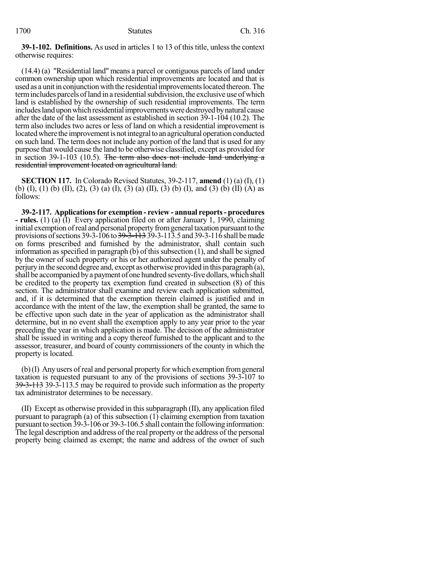**39-1-102. Definitions.** As used in articles 1 to 13 of this title, unless the context otherwise requires:

(14.4) (a) "Residential land" means a parcel or contiguous parcels of land under common ownership upon which residential improvements are located and that is used as a unit in conjunction with the residential improvements located thereon. The term includes parcels of land in a residential subdivision, the exclusive use of which land is established by the ownership of such residential improvements. The term includes land upon which residential improvements were destroyed by natural cause after the date of the last assessment as established in section 39-1-104 (10.2). The term also includes two acres or less of land on which a residential improvement is located where the improvement is not integral to an agricultural operation conducted on such land. The term does not include any portion of the land that is used for any purpose that would cause the land to be otherwise classified, except as provided for in section 39-1-103 (10.5). The term also does not include land underlying a residential improvement located on agricultural land.

**SECTION 117.** In Colorado Revised Statutes, 39-2-117, **amend** (1) (a) (I), (1) (b) (I), (1) (b) (II), (2), (3) (a) (I), (3) (a) (II), (3) (b) (I), and (3) (b) (II) (A) as follows:

**39-2-117. Applicationsfor exemption - review - annual reports- procedures - rules.** (1) (a) (I) Every application filed on or after January 1, 1990, claiming initial exemption of real and personal property from general taxation pursuant to the provisions of sections 39-3-106 to  $39-3-113$  39-3-113.5 and 39-3-116 shall be made on forms prescribed and furnished by the administrator, shall contain such information as specified in paragraph  $(b)$  of this subsection  $(1)$ , and shall be signed by the owner of such property or his or her authorized agent under the penalty of perjuryin the second degree and, except as otherwise provided in this paragraph (a), shall be accompanied by a payment of one hundred seventy-five dollars, which shall be credited to the property tax exemption fund created in subsection (8) of this section. The administrator shall examine and review each application submitted, and, if it is determined that the exemption therein claimed is justified and in accordance with the intent of the law, the exemption shall be granted, the same to be effective upon such date in the year of application as the administrator shall determine, but in no event shall the exemption apply to any year prior to the year preceding the year in which application is made. The decision of the administrator shall be issued in writing and a copy thereof furnished to the applicant and to the assessor, treasurer, and board of county commissioners of the county in which the property is located.

(b)(I) Any users of real and personal property for which exemption fromgeneral taxation is requested pursuant to any of the provisions of sections 39-3-107 to 39-3-113 39-3-113.5 may be required to provide such information as the property tax administrator determines to be necessary.

(II) Except as otherwise provided in thissubparagraph (II), any application filed pursuant to paragraph (a) of this subsection (1) claiming exemption from taxation pursuant to section 39-3-106 or 39-3-106.5 shall contain the following information: The legal description and address of the real property or the address of the personal property being claimed as exempt; the name and address of the owner of such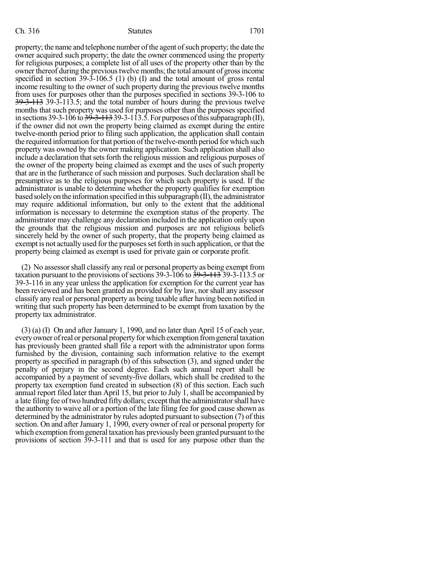property; the name and telephone number of the agent of such property; the date the owner acquired such property; the date the owner commenced using the property for religious purposes; a complete list of all uses of the property other than by the owner thereof during the previous twelve months; the total amount of gross income specified in section 39-3-106.5 (1) (b) (I) and the total amount of gross rental income resulting to the owner of such property during the previous twelve months from uses for purposes other than the purposes specified in sections 39-3-106 to 39-3-113 39-3-113.5; and the total number of hours during the previous twelve months that such property was used for purposes other than the purposes specified in sections 39-3-106 to  $\frac{39-3-113}{39-3-113}$  39-3-113.5. For purposes of this subparagraph (II), if the owner did not own the property being claimed as exempt during the entire twelve-month period prior to filing such application, the application shall contain the required information for that portion of the twelve-month period for which such property was owned by the owner making application. Such application shall also include a declaration that sets forth the religious mission and religious purposes of the owner of the property being claimed as exempt and the uses of such property that are in the furtherance of such mission and purposes. Such declaration shall be presumptive as to the religious purposes for which such property is used. If the administrator is unable to determine whether the property qualifies for exemption based solely on the information specified in this subparagraph (II), the administrator may require additional information, but only to the extent that the additional information is necessary to determine the exemption status of the property. The administrator may challenge any declaration included in the application only upon the grounds that the religious mission and purposes are not religious beliefs sincerely held by the owner of such property, that the property being claimed as exempt is not actually used for the purposes set forth in such application, or that the property being claimed as exempt is used for private gain or corporate profit.

(2) No assessorshall classify any real or personal property as being exempt from taxation pursuant to the provisions of sections  $39-3-106$  to  $39-3-113.5$  or 39-3-116 in any year unless the application for exemption for the current year has been reviewed and has been granted as provided for by law, nor shall any assessor classify any real or personal property as being taxable after having been notified in writing that such property has been determined to be exempt from taxation by the property tax administrator.

(3) (a) (I) On and after January 1, 1990, and no later than April 15 of each year, everyowner ofreal or personal property forwhich exemption fromgeneral taxation has previously been granted shall file a report with the administrator upon forms furnished by the division, containing such information relative to the exempt property as specified in paragraph (b) of this subsection (3), and signed under the penalty of perjury in the second degree. Each such annual report shall be accompanied by a payment of seventy-five dollars, which shall be credited to the property tax exemption fund created in subsection (8) of this section. Each such annual report filed later than April 15, but prior to July 1, shall be accompanied by a late filing fee oftwo hundred fifty dollars; except that the administratorshall have the authority to waive all or a portion of the late filing fee for good cause shown as determined by the administrator by rules adopted pursuant to subsection (7) of this section. On and after January 1, 1990, every owner of real or personal property for which exemption fromgeneral taxation has previously been granted pursuant to the provisions of section 39-3-111 and that is used for any purpose other than the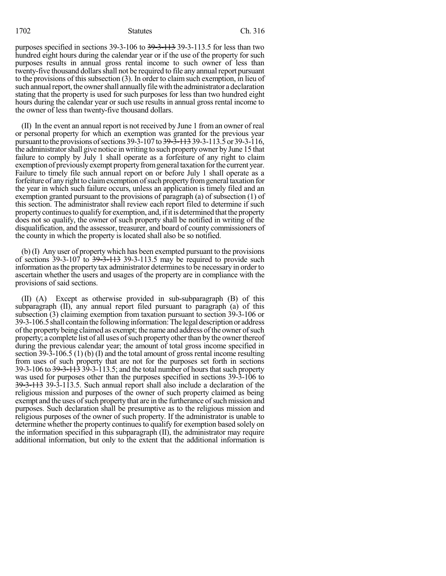purposes specified in sections 39-3-106 to 39-3-113 39-3-113.5 for less than two hundred eight hours during the calendar year or if the use of the property for such purposes results in annual gross rental income to such owner of less than twenty-five thousand dollars shall not be required to file any annual report pursuant to the provisions of this subsection  $(3)$ . In order to claim such exemption, in lieu of such annual report, the owner shall annually file with the administrator a declaration stating that the property is used for such purposes for less than two hundred eight hours during the calendar year or such use results in annual gross rental income to the owner of less than twenty-five thousand dollars.

(II) In the event an annual report is not received by June 1 from an owner of real or personal property for which an exemption was granted for the previous year pursuant to the provisions of sections 39-3-107 to <del>39-3-113</del> 39-3-113.5 or 39-3-116, the administratorshall give notice in writing to such property owner by June 15 that failure to comply by July 1 shall operate as a forfeiture of any right to claim exemption of previously exempt property from general taxation for the current year. Failure to timely file such annual report on or before July 1 shall operate as a forfeiture of any right to claim exemption of such property from general taxation for the year in which such failure occurs, unless an application is timely filed and an exemption granted pursuant to the provisions of paragraph (a) of subsection (1) of this section. The administrator shall review each report filed to determine if such property continues to qualify for exemption, and, if it is determined that the property does not so qualify, the owner of such property shall be notified in writing of the disqualification, and the assessor, treasurer, and board of county commissioners of the county in which the property is located shall also be so notified.

(b) (I) Any user of property which has been exempted pursuant to the provisions of sections  $39-3-107$  to  $39-3-113$  39-3-113.5 may be required to provide such information as the property tax administrator determines to be necessary in order to ascertain whether the users and usages of the property are in compliance with the provisions of said sections.

(II) (A) Except as otherwise provided in sub-subparagraph (B) of this subparagraph (II), any annual report filed pursuant to paragraph (a) of this subsection (3) claiming exemption from taxation pursuant to section 39-3-106 or 39-3-106.5shall containthe following information:The legal descriptionor address ofthe property being claimed as exempt; the name and address ofthe owner ofsuch property; a complete list of all uses of such property other than by the owner thereof during the previous calendar year; the amount of total gross income specified in section 39-3-106.5 (1) (b) (I) and the total amount of gross rental income resulting from uses of such property that are not for the purposes set forth in sections 39-3-106 to  $39-3-113-5$ ; and the total number of hours that such property was used for purposes other than the purposes specified in sections 39-3-106 to 39-3-113 39-3-113.5. Such annual report shall also include a declaration of the religious mission and purposes of the owner of such property claimed as being exempt and the uses of such property that are in the furtherance of such mission and purposes. Such declaration shall be presumptive as to the religious mission and religious purposes of the owner of such property. If the administrator is unable to determine whether the property continues to qualify for exemption based solely on the information specified in this subparagraph (II), the administrator may require additional information, but only to the extent that the additional information is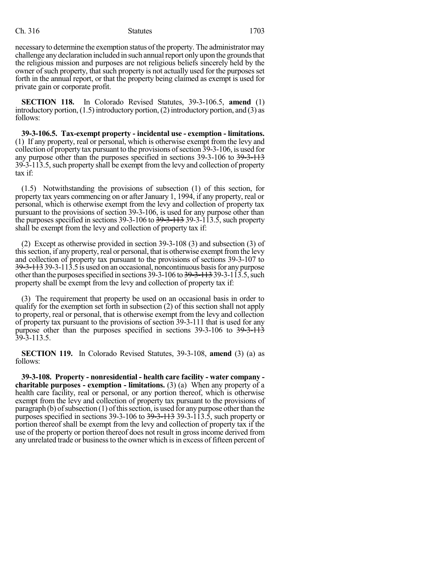necessary to determine the exemption status of the property. The administratormay challenge any declaration included in such annual report only upon the grounds that the religious mission and purposes are not religious beliefs sincerely held by the owner of such property, that such property is not actually used for the purposes set forth in the annual report, or that the property being claimed as exempt is used for private gain or corporate profit.

**SECTION 118.** In Colorado Revised Statutes, 39-3-106.5, **amend** (1) introductory portion,  $(1.5)$  introductory portion,  $(2)$  introductory portion, and  $(3)$  as follows:

**39-3-106.5. Tax-exempt property - incidental use - exemption - limitations.** (1) If any property, real or personal, which is otherwise exempt from the levy and collection of property tax pursuant to the provisions ofsection 39-3-106, is used for any purpose other than the purposes specified in sections 39-3-106 to 39-3-113 39-3-113.5, such property shall be exempt from the levy and collection of property tax if:

(1.5) Notwithstanding the provisions of subsection (1) of this section, for property tax years commencing on or after January 1, 1994, if any property, real or personal, which is otherwise exempt from the levy and collection of property tax pursuant to the provisions of section 39-3-106, is used for any purpose other than the purposes specified in sections  $39-3-106$  to  $39-3-113$ ,  $39-3-113$ , such property shall be exempt from the levy and collection of property tax if:

(2) Except as otherwise provided in section 39-3-108 (3) and subsection (3) of this section, if any property, real or personal, that is otherwise exempt from the levy and collection of property tax pursuant to the provisions of sections 39-3-107 to 39-3-113 39-3-113.5 is used on an occasional, noncontinuous basisfor anypurpose other than the purposes specified in sections  $39-3-106$  to  $39-3-113$ ,  $39-3-113$ , such property shall be exempt from the levy and collection of property tax if:

(3) The requirement that property be used on an occasional basis in order to qualify for the exemption set forth in subsection (2) of this section shall not apply to property, real or personal, that is otherwise exempt from the levy and collection of property tax pursuant to the provisions of section 39-3-111 that is used for any purpose other than the purposes specified in sections 39-3-106 to 39-3-113 39-3-113.5.

**SECTION 119.** In Colorado Revised Statutes, 39-3-108, **amend** (3) (a) as follows:

**39-3-108. Property - nonresidential - health care facility - water company charitable purposes - exemption - limitations.** (3) (a) When any property of a health care facility, real or personal, or any portion thereof, which is otherwise exempt from the levy and collection of property tax pursuant to the provisions of paragraph (b) of subsection  $(1)$  of this section, is used for any purpose other than the purposes specified in sections 39-3-106 to 39-3-113 39-3-113.5, such property or portion thereof shall be exempt from the levy and collection of property tax if the use of the property or portion thereof does not result in gross income derived from any unrelated trade or business to the owner which is in excess of fifteen percent of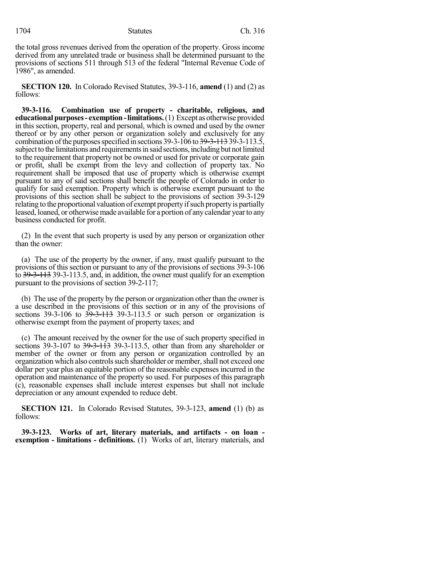the total gross revenues derived from the operation of the property. Gross income derived from any unrelated trade or business shall be determined pursuant to the provisions of sections 511 through 513 of the federal "Internal Revenue Code of 1986", as amended.

**SECTION 120.** In Colorado Revised Statutes, 39-3-116, **amend** (1) and (2) as follows:

**39-3-116. Combination use of property - charitable, religious, and educationalpurposes- exemption-limitations.**(1) Except as otherwise provided in this section, property, real and personal, which is owned and used by the owner thereof or by any other person or organization solely and exclusively for any combination of the purposes specified in sections  $39-3-106$  to  $39-3-113.5$ , subject to the limitations and requirements in said sections, including but not limited to the requirement that property not be owned or used for private or corporate gain or profit, shall be exempt from the levy and collection of property tax. No requirement shall be imposed that use of property which is otherwise exempt pursuant to any of said sections shall benefit the people of Colorado in order to qualify for said exemption. Property which is otherwise exempt pursuant to the provisions of this section shall be subject to the provisions of section 39-3-129 relating to the proportional valuation of exempt property if such property is partially leased, loaned, or otherwise made available for a portion of any calendar year to any business conducted for profit.

(2) In the event that such property is used by any person or organization other than the owner:

(a) The use of the property by the owner, if any, must qualify pursuant to the provisions of this section or pursuant to any of the provisions of sections 39-3-106 to 39-3-113 39-3-113.5, and, in addition, the owner must qualify for an exemption pursuant to the provisions of section 39-2-117;

(b) The use of the property by the person or organization other than the owner is a use described in the provisions of this section or in any of the provisions of sections  $39-3-106$  to  $39-3-113$  39-3-113.5 or such person or organization is otherwise exempt from the payment of property taxes; and

(c) The amount received by the owner for the use of such property specified in sections 39-3-107 to 39-3-113 39-3-113.5, other than from any shareholder or member of the owner or from any person or organization controlled by an organization which also controls such shareholder or member, shall not exceed one dollar per year plus an equitable portion of the reasonable expensesincurred in the operation and maintenance of the property so used. For purposes of this paragraph (c), reasonable expenses shall include interest expenses but shall not include depreciation or any amount expended to reduce debt.

**SECTION 121.** In Colorado Revised Statutes, 39-3-123, **amend** (1) (b) as follows:

**39-3-123. Works of art, literary materials, and artifacts - on loan exemption - limitations - definitions.** (1) Works of art, literary materials, and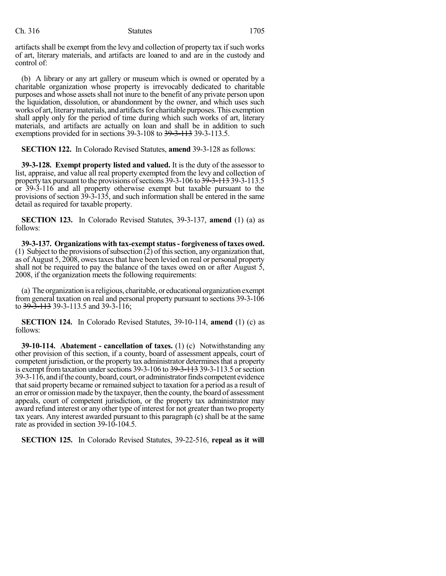artifacts shall be exempt from the levy and collection of property tax if such works of art, literary materials, and artifacts are loaned to and are in the custody and control of:

(b) A library or any art gallery or museum which is owned or operated by a charitable organization whose property is irrevocably dedicated to charitable purposes and whose assets shall not inure to the benefit of any private person upon the liquidation, dissolution, or abandonment by the owner, and which uses such works of art, literary materials, and artifacts for charitable purposes. This exemption shall apply only for the period of time during which such works of art, literary materials, and artifacts are actually on loan and shall be in addition to such exemptions provided for in sections 39-3-108 to <del>39-3-113</del> 39-3-113.5.

**SECTION 122.** In Colorado Revised Statutes, **amend** 39-3-128 as follows:

**39-3-128. Exempt property listed and valued.** It is the duty of the assessor to list, appraise, and value all real property exempted from the levy and collection of property tax pursuant to the provisions of sections 39-3-106 to 39-3-113 39-3-113.5 or 39-3-116 and all property otherwise exempt but taxable pursuant to the provisions of section 39-3-135, and such information shall be entered in the same detail as required for taxable property.

**SECTION 123.** In Colorado Revised Statutes, 39-3-137, **amend** (1) (a) as follows:

**39-3-137. Organizations with tax-exemptstatus- forgiveness of taxes owed.** (1) Subject to the provisions of subsection  $(2)$  of this section, any organization that, as of August 5, 2008, owestaxesthat have been levied on real or personal property shall not be required to pay the balance of the taxes owed on or after August 5, 2008, if the organization meets the following requirements:

(a) The organization is a religious, charitable, or educational organization exempt from general taxation on real and personal property pursuant to sections 39-3-106 to 39-3-113 39-3-113.5 and 39-3-116;

**SECTION 124.** In Colorado Revised Statutes, 39-10-114, **amend** (1) (c) as follows:

**39-10-114. Abatement - cancellation of taxes.** (1) (c) Notwithstanding any other provision of this section, if a county, board of assessment appeals, court of competent jurisdiction, or the property tax administrator determines that a property is exempt from taxation under sections  $39-3-106$  to  $39-3-113$ ,  $39-3-113$ ,  $5$  or section 39-3-116, and ifthe county, board, court, or administratorfinds competent evidence thatsaid property became or remained subject to taxation for a period as a result of an error or omissionmade by the taxpayer, then the county, the board of assessment appeals, court of competent jurisdiction, or the property tax administrator may award refund interest or any other type of interest for not greater than two property tax years. Any interest awarded pursuant to this paragraph (c) shall be at the same rate as provided in section 39-10-104.5.

**SECTION 125.** In Colorado Revised Statutes, 39-22-516, **repeal as it will**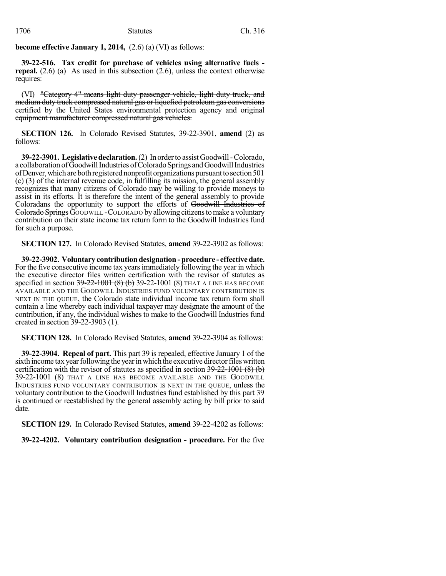**become effective January 1, 2014,** (2.6) (a) (VI) as follows:

**39-22-516. Tax credit for purchase of vehicles using alternative fuels repeal.** (2.6) (a) As used in this subsection (2.6), unless the context otherwise requires:

(VI) "Category 4" means light duty passenger vehicle, light duty truck, and medium duty truck compressed natural gas or liquefied petroleum gas conversions certified by the United States environmental protection agency and original equipment manufacturer compressed natural gas vehicles.

**SECTION 126.** In Colorado Revised Statutes, 39-22-3901, **amend** (2) as follows:

**39-22-3901. Legislativedeclaration.**(2) In orderto assist Goodwill-Colorado, a collaboration ofGoodwillIndustries ofColoradoSprings andGoodwillIndustries of Denver, which are both registered nonprofit organizations pursuant to section 501 (c) (3) of the internal revenue code, in fulfilling its mission, the general assembly recognizes that many citizens of Colorado may be willing to provide moneys to assist in its efforts. It is therefore the intent of the general assembly to provide Coloradans the opportunity to support the efforts of Goodwill Industries of Colorado Springs GOODWILL - COLORADO by allowing citizens to make a voluntary contribution on their state income tax return form to the Goodwill Industries fund for such a purpose.

**SECTION 127.** In Colorado Revised Statutes, **amend** 39-22-3902 as follows:

**39-22-3902. Voluntary contribution designation - procedure - effectivedate.** For the five consecutive income tax yearsimmediately following the year in which the executive director files written certification with the revisor of statutes as specified in section 39-22-1001 (8) (b) 39-22-1001 (8) THAT A LINE HAS BECOME AVAILABLE AND THE GOODWILL INDUSTRIES FUND VOLUNTARY CONTRIBUTION IS NEXT IN THE QUEUE, the Colorado state individual income tax return form shall contain a line whereby each individual taxpayer may designate the amount of the contribution, if any, the individual wishes to make to the Goodwill Industries fund created in section 39-22-3903 (1).

**SECTION 128.** In Colorado Revised Statutes, **amend** 39-22-3904 as follows:

**39-22-3904. Repeal of part.** This part 39 is repealed, effective January 1 of the sixth income tax year following the year in which the executive director files written certification with the revisor of statutes as specified in section  $39-22-1001 (8)$  (b) 39-22-1001 (8) THAT A LINE HAS BECOME AVAILABLE AND THE GOODWILL INDUSTRIES FUND VOLUNTARY CONTRIBUTION IS NEXT IN THE QUEUE, unless the voluntary contribution to the Goodwill Industries fund established by this part 39 is continued or reestablished by the general assembly acting by bill prior to said date.

**SECTION 129.** In Colorado Revised Statutes, **amend** 39-22-4202 as follows:

**39-22-4202. Voluntary contribution designation - procedure.** For the five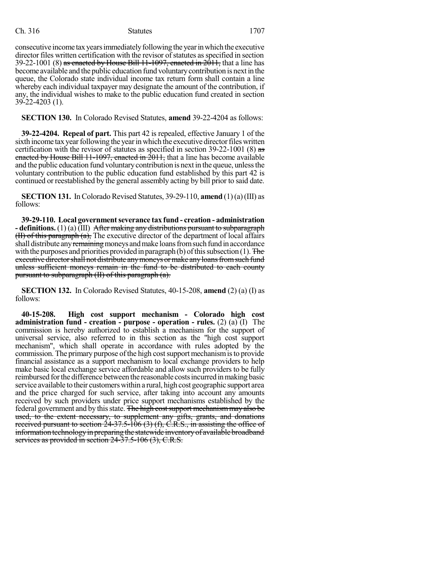consecutive income tax years immediately following the year in which the executive director files written certification with the revisor of statutes as specified in section 39-22-1001 (8) as enacted by House Bill 11-1097, enacted in  $2011$ , that a line has become available and the public education fund voluntarycontribution is nextin the queue, the Colorado state individual income tax return form shall contain a line whereby each individual taxpayer may designate the amount of the contribution, if any, the individual wishes to make to the public education fund created in section 39-22-4203 (1).

**SECTION 130.** In Colorado Revised Statutes, **amend** 39-22-4204 as follows:

**39-22-4204. Repeal of part.** This part 42 is repealed, effective January 1 of the sixth income tax year following the year in which the executive director files written certification with the revisor of statutes as specified in section 39-22-1001 (8) as enacted by House Bill 11-1097, enacted in 2011, that a line has become available and the public education fund voluntary contribution is next in the queue, unless the voluntary contribution to the public education fund established by this part 42 is continued or reestablished by the general assembly acting by bill prior to said date.

**SECTION 131.** In Colorado Revised Statutes, 39-29-110, **amend**  $(1)(a)(III)$  as follows:

**39-29-110. Local governmentseverance tax fund - creation - administration - definitions.** (1) (a) (III) After making any distributions pursuant to subparagraph  $(H)$  of this paragraph  $(a)$ , The executive director of the department of local affairs shall distribute any remaining moneys and make loans from such fund in accordance with the purposes and priorities provided in paragraph (b) of this subsection (1). The executive director shall not distribute any moneys or make any loans from such fund unless sufficient moneys remain in the fund to be distributed to each county pursuant to subparagraph (II) of this paragraph (a).

**SECTION 132.** In Colorado Revised Statutes, 40-15-208, **amend** (2) (a) (I) as follows:

**40-15-208. High cost support mechanism - Colorado high cost administration fund - creation - purpose - operation - rules.** (2) (a) (I) The commission is hereby authorized to establish a mechanism for the support of universal service, also referred to in this section as the "high cost support mechanism", which shall operate in accordance with rules adopted by the commission. The primary purpose of the high cost support mechanism is to provide financial assistance as a support mechanism to local exchange providers to help make basic local exchange service affordable and allow such providers to be fully reimbursed forthe difference betweenthe reasonable costsincurredinmaking basic service available to their customerswithin a rural, high cost geographic support area and the price charged for such service, after taking into account any amounts received by such providers under price support mechanisms established by the federal government and by this state. The high cost support mechanism may also be used, to the extent necessary, to supplement any gifts, grants, and donations received pursuant to section  $24-37.5-106(3)$  (f), C.R.S., in assisting the office of information technology in preparing the statewide inventory of available broadband services as provided in section 24-37.5-106 (3), C.R.S.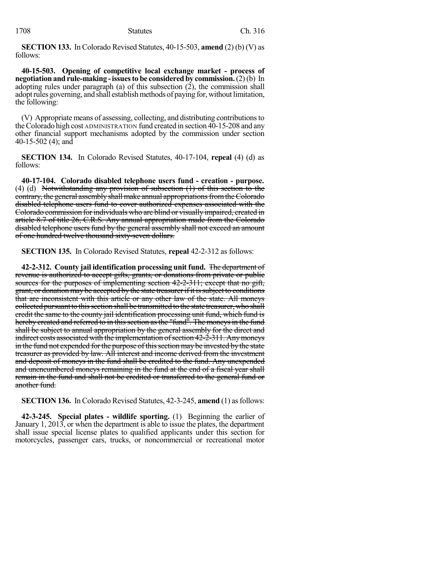**SECTION 133.** In Colorado Revised Statutes, 40-15-503, **amend** (2) (b) (V) as follows:

**40-15-503. Opening of competitive local exchange market - process of negotiation andrule-making -issuesto be considered by commission.**(2)(b) In adopting rules under paragraph (a) of this subsection (2), the commission shall adopt rules governing, and shall establish methods of paying for, without limitation, the following:

(V) Appropriate means of assessing, collecting, and distributing contributionsto theColorado high cost ADMINISTRATION fund created in section 40-15-208 and any other financial support mechanisms adopted by the commission under section 40-15-502 (4); and

**SECTION 134.** In Colorado Revised Statutes, 40-17-104, **repeal** (4) (d) as follows:

**40-17-104. Colorado disabled telephone users fund - creation - purpose.** (4) (d) Notwithstanding any provision of subsection (1) of this section to the contrary, the general assembly shall make annual appropriations from the Colorado disabled telephone users fund to cover authorized expenses associated with the Colorado commission for individuals who are blind or visually impaired, created in article 8.7 of title 26, C.R.S. Any annual appropriation made from the Colorado disabled telephone users fund by the general assembly shall not exceed an amount of one hundred twelve thousand sixty-seven dollars.

**SECTION 135.** In Colorado Revised Statutes, **repeal** 42-2-312 as follows:

**42-2-312. County jail identification processing unit fund.** The department of revenue is authorized to accept gifts, grants, or donations from private or public sources for the purposes of implementing section 42-2-311; except that no gift, grant, or donation may be accepted by the state treasurer if it is subject to conditions that are inconsistent with this article or any other law of the state. All moneys collectedpursuantto thissection shall be transmitted to the state treasurer,whoshall credit the same to the county jail identification processing unit fund, which fund is hereby created and referred to in this section as the "fund". The moneys in the fund shall be subject to annual appropriation by the general assembly for the direct and indirect costs associated with the implementation of section 42-2-311. Any moneys in the fund not expended for the purpose of this section may be invested by the state treasurer as provided by law. All interest and income derived from the investment and deposit of moneys in the fund shall be credited to the fund. Any unexpended and unencumbered moneys remaining in the fund at the end of a fiscal year shall remain in the fund and shall not be credited or transferred to the general fund or another fund.

**SECTION 136.** In Colorado Revised Statutes, 42-3-245, **amend** (1) asfollows:

**42-3-245. Special plates - wildlife sporting.** (1) Beginning the earlier of January 1, 2013, or when the department is able to issue the plates, the department shall issue special license plates to qualified applicants under this section for motorcycles, passenger cars, trucks, or noncommercial or recreational motor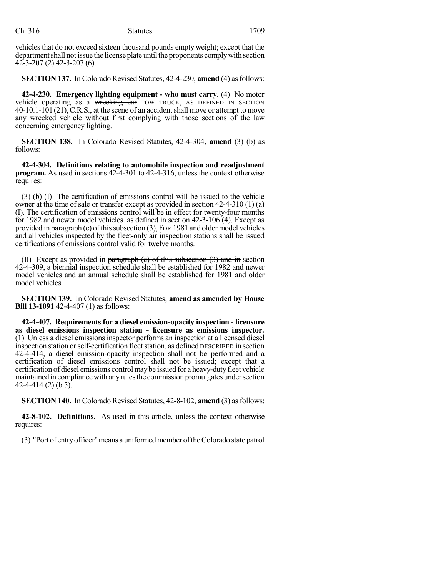vehicles that do not exceed sixteen thousand pounds empty weight; except that the department shall not issue the license plate until the proponents comply with section  $42-3-207(2)$  42-3-207 (6).

**SECTION 137.** In Colorado Revised Statutes, 42-4-230, **amend** (4) asfollows:

**42-4-230. Emergency lighting equipment - who must carry.** (4) No motor vehicle operating as a wrecking car TOW TRUCK, AS DEFINED IN SECTION 40-10.1-101(21),C.R.S., at the scene of an accidentshall move or attempt to move any wrecked vehicle without first complying with those sections of the law concerning emergency lighting.

**SECTION 138.** In Colorado Revised Statutes, 42-4-304, **amend** (3) (b) as follows:

**42-4-304. Definitions relating to automobile inspection and readjustment program.** As used in sections 42-4-301 to 42-4-316, unless the context otherwise requires:

(3) (b) (I) The certification of emissions control will be issued to the vehicle owner at the time of sale or transfer except as provided in section 42-4-310 (1) (a) (I). The certification of emissions control will be in effect for twenty-four months for 1982 and newer model vehicles. as defined in section 42-3-106 (4). Except as provided in paragraph (e) of this subsection  $(3)$ , FOR 1981 and older model vehicles and all vehicles inspected by the fleet-only air inspection stations shall be issued certifications of emissions control valid for twelve months.

(II) Except as provided in paragraph  $(e)$  of this subsection  $(3)$  and in section 42-4-309, a biennial inspection schedule shall be established for 1982 and newer model vehicles and an annual schedule shall be established for 1981 and older model vehicles.

**SECTION 139.** In Colorado Revised Statutes, **amend as amended by House Bill 13-1091** 42-4-407 (1) as follows:

**42-4-407. Requirements for a diesel emission-opacity inspection - licensure as diesel emissions inspection station - licensure as emissions inspector.** (1) Unless a diesel emissions inspector performs an inspection at a licensed diesel inspection station or self-certification fleet station, as defined DESCRIBED in section 42-4-414, a diesel emission-opacity inspection shall not be performed and a certification of diesel emissions control shall not be issued; except that a certification of diesel emissions controlmaybe issued for a heavy-dutyfleet vehicle maintained in compliance with any rules the commission promulgates under section 42-4-414 (2) (b.5).

**SECTION 140.** In Colorado Revised Statutes, 42-8-102, **amend** (3) asfollows:

**42-8-102. Definitions.** As used in this article, unless the context otherwise requires:

(3) "Port of entryofficer"means a uniformedmember oftheColorado state patrol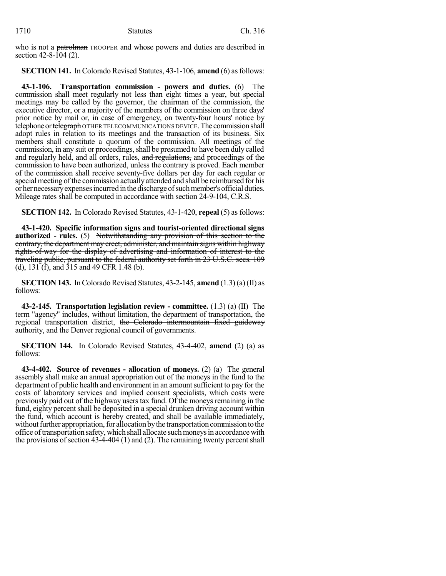who is not a patrolman TROOPER and whose powers and duties are described in section  $42 - 8 - 104$  (2).

**SECTION 141.** In Colorado Revised Statutes, 43-1-106, **amend** (6) as follows:

**43-1-106. Transportation commission - powers and duties.** (6) The commission shall meet regularly not less than eight times a year, but special meetings may be called by the governor, the chairman of the commission, the executive director, or a majority of the members of the commission on three days' prior notice by mail or, in case of emergency, on twenty-four hours' notice by telephone or telegraph OTHER TELECOMMUNICATIONS DEVICE. The commission shall adopt rules in relation to its meetings and the transaction of its business. Six members shall constitute a quorum of the commission. All meetings of the commission, in any suit or proceedings, shall be presumed to have been duly called and regularly held, and all orders, rules, and regulations, and proceedings of the commission to have been authorized, unless the contrary is proved. Each member of the commission shall receive seventy-five dollars per day for each regular or special meeting of the commission actually attended and shall be reimbursed for his or her necessaryexpensesincurredinthedischarge ofsuchmember's official duties. Mileage rates shall be computed in accordance with section 24-9-104, C.R.S.

**SECTION 142.** In Colorado Revised Statutes, 43-1-420, **repeal** (5) as follows:

**43-1-420. Specific information signs and tourist-oriented directional signs authorized - rules.** (5) Notwithstanding any provision of this section to the contrary, the department may erect, administer, and maintain signs within highway rights-of-way for the display of advertising and information of interest to the traveling public, pursuant to the federal authority set forth in 23 U.S.C. secs. 109 (d),  $131$  (f), and  $315$  and  $49$  CFR 1.48 (b).

**SECTION 143.** In Colorado Revised Statutes,  $43-2-145$ , **amend**  $(1.3)(a)$  (II) as follows:

**43-2-145. Transportation legislation review - committee.** (1.3) (a) (II) The term "agency" includes, without limitation, the department of transportation, the regional transportation district, the Colorado intermountain fixed guideway authority, and the Denver regional council of governments.

**SECTION 144.** In Colorado Revised Statutes, 43-4-402, **amend** (2) (a) as follows:

**43-4-402. Source of revenues - allocation of moneys.** (2) (a) The general assembly shall make an annual appropriation out of the moneys in the fund to the department of public health and environment in an amount sufficient to pay for the costs of laboratory services and implied consent specialists, which costs were previously paid out of the highway users tax fund. Of the moneys remaining in the fund, eighty percent shall be deposited in a special drunken driving account within the fund, which account is hereby created, and shall be available immediately, without further appropriation, for allocation by the transportation commission to the office of transportation safety, which shall allocate such moneys in accordance with the provisions of section 43-4-404 (1) and (2). The remaining twenty percent shall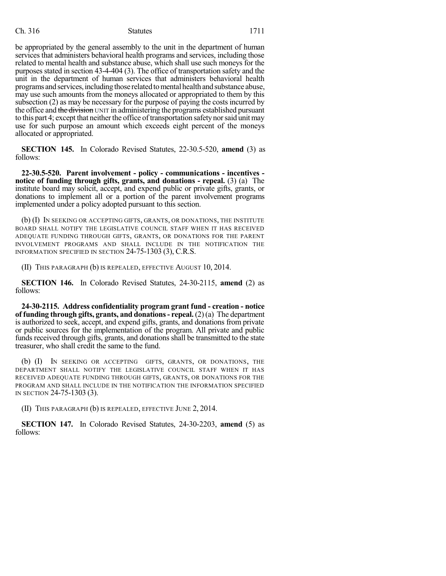be appropriated by the general assembly to the unit in the department of human services that administers behavioral health programs and services, including those related to mental health and substance abuse, which shall use such moneys for the purposes stated in section 43-4-404 (3). The office of transportation safety and the unit in the department of human services that administers behavioral health programs and services, including those related to mental health and substance abuse, may use such amounts from the moneys allocated or appropriated to them by this subsection (2) as may be necessary for the purpose of paying the costs incurred by the office and the division UNIT in administering the programs established pursuant to this part 4; except that neither the office of transportation safety nor said unit may use for such purpose an amount which exceeds eight percent of the moneys allocated or appropriated.

**SECTION 145.** In Colorado Revised Statutes, 22-30.5-520, **amend** (3) as follows:

**22-30.5-520. Parent involvement - policy - communications - incentives notice of funding through gifts, grants, and donations - repeal.** (3) (a) The institute board may solicit, accept, and expend public or private gifts, grants, or donations to implement all or a portion of the parent involvement programs implemented under a policy adopted pursuant to this section.

(b) (I) IN SEEKING OR ACCEPTING GIFTS, GRANTS, OR DONATIONS, THE INSTITUTE BOARD SHALL NOTIFY THE LEGISLATIVE COUNCIL STAFF WHEN IT HAS RECEIVED ADEQUATE FUNDING THROUGH GIFTS, GRANTS, OR DONATIONS FOR THE PARENT INVOLVEMENT PROGRAMS AND SHALL INCLUDE IN THE NOTIFICATION THE INFORMATION SPECIFIED IN SECTION 24-75-1303 (3), C.R.S.

(II) THIS PARAGRAPH (b) IS REPEALED, EFFECTIVE AUGUST 10, 2014.

**SECTION 146.** In Colorado Revised Statutes, 24-30-2115, **amend** (2) as follows:

**24-30-2115. Address confidentiality program grant fund - creation - notice of funding through gifts, grants, and donations- repeal.** (2)(a) The department is authorized to seek, accept, and expend gifts, grants, and donations from private or public sources for the implementation of the program. All private and public funds received through gifts, grants, and donations shall be transmitted to the state treasurer, who shall credit the same to the fund.

(b) (I) IN SEEKING OR ACCEPTING GIFTS, GRANTS, OR DONATIONS, THE DEPARTMENT SHALL NOTIFY THE LEGISLATIVE COUNCIL STAFF WHEN IT HAS RECEIVED ADEQUATE FUNDING THROUGH GIFTS, GRANTS, OR DONATIONS FOR THE PROGRAM AND SHALL INCLUDE IN THE NOTIFICATION THE INFORMATION SPECIFIED IN SECTION 24-75-1303 (3).

(II) THIS PARAGRAPH (b) IS REPEALED, EFFECTIVE JUNE 2, 2014.

**SECTION 147.** In Colorado Revised Statutes, 24-30-2203, **amend** (5) as follows: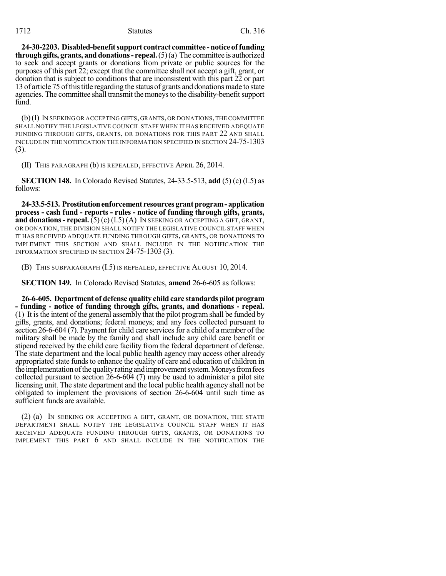**24-30-2203. Disabled-benefitsupport contract committee -noticeof funding through gifts, grants, and donations - repeal.**  $(5)(a)$  The committee is authorized to seek and accept grants or donations from private or public sources for the purposes of this part 22; except that the committee shall not accept a gift, grant, or donation that is subject to conditions that are inconsistent with this part 22 or part 13 of article 75 of this title regarding the status of grants and donations made to state agencies. The committee shall transmit the moneys to the disability-benefit support fund.

(b)(I) IN SEEKING OR ACCEPTING GIFTS, GRANTS, OR DONATIONS,THE COMMITTEE SHALL NOTIFY THE LEGISLATIVE COUNCIL STAFF WHEN IT HAS RECEIVED ADEQUATE FUNDING THROUGH GIFTS, GRANTS, OR DONATIONS FOR THIS PART 22 AND SHALL INCLUDE IN THE NOTIFICATION THE INFORMATION SPECIFIED IN SECTION 24-75-1303 (3).

(II) THIS PARAGRAPH (b) IS REPEALED, EFFECTIVE APRIL 26, 2014.

**SECTION 148.** In Colorado Revised Statutes, 24-33.5-513, **add** (5) (c) (I.5) as follows:

**24-33.5-513. Prostitutionenforcement resourcesgrantprogram- application process - cash fund - reports - rules - notice of funding through gifts, grants, and donations - repeal.** (5) (c)  $(I.5)(A)$  In SEEKING OR ACCEPTING A GIFT, GRANT, OR DONATION, THE DIVISION SHALL NOTIFY THE LEGISLATIVE COUNCIL STAFF WHEN IT HAS RECEIVED ADEQUATE FUNDING THROUGH GIFTS, GRANTS, OR DONATIONS TO IMPLEMENT THIS SECTION AND SHALL INCLUDE IN THE NOTIFICATION THE INFORMATION SPECIFIED IN SECTION 24-75-1303 (3).

(B) THIS SUBPARAGRAPH (I.5) IS REPEALED, EFFECTIVE AUGUST 10, 2014.

**SECTION 149.** In Colorado Revised Statutes, **amend** 26-6-605 as follows:

**26-6-605. Department of defense quality child care standards pilot program - funding - notice of funding through gifts, grants, and donations - repeal.** (1) It isthe intent of the general assembly that the pilot programshall be funded by gifts, grants, and donations; federal moneys; and any fees collected pursuant to section 26-6-604 (7). Payment for child care services for a child of a member of the military shall be made by the family and shall include any child care benefit or stipend received by the child care facility from the federal department of defense. The state department and the local public health agency may access other already appropriated state funds to enhance the quality of care and education of children in the implementation of the quality rating and improvement system. Moneys from fees collected pursuant to section 26-6-604 (7) may be used to administer a pilot site licensing unit. The state department and the local public health agency shall not be obligated to implement the provisions of section 26-6-604 until such time as sufficient funds are available.

(2) (a) IN SEEKING OR ACCEPTING A GIFT, GRANT, OR DONATION, THE STATE DEPARTMENT SHALL NOTIFY THE LEGISLATIVE COUNCIL STAFF WHEN IT HAS RECEIVED ADEQUATE FUNDING THROUGH GIFTS, GRANTS, OR DONATIONS TO IMPLEMENT THIS PART 6 AND SHALL INCLUDE IN THE NOTIFICATION THE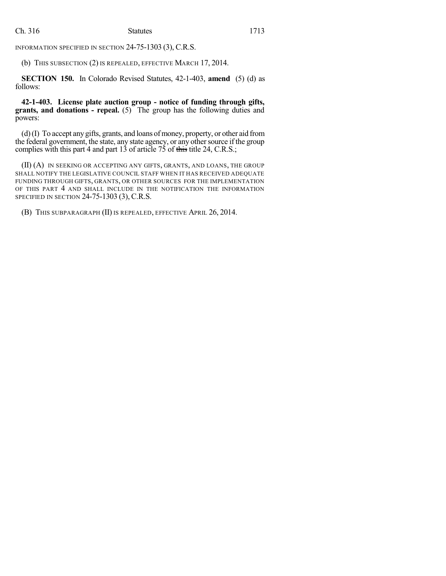INFORMATION SPECIFIED IN SECTION 24-75-1303 (3), C.R.S.

(b) THIS SUBSECTION (2) IS REPEALED, EFFECTIVE MARCH 17, 2014.

**SECTION 150.** In Colorado Revised Statutes, 42-1-403, **amend** (5) (d) as follows:

**42-1-403. License plate auction group - notice of funding through gifts, grants, and donations - repeal.** (5) The group has the following duties and powers:

 $(d)$  (I) To accept any gifts, grants, and loans of money, property, or other aid from the federal government, the state, any state agency, or any other source if the group complies with this part 4 and part 13 of article 75 of this title 24, C.R.S.;

(II) (A) IN SEEKING OR ACCEPTING ANY GIFTS, GRANTS, AND LOANS, THE GROUP SHALL NOTIFY THE LEGISLATIVE COUNCIL STAFF WHEN IT HAS RECEIVED ADEQUATE FUNDING THROUGH GIFTS, GRANTS, OR OTHER SOURCES FOR THE IMPLEMENTATION OF THIS PART 4 AND SHALL INCLUDE IN THE NOTIFICATION THE INFORMATION SPECIFIED IN SECTION 24-75-1303 (3), C.R.S.

(B) THIS SUBPARAGRAPH (II) IS REPEALED, EFFECTIVE APRIL 26, 2014.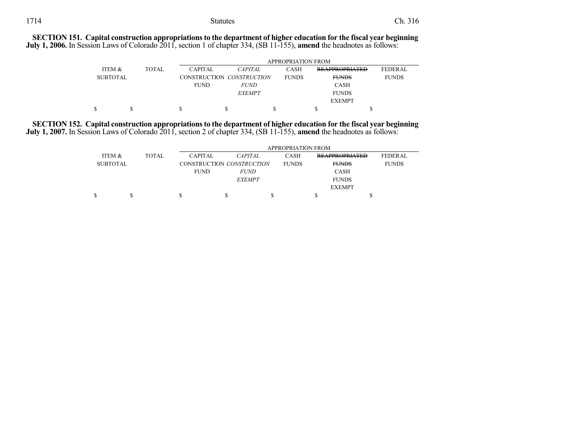**SECTION 151. Capital construction appropriationsto the department of higher education for the fiscal year beginning July 1, 2006.** In Session Laws of Colorado 2011, section 1 of chapter 334, (SB 11-155), **amend** the headnotes as follows:

|                 |              | <b>APPROPRIATION FROM</b> |                           |              |                       |                |  |  |
|-----------------|--------------|---------------------------|---------------------------|--------------|-----------------------|----------------|--|--|
| ITEM &          | <b>TOTAL</b> | <b>CAPITAL</b>            | <i>CAPITAL</i>            | <b>CASH</b>  | <b>REAPPROPRIATED</b> | <b>FEDERAL</b> |  |  |
| <b>SUBTOTAL</b> |              |                           | CONSTRUCTION CONSTRUCTION | <b>FUNDS</b> | <b>FUNDS</b>          | <b>FUNDS</b>   |  |  |
|                 |              | <b>FUND</b>               | <i>FUND</i>               |              | <b>CASH</b>           |                |  |  |
|                 |              |                           | <b>EXEMPT</b>             |              | <b>FUNDS</b>          |                |  |  |
|                 |              |                           |                           |              | <b>EXEMPT</b>         |                |  |  |
|                 |              |                           |                           |              |                       |                |  |  |

**SECTION 152. Capital construction appropriationsto the department of higher education for the fiscal year beginning July 1, 2007.** In Session Laws of Colorado 2011, section 2 of chapter 334, (SB 11-155), **amend** the headnotes as follows:

|                 |  |                           | APPROPRIATION FROM |                |              |              |                       |                |
|-----------------|--|---------------------------|--------------------|----------------|--------------|--------------|-----------------------|----------------|
| ITEM &          |  | <b>TOTAL</b>              | <b>CAPITAL</b>     | <b>CAPITAL</b> |              | <b>CASH</b>  | <b>REAPPROPRIATED</b> | <b>FEDERAL</b> |
| <b>SUBTOTAL</b> |  | CONSTRUCTION CONSTRUCTION |                    |                | <b>FUNDS</b> | <b>FUNDS</b> | <b>FUNDS</b>          |                |
|                 |  |                           | <b>FUND</b>        | <i>FUND</i>    |              |              | CASH                  |                |
|                 |  |                           |                    | <b>EXEMPT</b>  |              |              | <b>FUNDS</b>          |                |
|                 |  |                           |                    |                |              |              | <b>EXEMPT</b>         |                |
|                 |  |                           | J.                 |                |              |              |                       | S              |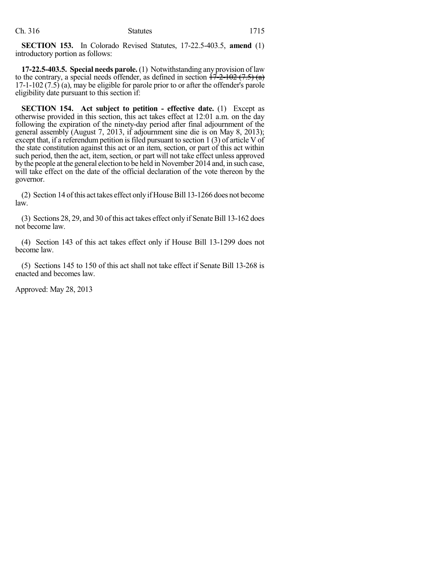**SECTION 153.** In Colorado Revised Statutes, 17-22.5-403.5, **amend** (1) introductory portion as follows:

**17-22.5-403.5. Special needs parole.** (1) Notwithstanding any provision of law to the contrary, a special needs offender, as defined in section  $\frac{17-2-102(7.5)}{17-2}$ 17-1-102 (7.5) (a), may be eligible for parole prior to or after the offender's parole eligibility date pursuant to this section if:

**SECTION 154. Act subject to petition - effective date.** (1) Except as otherwise provided in this section, this act takes effect at 12:01 a.m. on the day following the expiration of the ninety-day period after final adjournment of the general assembly (August 7, 2013, if adjournment sine die is on May 8, 2013); except that, if a referendum petition is filed pursuant to section 1 (3) of article  $V$  of the state constitution against this act or an item, section, or part of this act within such period, then the act, item, section, or part will not take effect unless approved by the people at the general election to be held in November 2014 and, in such case, will take effect on the date of the official declaration of the vote thereon by the governor.

(2) Section 14 of this act takes effect only if House Bill 13-1266 does not become law.

(3) Sections 28, 29, and 30 of this act takes effect only if Senate Bill 13-162 does not become law.

(4) Section 143 of this act takes effect only if House Bill 13-1299 does not become law.

(5) Sections 145 to 150 of this act shall not take effect if Senate Bill 13-268 is enacted and becomes law.

Approved: May 28, 2013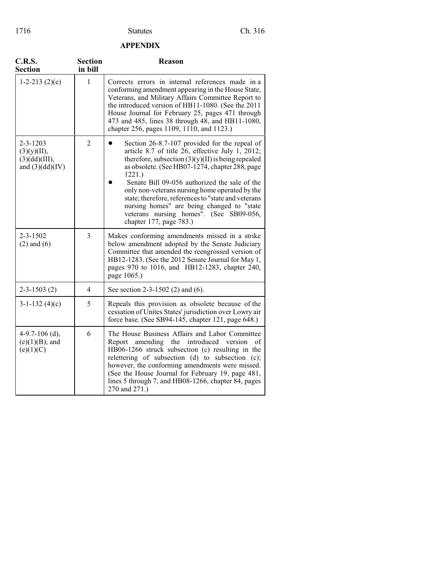## **APPENDIX**

| C.R.S.<br><b>Section</b>                                            | <b>Section</b><br>in bill | Reason                                                                                                                                                                                                                                                                                                                                                                                                                                                                                             |
|---------------------------------------------------------------------|---------------------------|----------------------------------------------------------------------------------------------------------------------------------------------------------------------------------------------------------------------------------------------------------------------------------------------------------------------------------------------------------------------------------------------------------------------------------------------------------------------------------------------------|
| $1-2-213(2)(e)$                                                     | 1                         | Corrects errors in internal references made in a<br>conforming amendment appearing in the House State,<br>Veterans, and Military Affairs Committee Report to<br>the introduced version of HB11-1080. (See the 2011<br>House Journal for February 25, pages 471 through<br>473 and 485, lines 38 through 48, and HB11-1080,<br>chapter 256, pages 1109, 1110, and 1123.)                                                                                                                            |
| $2 - 3 - 1203$<br>(3)(y)(II),<br>(3)(dd)(III),<br>and $(3)(dd)(IV)$ | $\overline{2}$            | Section 26-8.7-107 provided for the repeal of<br>article 8.7 of title 26, effective July 1, 2012;<br>therefore, subsection $(3)(y)(II)$ is being repealed<br>as obsolete. (See HB07-1274, chapter 288, page<br>1221.<br>Senate Bill 09-056 authorized the sale of the<br>only non-veterans nursing home operated by the<br>state; therefore, references to "state and veterans<br>nursing homes" are being changed to "state<br>veterans nursing homes". (See SB09-056,<br>chapter 177, page 783.) |
| $2 - 3 - 1502$<br>$(2)$ and $(6)$                                   | 3                         | Makes conforming amendments missed in a strike<br>below amendment adopted by the Senate Judiciary<br>Committee that amended the reengrossed version of<br>HB12-1283. (See the 2012 Senate Journal for May 1,<br>pages 970 to 1016, and HB12-1283, chapter 240,<br>page 1065.)                                                                                                                                                                                                                      |
| $2 - 3 - 1503(2)$                                                   | 4                         | See section 2-3-1502 (2) and (6).                                                                                                                                                                                                                                                                                                                                                                                                                                                                  |
| $3-1-132(4)(c)$                                                     | 5                         | Repeals this provision as obsolete because of the<br>cessation of Unites States' jurisdiction over Lowry air<br>force base. (See SB94-145, chapter 121, page 648.)                                                                                                                                                                                                                                                                                                                                 |
| 4-9.7-106 $(d)$ ,<br>$(e)(1)(B)$ , and<br>(e)(1)(C)                 | 6                         | The House Business Affairs and Labor Committee<br>Report<br>amending the<br>introduced version<br>of<br>HB06-1266 struck subsection (c) resulting in the<br>relettering of subsection (d) to subsection (c);<br>however, the conforming amendments were missed.<br>(See the House Journal for February 19, page 481,<br>lines 5 through 7, and HB08-1266, chapter 84, pages<br>270 and 271.)                                                                                                       |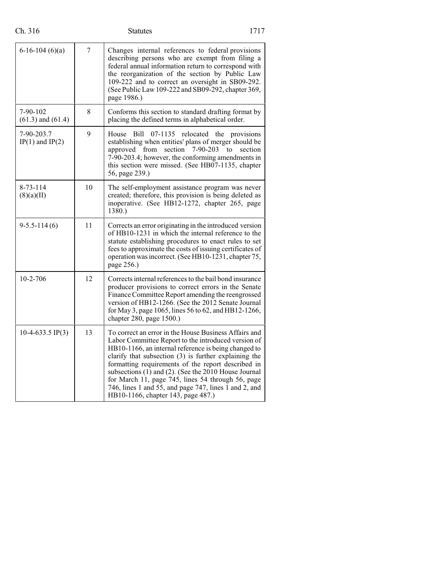| $6-16-104(6)(a)$                  | $\overline{7}$ | Changes internal references to federal provisions<br>describing persons who are exempt from filing a<br>federal annual information return to correspond with<br>the reorganization of the section by Public Law<br>109-222 and to correct an oversight in SB09-292.<br>(See Public Law 109-222 and SB09-292, chapter 369,<br>page 1986.)                                                                                                                                                        |
|-----------------------------------|----------------|-------------------------------------------------------------------------------------------------------------------------------------------------------------------------------------------------------------------------------------------------------------------------------------------------------------------------------------------------------------------------------------------------------------------------------------------------------------------------------------------------|
| 7-90-102<br>$(61.3)$ and $(61.4)$ | 8              | Conforms this section to standard drafting format by<br>placing the defined terms in alphabetical order.                                                                                                                                                                                                                                                                                                                                                                                        |
| 7-90-203.7<br>$IP(1)$ and $IP(2)$ | 9              | relocated<br>House<br>Bill<br>07-1135<br>the<br>provisions<br>establishing when entities' plans of merger should be<br>section<br>$7-90-203$<br>approved<br>from<br>section<br>to<br>7-90-203.4; however, the conforming amendments in<br>this section were missed. (See HB07-1135, chapter<br>56, page 239.)                                                                                                                                                                                   |
| $8 - 73 - 114$<br>(8)(a)(II)      | 10             | The self-employment assistance program was never<br>created; therefore, this provision is being deleted as<br>inoperative. (See HB12-1272, chapter 265, page<br>1380.)                                                                                                                                                                                                                                                                                                                          |
| $9 - 5.5 - 114(6)$                | 11             | Corrects an error originating in the introduced version<br>of HB10-1231 in which the internal reference to the<br>statute establishing procedures to enact rules to set<br>fees to approximate the costs of issuing certificates of<br>operation was incorrect. (See HB10-1231, chapter 75,<br>page 256.)                                                                                                                                                                                       |
| $10-2-706$                        | 12             | Corrects internal references to the bail bond insurance<br>producer provisions to correct errors in the Senate<br>Finance Committee Report amending the reengrossed<br>version of HB12-1266. (See the 2012 Senate Journal<br>for May 3, page 1065, lines 56 to 62, and HB12-1266,<br>chapter 280, page 1500.)                                                                                                                                                                                   |
| $10-4-633.5$ IP(3)                | 13             | To correct an error in the House Business Affairs and<br>Labor Committee Report to the introduced version of<br>HB10-1166, an internal reference is being changed to<br>clarify that subsection (3) is further explaining the<br>formatting requirements of the report described in<br>subsections (1) and (2). (See the 2010 House Journal<br>for March 11, page 745, lines 54 through 56, page<br>746, lines 1 and 55, and page 747, lines 1 and 2, and<br>HB10-1166, chapter 143, page 487.) |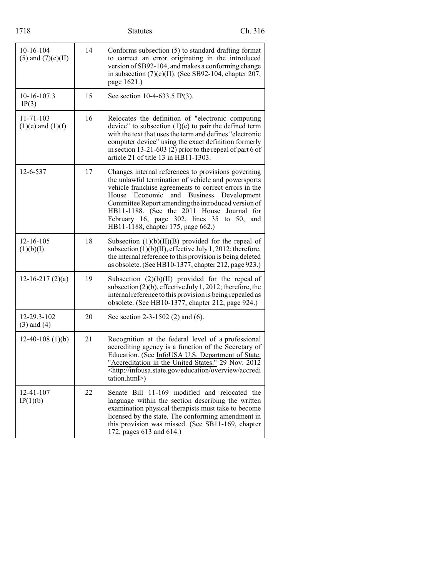| 1718                                     |    | <b>Statutes</b>                                                                                                                                                                                                                                                                                                                                                                                             | Ch. 316     |
|------------------------------------------|----|-------------------------------------------------------------------------------------------------------------------------------------------------------------------------------------------------------------------------------------------------------------------------------------------------------------------------------------------------------------------------------------------------------------|-------------|
| 10-16-104<br>$(5)$ and $(7)(c)(II)$      | 14 | Conforms subsection (5) to standard drafting format<br>to correct an error originating in the introduced<br>version of SB92-104, and makes a conforming change<br>in subsection $(7)(c)(II)$ . (See SB92-104, chapter 207,<br>page 1621.)                                                                                                                                                                   |             |
| 10-16-107.3<br>IP(3)                     | 15 | See section 10-4-633.5 IP(3).                                                                                                                                                                                                                                                                                                                                                                               |             |
| $11 - 71 - 103$<br>$(1)(e)$ and $(1)(f)$ | 16 | Relocates the definition of "electronic computing<br>device" to subsection $(1)(e)$ to pair the defined term<br>with the text that uses the term and defines "electronic<br>computer device" using the exact definition formerly<br>in section 13-21-603 (2) prior to the repeal of part 6 of<br>article 21 of title 13 in HB11-1303.                                                                       |             |
| 12-6-537                                 | 17 | Changes internal references to provisions governing<br>the unlawful termination of vehicle and powersports<br>vehicle franchise agreements to correct errors in the<br>House<br>Economic<br>and<br><b>Business</b><br>Committee Report amending the introduced version of<br>HB11-1188. (See the 2011 House Journal for<br>February 16, page 302, lines 35 to 50, and<br>HB11-1188, chapter 175, page 662.) | Development |
| $12 - 16 - 105$<br>(1)(b)(I)             | 18 | Subsection $(1)(b)(II)(B)$ provided for the repeal of<br>subsection $(1)(b)(II)$ , effective July 1, 2012; therefore,<br>the internal reference to this provision is being deleted<br>as obsolete. (See HB10-1377, chapter 212, page 923.)                                                                                                                                                                  |             |
| $12-16-217(2)(a)$                        | 19 | Subsection $(2)(b)(II)$ provided for the repeal of<br>subsection $(2)(b)$ , effective July 1, 2012; therefore, the<br>internal reference to this provision is being repealed as<br>obsolete. (See HB10-1377, chapter 212, page 924.)                                                                                                                                                                        |             |
| 12-29.3-102<br>$(3)$ and $(4)$           | 20 | See section 2-3-1502 (2) and (6).                                                                                                                                                                                                                                                                                                                                                                           |             |
| $12-40-108(1)(b)$                        | 21 | Recognition at the federal level of a professional<br>accrediting agency is a function of the Secretary of<br>Education. (See InfoUSA U.S. Department of State.<br>"Accreditation in the United States." 29 Nov. 2012<br><http: accredi<br="" education="" infousa.state.gov="" overview="">tation.html&gt;)</http:>                                                                                        |             |
| 12-41-107<br>IP(1)(b)                    | 22 | Senate Bill 11-169 modified and relocated the<br>language within the section describing the written<br>examination physical therapists must take to become<br>licensed by the state. The conforming amendment in<br>this provision was missed. (See SB11-169, chapter<br>172, pages 613 and 614.)                                                                                                           |             |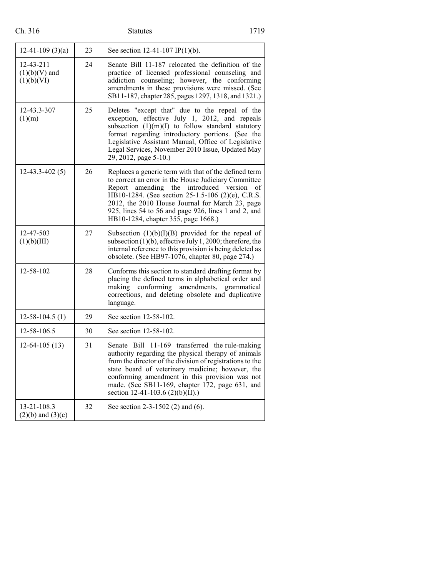| Ch. 316 |  |
|---------|--|
|         |  |

# Statutes 1719

| $12-41-109(3)(a)$                                | 23 | See section 12-41-107 IP(1)(b).                                                                                                                                                                                                                                                                                                                                            |
|--------------------------------------------------|----|----------------------------------------------------------------------------------------------------------------------------------------------------------------------------------------------------------------------------------------------------------------------------------------------------------------------------------------------------------------------------|
| $12 - 43 - 211$<br>$(1)(b)(V)$ and<br>(1)(b)(VI) | 24 | Senate Bill 11-187 relocated the definition of the<br>practice of licensed professional counseling and<br>addiction counseling; however, the conforming<br>amendments in these provisions were missed. (See<br>SB11-187, chapter 285, pages 1297, 1318, and 1321.)                                                                                                         |
| 12-43.3-307<br>(1)(m)                            | 25 | Deletes "except that" due to the repeal of the<br>exception, effective July 1, 2012, and repeals<br>subsection $(1)(m)(I)$ to follow standard statutory<br>format regarding introductory portions. (See the<br>Legislative Assistant Manual, Office of Legislative<br>Legal Services, November 2010 Issue, Updated May<br>29, 2012, page 5-10.)                            |
| $12 - 43.3 - 402(5)$                             | 26 | Replaces a generic term with that of the defined term<br>to correct an error in the House Judiciary Committee<br>Report<br>amending the<br>introduced version<br>of<br>HB10-1284. (See section 25-1.5-106 (2)(e), C.R.S.<br>2012, the 2010 House Journal for March 23, page<br>925, lines 54 to 56 and page 926, lines 1 and 2, and<br>HB10-1284, chapter 355, page 1668.) |
| 12-47-503<br>(1)(b)(III)                         | 27 | Subsection $(1)(b)(I)(B)$ provided for the repeal of<br>subsection $(1)(b)$ , effective July 1, 2000; therefore, the<br>internal reference to this provision is being deleted as<br>obsolete. (See HB97-1076, chapter 80, page 274.)                                                                                                                                       |
| 12-58-102                                        | 28 | Conforms this section to standard drafting format by<br>placing the defined terms in alphabetical order and<br>amendments,<br>making<br>conforming<br>grammatical<br>corrections, and deleting obsolete and duplicative<br>language.                                                                                                                                       |
| $12 - 58 - 104.5(1)$                             | 29 | See section 12-58-102.                                                                                                                                                                                                                                                                                                                                                     |
| 12-58-106.5                                      | 30 | See section 12-58-102.                                                                                                                                                                                                                                                                                                                                                     |
| $12-64-105(13)$                                  | 31 | Senate Bill 11-169 transferred the rule-making<br>authority regarding the physical therapy of animals<br>from the director of the division of registrations to the<br>state board of veterinary medicine; however, the<br>conforming amendment in this provision was not<br>made. (See SB11-169, chapter 172, page 631, and<br>section 12-41-103.6 (2)(b)(II).)            |
| 13-21-108.3<br>$(2)(b)$ and $(3)(c)$             | 32 | See section 2-3-1502 (2) and (6).                                                                                                                                                                                                                                                                                                                                          |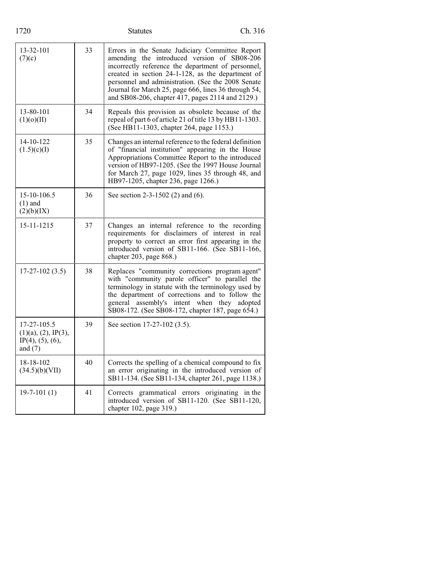| 1720                                                                             |    | <b>Statutes</b>                                                                                                                                                                                                                                                                                                                                                             | Ch. 316 |
|----------------------------------------------------------------------------------|----|-----------------------------------------------------------------------------------------------------------------------------------------------------------------------------------------------------------------------------------------------------------------------------------------------------------------------------------------------------------------------------|---------|
| 13-32-101<br>(7)(c)                                                              | 33 | Errors in the Senate Judiciary Committee Report<br>amending the introduced version of SB08-206<br>incorrectly reference the department of personnel,<br>created in section 24-1-128, as the department of<br>personnel and administration. (See the 2008 Senate<br>Journal for March 25, page 666, lines 36 through 54,<br>and SB08-206, chapter 417, pages 2114 and 2129.) |         |
| 13-80-101<br>(1)(0)(II)                                                          | 34 | Repeals this provision as obsolete because of the<br>repeal of part 6 of article 21 of title 13 by HB11-1303.<br>(See HB11-1303, chapter 264, page 1153.)                                                                                                                                                                                                                   |         |
| 14-10-122<br>(1.5)(c)(I)                                                         | 35 | Changes an internal reference to the federal definition<br>of "financial institution" appearing in the House<br>Appropriations Committee Report to the introduced<br>version of HB97-1205. (See the 1997 House Journal<br>for March 27, page 1029, lines 35 through 48, and<br>HB97-1205, chapter 236, page 1266.)                                                          |         |
| 15-10-106.5<br>$(1)$ and<br>(2)(b)(IX)                                           | 36 | See section $2-3-1502$ (2) and (6).                                                                                                                                                                                                                                                                                                                                         |         |
| 15-11-1215                                                                       | 37 | Changes an internal reference to the recording<br>requirements for disclaimers of interest in real<br>property to correct an error first appearing in the<br>introduced version of SB11-166. (See SB11-166,<br>chapter 203, page 868.)                                                                                                                                      |         |
| $17 - 27 - 102(3.5)$                                                             | 38 | Replaces "community corrections program agent"<br>with "community parole officer" to parallel the<br>terminology in statute with the terminology used by<br>the department of corrections and to follow the<br>general assembly's intent when they adopted<br>SB08-172. (See SB08-172, chapter 187, page 654.)                                                              |         |
| 17-27-105.5<br>$(1)(a)$ , $(2)$ , IP $(3)$ ,<br>$IP(4)$ , (5), (6),<br>and $(7)$ | 39 | See section 17-27-102 (3.5).                                                                                                                                                                                                                                                                                                                                                |         |
| 18-18-102<br>(34.5)(b)(VII)                                                      | 40 | Corrects the spelling of a chemical compound to fix<br>an error originating in the introduced version of<br>SB11-134. (See SB11-134, chapter 261, page 1138.)                                                                                                                                                                                                               |         |
| $19-7-101(1)$                                                                    | 41 | Corrects grammatical errors originating in the<br>introduced version of SB11-120. (See SB11-120,<br>chapter 102, page 319.)                                                                                                                                                                                                                                                 |         |
|                                                                                  |    |                                                                                                                                                                                                                                                                                                                                                                             |         |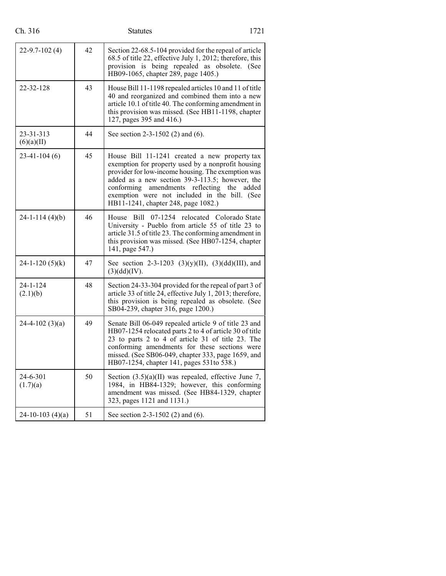| Ch. 316                 |    | <b>Statutes</b>                                                                                                                                                                                                                                                                                                                                 | 1721  |
|-------------------------|----|-------------------------------------------------------------------------------------------------------------------------------------------------------------------------------------------------------------------------------------------------------------------------------------------------------------------------------------------------|-------|
| $22 - 9.7 - 102(4)$     | 42 | Section 22-68.5-104 provided for the repeal of article<br>68.5 of title 22, effective July 1, 2012; therefore, this<br>provision is being repealed as obsolete. (See<br>HB09-1065, chapter 289, page 1405.)                                                                                                                                     |       |
| 22-32-128               | 43 | House Bill 11-1198 repealed articles 10 and 11 of title<br>40 and reorganized and combined them into a new<br>article 10.1 of title 40. The conforming amendment in<br>this provision was missed. (See HB11-1198, chapter<br>127, pages 395 and 416.)                                                                                           |       |
| 23-31-313<br>(6)(a)(II) | 44 | See section $2-3-1502$ (2) and (6).                                                                                                                                                                                                                                                                                                             |       |
| $23-41-104(6)$          | 45 | House Bill 11-1241 created a new property tax<br>exemption for property used by a nonprofit housing<br>provider for low-income housing. The exemption was<br>added as a new section 39-3-113.5; however, the<br>amendments reflecting the<br>conforming<br>exemption were not included in the bill. (See<br>HB11-1241, chapter 248, page 1082.) | added |
| $24-1-114(4)(b)$        | 46 | House Bill 07-1254 relocated Colorado State<br>University - Pueblo from article 55 of title 23 to<br>article 31.5 of title 23. The conforming amendment in<br>this provision was missed. (See HB07-1254, chapter<br>141, page 547.)                                                                                                             |       |
| $24 - 1 - 120$ (5)(k)   | 47 | See section 2-3-1203 (3)(y)(II), (3)(dd)(III), and<br>(3)(dd)(IV).                                                                                                                                                                                                                                                                              |       |
| 24-1-124<br>(2.1)(b)    | 48 | Section 24-33-304 provided for the repeal of part 3 of<br>article 33 of title 24, effective July 1, 2013; therefore,<br>this provision is being repealed as obsolete. (See<br>SB04-239, chapter 316, page 1200.)                                                                                                                                |       |
| $24-4-102(3)(a)$        | 49 | Senate Bill 06-049 repealed article 9 of title 23 and<br>HB07-1254 relocated parts 2 to 4 of article 30 of title<br>23 to parts 2 to 4 of article 31 of title 23. The<br>conforming amendments for these sections were<br>missed. (See SB06-049, chapter 333, page 1659, and<br>HB07-1254, chapter 141, pages 531 to 538.)                      |       |
| 24-6-301<br>(1.7)(a)    | 50 | Section $(3.5)(a)(II)$ was repealed, effective June 7,<br>1984, in HB84-1329; however, this conforming<br>amendment was missed. (See HB84-1329, chapter<br>323, pages 1121 and 1131.)                                                                                                                                                           |       |
| $24-10-103$ (4)(a)      | 51 | See section 2-3-1502 (2) and (6).                                                                                                                                                                                                                                                                                                               |       |
|                         |    |                                                                                                                                                                                                                                                                                                                                                 |       |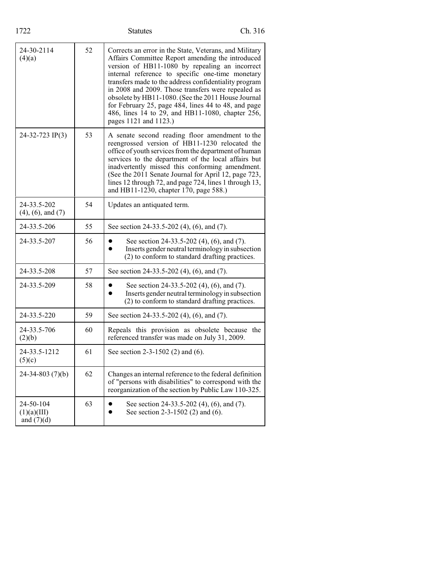| 1722                                     |    | <b>Statutes</b>                                                                                                                                                                                                                                                                                                                                                                                                                                                                                                           | Ch. 316 |
|------------------------------------------|----|---------------------------------------------------------------------------------------------------------------------------------------------------------------------------------------------------------------------------------------------------------------------------------------------------------------------------------------------------------------------------------------------------------------------------------------------------------------------------------------------------------------------------|---------|
| 24-30-2114<br>(4)(a)                     | 52 | Corrects an error in the State, Veterans, and Military<br>Affairs Committee Report amending the introduced<br>version of HB11-1080 by repealing an incorrect<br>internal reference to specific one-time monetary<br>transfers made to the address confidentiality program<br>in 2008 and 2009. Those transfers were repealed as<br>obsolete by HB11-1080. (See the 2011 House Journal<br>for February 25, page 484, lines 44 to 48, and page<br>486, lines 14 to 29, and HB11-1080, chapter 256,<br>pages 1121 and 1123.) |         |
| 24-32-723 IP(3)                          | 53 | A senate second reading floor amendment to the<br>reengrossed version of HB11-1230 relocated the<br>office of youth services from the department of human<br>services to the department of the local affairs but<br>inadvertently missed this conforming amendment.<br>(See the 2011 Senate Journal for April 12, page 723,<br>lines 12 through 72, and page 724, lines 1 through 13,<br>and HB11-1230, chapter 170, page 588.)                                                                                           |         |
| 24-33.5-202<br>$(4)$ , $(6)$ , and $(7)$ | 54 | Updates an antiquated term.                                                                                                                                                                                                                                                                                                                                                                                                                                                                                               |         |
| 24-33.5-206                              | 55 | See section 24-33.5-202 (4), (6), and (7).                                                                                                                                                                                                                                                                                                                                                                                                                                                                                |         |
| 24-33.5-207                              | 56 | See section 24-33.5-202 (4), (6), and (7).<br>Inserts gender neutral terminology in subsection<br>(2) to conform to standard drafting practices.                                                                                                                                                                                                                                                                                                                                                                          |         |
| 24-33.5-208                              | 57 | See section 24-33.5-202 (4), (6), and (7).                                                                                                                                                                                                                                                                                                                                                                                                                                                                                |         |
| 24-33.5-209                              | 58 | See section 24-33.5-202 (4), (6), and (7).<br>Inserts gender neutral terminology in subsection<br>(2) to conform to standard drafting practices.                                                                                                                                                                                                                                                                                                                                                                          |         |
| 24-33.5-220                              | 59 | See section 24-33.5-202 (4), (6), and (7).                                                                                                                                                                                                                                                                                                                                                                                                                                                                                |         |
| 24-33.5-706<br>(2)(b)                    | 60 | Repeals this provision as obsolete because the<br>referenced transfer was made on July 31, 2009.                                                                                                                                                                                                                                                                                                                                                                                                                          |         |
| 24-33.5-1212<br>(5)(c)                   | 61 | See section 2-3-1502 (2) and (6).                                                                                                                                                                                                                                                                                                                                                                                                                                                                                         |         |
| $24 - 34 - 803(7)(b)$                    | 62 | Changes an internal reference to the federal definition<br>of "persons with disabilities" to correspond with the<br>reorganization of the section by Public Law 110-325.                                                                                                                                                                                                                                                                                                                                                  |         |
| 24-50-104<br>(1)(a)(III)<br>and $(7)(d)$ | 63 | See section 24-33.5-202 (4), (6), and (7).<br>See section 2-3-1502 (2) and (6).                                                                                                                                                                                                                                                                                                                                                                                                                                           |         |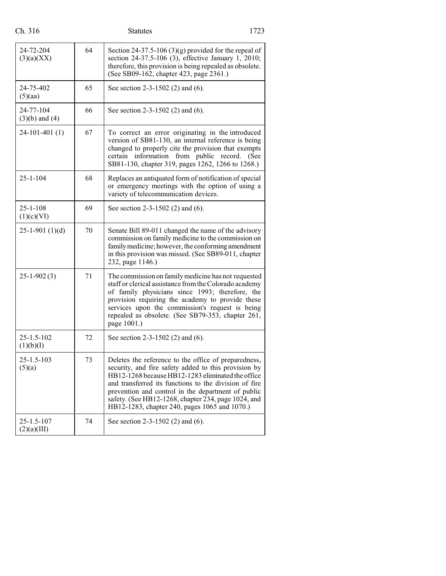| Ch. 316                         |    | <b>Statutes</b>                                                                                                                                                                                                                                                                                                                                                                          | 1723 |
|---------------------------------|----|------------------------------------------------------------------------------------------------------------------------------------------------------------------------------------------------------------------------------------------------------------------------------------------------------------------------------------------------------------------------------------------|------|
| 24-72-204<br>(3)(a)(XX)         | 64 | Section 24-37.5-106 (3)(g) provided for the repeal of<br>section 24-37.5-106 (3), effective January 1, 2010;<br>therefore, this provision is being repealed as obsolete.<br>(See SB09-162, chapter 423, page 2361.)                                                                                                                                                                      |      |
| 24-75-402<br>(5)(aa)            | 65 | See section 2-3-1502 (2) and (6).                                                                                                                                                                                                                                                                                                                                                        |      |
| 24-77-104<br>$(3)(b)$ and $(4)$ | 66 | See section 2-3-1502 (2) and (6).                                                                                                                                                                                                                                                                                                                                                        |      |
| $24-101-401(1)$                 | 67 | To correct an error originating in the introduced<br>version of SB81-130, an internal reference is being<br>changed to properly cite the provision that exempts<br>information from public record.<br>certain<br>SB81-130, chapter 319, pages 1262, 1266 to 1268.)                                                                                                                       | (See |
| $25 - 1 - 104$                  | 68 | Replaces an antiquated form of notification of special<br>or emergency meetings with the option of using a<br>variety of telecommunication devices.                                                                                                                                                                                                                                      |      |
| $25 - 1 - 108$<br>(1)(c)(VI)    | 69 | See section 2-3-1502 (2) and (6).                                                                                                                                                                                                                                                                                                                                                        |      |
| $25-1-901(1)(d)$                | 70 | Senate Bill 89-011 changed the name of the advisory<br>commission on family medicine to the commission on<br>family medicine; however, the conforming amendment<br>in this provision was missed. (See SB89-011, chapter<br>232, page 1146.)                                                                                                                                              |      |
| $25 - 1 - 902(3)$               | 71 | The commission on family medicine has not requested<br>staff or clerical assistance from the Colorado academy<br>of family physicians since 1993; therefore, the<br>provision requiring the academy to provide these<br>services upon the commission's request is being<br>repealed as obsolete. (See SB79-353, chapter 261,<br>page 1001.)                                              |      |
| $25 - 1.5 - 102$<br>(1)(b)(I)   | 72 | See section 2-3-1502 (2) and (6).                                                                                                                                                                                                                                                                                                                                                        |      |
| 25-1.5-103<br>(5)(a)            | 73 | Deletes the reference to the office of preparedness,<br>security, and fire safety added to this provision by<br>HB12-1268 because HB12-1283 eliminated the office<br>and transferred its functions to the division of fire<br>prevention and control in the department of public<br>safety. (See HB12-1268, chapter 234, page 1024, and<br>HB12-1283, chapter 240, pages 1065 and 1070.) |      |
| $25 - 1.5 - 107$<br>(2)(a)(III) | 74 | See section 2-3-1502 (2) and (6).                                                                                                                                                                                                                                                                                                                                                        |      |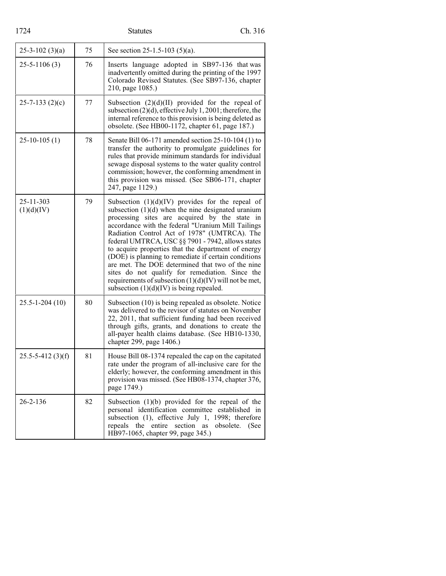| 1724                    |    | <b>Statutes</b>                                                                                                                                                                                                                                                                                                                                                                                                                                                                                                                                                                                                                                        | Ch. 316           |
|-------------------------|----|--------------------------------------------------------------------------------------------------------------------------------------------------------------------------------------------------------------------------------------------------------------------------------------------------------------------------------------------------------------------------------------------------------------------------------------------------------------------------------------------------------------------------------------------------------------------------------------------------------------------------------------------------------|-------------------|
| $25 - 3 - 102$ (3)(a)   | 75 | See section 25-1.5-103 (5)(a).                                                                                                                                                                                                                                                                                                                                                                                                                                                                                                                                                                                                                         |                   |
| $25 - 5 - 1106(3)$      | 76 | Inserts language adopted in SB97-136 that was<br>inadvertently omitted during the printing of the 1997<br>Colorado Revised Statutes. (See SB97-136, chapter<br>210, page 1085.)                                                                                                                                                                                                                                                                                                                                                                                                                                                                        |                   |
| $25 - 7 - 133$ (2)(c)   | 77 | Subsection $(2)(d)(II)$ provided for the repeal of<br>subsection $(2)(d)$ , effective July 1, 2001; therefore, the<br>internal reference to this provision is being deleted as<br>obsolete. (See HB00-1172, chapter 61, page 187.)                                                                                                                                                                                                                                                                                                                                                                                                                     |                   |
| $25-10-105(1)$          | 78 | Senate Bill 06-171 amended section 25-10-104 (1) to<br>transfer the authority to promulgate guidelines for<br>rules that provide minimum standards for individual<br>sewage disposal systems to the water quality control<br>commission; however, the conforming amendment in<br>this provision was missed. (See SB06-171, chapter<br>247, page 1129.)                                                                                                                                                                                                                                                                                                 |                   |
| 25-11-303<br>(1)(d)(IV) | 79 | Subsection $(1)(d)(IV)$ provides for the repeal of<br>subsection $(1)(d)$ when the nine designated uranium<br>processing sites are acquired by the state in<br>accordance with the federal "Uranium Mill Tailings<br>Radiation Control Act of 1978" (UMTRCA). The<br>federal UMTRCA, USC §§ 7901 - 7942, allows states<br>to acquire properties that the department of energy<br>(DOE) is planning to remediate if certain conditions<br>are met. The DOE determined that two of the nine<br>sites do not qualify for remediation. Since the<br>requirements of subsection $(1)(d)(IV)$ will not be met,<br>subsection $(1)(d)(IV)$ is being repealed. |                   |
| $25.5 - 1 - 204(10)$    | 80 | Subsection (10) is being repealed as obsolete. Notice<br>was delivered to the revisor of statutes on November<br>22, 2011, that sufficient funding had been received<br>through gifts, grants, and donations to create the<br>all-payer health claims database. (See HB10-1330,<br>chapter 299, page 1406.)                                                                                                                                                                                                                                                                                                                                            |                   |
| $25.5 - 5 - 412(3)(f)$  | 81 | House Bill 08-1374 repealed the cap on the capitated<br>rate under the program of all-inclusive care for the<br>elderly; however, the conforming amendment in this<br>provision was missed. (See HB08-1374, chapter 376,<br>page 1749.)                                                                                                                                                                                                                                                                                                                                                                                                                |                   |
| $26 - 2 - 136$          | 82 | Subsection $(1)(b)$ provided for the repeal of the<br>personal identification committee established in<br>subsection (1), effective July 1, 1998; therefore<br>the<br>entire<br>section<br>repeals<br>as<br>HB97-1065, chapter 99, page 345.)                                                                                                                                                                                                                                                                                                                                                                                                          | obsolete.<br>(See |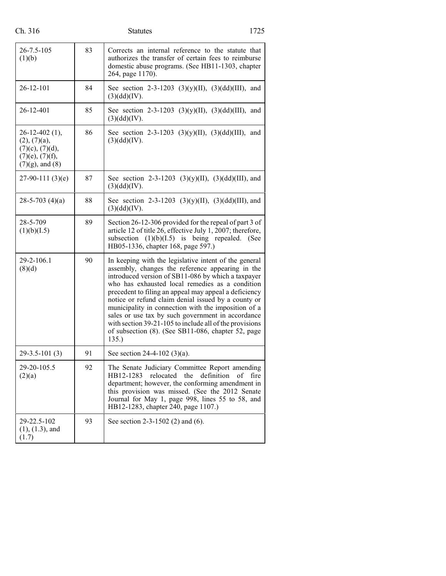| п. | г |
|----|---|
|    |   |

# Statutes 1725

| $26 - 7.5 - 105$<br>(1)(b)                                                                                     | 83 | Corrects an internal reference to the statute that<br>authorizes the transfer of certain fees to reimburse<br>domestic abuse programs. (See HB11-1303, chapter<br>264, page 1170).                                                                                                                                                                                                                                                                                                                                                                                      |
|----------------------------------------------------------------------------------------------------------------|----|-------------------------------------------------------------------------------------------------------------------------------------------------------------------------------------------------------------------------------------------------------------------------------------------------------------------------------------------------------------------------------------------------------------------------------------------------------------------------------------------------------------------------------------------------------------------------|
| $26 - 12 - 101$                                                                                                | 84 | See section 2-3-1203 (3)(y)(II), (3)(dd)(III), and<br>(3)(dd)(IV).                                                                                                                                                                                                                                                                                                                                                                                                                                                                                                      |
| 26-12-401                                                                                                      | 85 | See section 2-3-1203 (3)(y)(II), (3)(dd)(III), and<br>(3)(dd)(IV).                                                                                                                                                                                                                                                                                                                                                                                                                                                                                                      |
| $26 - 12 - 402$ (1),<br>(2), (7)(a),<br>$(7)(c)$ , $(7)(d)$ ,<br>$(7)(e)$ , $(7)(f)$ ,<br>$(7)(g)$ , and $(8)$ | 86 | See section 2-3-1203 (3)(y)(II), (3)(dd)(III), and<br>(3)(dd)(IV).                                                                                                                                                                                                                                                                                                                                                                                                                                                                                                      |
| $27-90-111(3)(e)$                                                                                              | 87 | See section 2-3-1203 (3)(y)(II), (3)(dd)(III), and<br>(3)(dd)(IV).                                                                                                                                                                                                                                                                                                                                                                                                                                                                                                      |
| $28 - 5 - 703$ (4)(a)                                                                                          | 88 | See section 2-3-1203 (3)(y)(II), (3)(dd)(III), and<br>(3)(dd)(IV).                                                                                                                                                                                                                                                                                                                                                                                                                                                                                                      |
| 28-5-709<br>(1)(b)(I.5)                                                                                        | 89 | Section 26-12-306 provided for the repeal of part 3 of<br>article 12 of title 26, effective July 1, 2007; therefore,<br>subsection $(1)(b)(I.5)$ is being repealed. (See<br>HB05-1336, chapter 168, page 597.)                                                                                                                                                                                                                                                                                                                                                          |
| 29-2-106.1<br>(8)(d)                                                                                           | 90 | In keeping with the legislative intent of the general<br>assembly, changes the reference appearing in the<br>introduced version of SB11-086 by which a taxpayer<br>who has exhausted local remedies as a condition<br>precedent to filing an appeal may appeal a deficiency<br>notice or refund claim denial issued by a county or<br>municipality in connection with the imposition of a<br>sales or use tax by such government in accordance<br>with section 39-21-105 to include all of the provisions<br>of subsection (8). (See SB11-086, chapter 52, page<br>135. |
| $29-3.5-101(3)$                                                                                                | 91 | See section 24-4-102 (3)(a).                                                                                                                                                                                                                                                                                                                                                                                                                                                                                                                                            |
| 29-20-105.5<br>(2)(a)                                                                                          | 92 | The Senate Judiciary Committee Report amending<br>HB12-1283 relocated the definition of fire<br>department; however, the conforming amendment in<br>this provision was missed. (See the 2012 Senate<br>Journal for May 1, page 998, lines 55 to 58, and<br>HB12-1283, chapter 240, page 1107.)                                                                                                                                                                                                                                                                          |
| 29-22.5-102<br>$(1), (1.3),$ and<br>(1.7)                                                                      | 93 | See section $2-3-1502$ (2) and (6).                                                                                                                                                                                                                                                                                                                                                                                                                                                                                                                                     |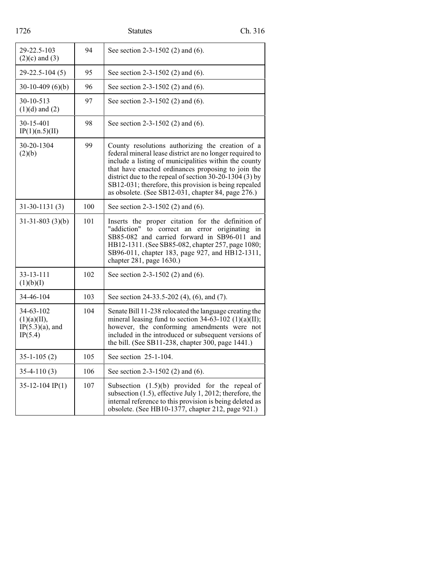| 1726                                                            | Ch. 316<br><b>Statutes</b> |                                                                                                                                                                                                                                                                                                                                                                                                         |  |
|-----------------------------------------------------------------|----------------------------|---------------------------------------------------------------------------------------------------------------------------------------------------------------------------------------------------------------------------------------------------------------------------------------------------------------------------------------------------------------------------------------------------------|--|
| 29-22.5-103<br>$(2)(c)$ and $(3)$                               | 94                         | See section 2-3-1502 (2) and (6).                                                                                                                                                                                                                                                                                                                                                                       |  |
| $29 - 22.5 - 104(5)$                                            | 95                         | See section $2-3-1502$ (2) and (6).                                                                                                                                                                                                                                                                                                                                                                     |  |
| $30-10-409(6)(b)$                                               | 96                         | See section 2-3-1502 (2) and (6).                                                                                                                                                                                                                                                                                                                                                                       |  |
| 30-10-513<br>$(1)(d)$ and $(2)$                                 | 97                         | See section 2-3-1502 (2) and (6).                                                                                                                                                                                                                                                                                                                                                                       |  |
| 30-15-401<br>IP(1)(n.5)(II)                                     | 98                         | See section 2-3-1502 (2) and (6).                                                                                                                                                                                                                                                                                                                                                                       |  |
| 30-20-1304<br>(2)(b)                                            | 99                         | County resolutions authorizing the creation of a<br>federal mineral lease district are no longer required to<br>include a listing of municipalities within the county<br>that have enacted ordinances proposing to join the<br>district due to the repeal of section $30-20-1304$ (3) by<br>SB12-031; therefore, this provision is being repealed<br>as obsolete. (See SB12-031, chapter 84, page 276.) |  |
| $31 - 30 - 1131(3)$                                             | 100                        | See section 2-3-1502 (2) and (6).                                                                                                                                                                                                                                                                                                                                                                       |  |
| $31-31-803$ (3)(b)                                              | 101                        | Inserts the proper citation for the definition of<br>"addiction" to correct an error originating in<br>SB85-082 and carried forward in SB96-011 and<br>HB12-1311. (See SB85-082, chapter 257, page 1080;<br>SB96-011, chapter 183, page 927, and HB12-1311,<br>chapter 281, page 1630.)                                                                                                                 |  |
| 33-13-111<br>(1)(b)(I)                                          | 102                        | See section $2-3-1502$ (2) and (6).                                                                                                                                                                                                                                                                                                                                                                     |  |
| 34-46-104                                                       | 103                        | See section 24-33.5-202 (4), (6), and (7).                                                                                                                                                                                                                                                                                                                                                              |  |
| $34 - 63 - 102$<br>(1)(a)(II),<br>$IP(5.3)(a)$ , and<br>IP(5.4) | 104                        | Senate Bill 11-238 relocated the language creating the<br>mineral leasing fund to section $34-63-102$ (1)(a)(II);<br>however, the conforming amendments were not<br>included in the introduced or subsequent versions of<br>the bill. (See SB11-238, chapter 300, page 1441.)                                                                                                                           |  |
| $35 - 1 - 105(2)$                                               | 105                        | See section 25-1-104.                                                                                                                                                                                                                                                                                                                                                                                   |  |
| $35-4-110(3)$                                                   | 106                        | See section 2-3-1502 (2) and (6).                                                                                                                                                                                                                                                                                                                                                                       |  |
| $35-12-104$ IP(1)                                               | 107                        | Subsection $(1.5)(b)$ provided for the repeal of<br>subsection $(1.5)$ , effective July 1, 2012; therefore, the<br>internal reference to this provision is being deleted as<br>obsolete. (See HB10-1377, chapter 212, page 921.)                                                                                                                                                                        |  |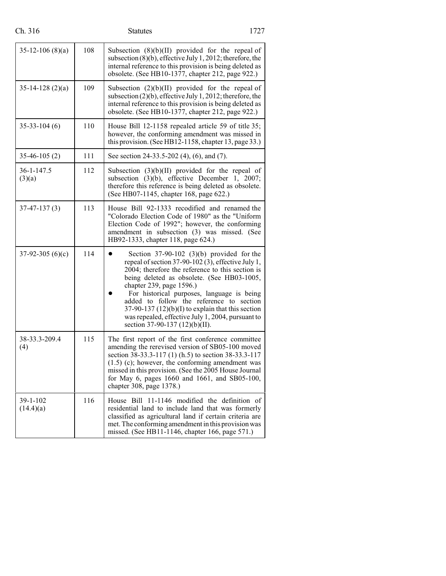| Ch. 316               |     | 1727<br><b>Statutes</b>                                                                                                                                                                                                                                                                                                                                                                                                                                                |
|-----------------------|-----|------------------------------------------------------------------------------------------------------------------------------------------------------------------------------------------------------------------------------------------------------------------------------------------------------------------------------------------------------------------------------------------------------------------------------------------------------------------------|
| $35-12-106(8)(a)$     | 108 | Subsection $(8)(b)(II)$ provided for the repeal of<br>subsection $(8)(b)$ , effective July 1, 2012; therefore, the<br>internal reference to this provision is being deleted as<br>obsolete. (See HB10-1377, chapter 212, page 922.)                                                                                                                                                                                                                                    |
| $35-14-128(2)(a)$     | 109 | Subsection $(2)(b)(II)$ provided for the repeal of<br>subsection $(2)(b)$ , effective July 1, 2012; therefore, the<br>internal reference to this provision is being deleted as<br>obsolete. (See HB10-1377, chapter 212, page 922.)                                                                                                                                                                                                                                    |
| $35 - 33 - 104(6)$    | 110 | House Bill 12-1158 repealed article 59 of title 35;<br>however, the conforming amendment was missed in<br>this provision. (See HB12-1158, chapter 13, page 33.)                                                                                                                                                                                                                                                                                                        |
| $35-46-105(2)$        | 111 | See section 24-33.5-202 (4), (6), and (7).                                                                                                                                                                                                                                                                                                                                                                                                                             |
| 36-1-147.5<br>(3)(a)  | 112 | Subsection $(3)(b)(II)$ provided for the repeal of<br>subsection $(3)(b)$ , effective December 1, 2007;<br>therefore this reference is being deleted as obsolete.<br>(See HB07-1145, chapter 168, page 622.)                                                                                                                                                                                                                                                           |
| $37-47-137(3)$        | 113 | House Bill 92-1333 recodified and renamed the<br>"Colorado Election Code of 1980" as the "Uniform<br>Election Code of 1992"; however, the conforming<br>amendment in subsection (3) was missed. (See<br>HB92-1333, chapter 118, page 624.)                                                                                                                                                                                                                             |
| $37-92-305(6)(c)$     | 114 | Section $37-90-102$ (3)(b) provided for the<br>repeal of section 37-90-102 (3), effective July 1,<br>2004; therefore the reference to this section is<br>being deleted as obsolete. (See HB03-1005,<br>chapter 239, page 1596.)<br>For historical purposes, language is being<br>added to follow the reference to section<br>$37-90-137(12)(b)(I)$ to explain that this section<br>was repealed, effective July 1, 2004, pursuant to<br>section 37-90-137 (12)(b)(II). |
| 38-33.3-209.4<br>(4)  | 115 | The first report of the first conference committee<br>amending the rerevised version of SB05-100 moved<br>section 38-33.3-117 (1) (h.5) to section 38-33.3-117<br>$(1.5)$ (c); however, the conforming amendment was<br>missed in this provision. (See the 2005 House Journal<br>for May 6, pages 1660 and 1661, and SB05-100,<br>chapter 308, page 1378.)                                                                                                             |
| 39-1-102<br>(14.4)(a) | 116 | House Bill 11-1146 modified the definition of<br>residential land to include land that was formerly<br>classified as agricultural land if certain criteria are<br>met. The conforming amendment in this provision was<br>missed. (See HB11-1146, chapter 166, page 571.)                                                                                                                                                                                               |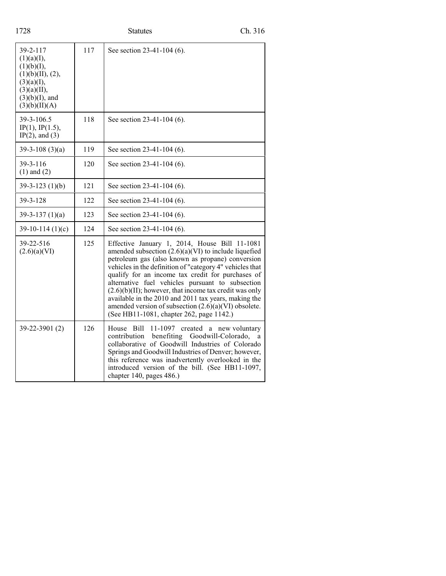| 1728                                                                                                                        |     | <b>Statutes</b>                                                                                                                                                                                                                                                                                                                                                                                                                                                                                                                                           | Ch. 316            |
|-----------------------------------------------------------------------------------------------------------------------------|-----|-----------------------------------------------------------------------------------------------------------------------------------------------------------------------------------------------------------------------------------------------------------------------------------------------------------------------------------------------------------------------------------------------------------------------------------------------------------------------------------------------------------------------------------------------------------|--------------------|
| 39-2-117<br>(1)(a)(I),<br>(1)(b)(I),<br>(1)(b)(II), (2),<br>(3)(a)(I),<br>(3)(a)(II),<br>$(3)(b)(I)$ , and<br>(3)(b)(II)(A) | 117 | See section 23-41-104 (6).                                                                                                                                                                                                                                                                                                                                                                                                                                                                                                                                |                    |
| 39-3-106.5<br>IP(1), IP(1.5),<br>$IP(2)$ , and $(3)$                                                                        | 118 | See section 23-41-104 (6).                                                                                                                                                                                                                                                                                                                                                                                                                                                                                                                                |                    |
| $39-3-108(3)(a)$                                                                                                            | 119 | See section 23-41-104 (6).                                                                                                                                                                                                                                                                                                                                                                                                                                                                                                                                |                    |
| 39-3-116<br>$(1)$ and $(2)$                                                                                                 | 120 | See section 23-41-104 (6).                                                                                                                                                                                                                                                                                                                                                                                                                                                                                                                                |                    |
| $39-3-123(1)(b)$                                                                                                            | 121 | See section 23-41-104 (6).                                                                                                                                                                                                                                                                                                                                                                                                                                                                                                                                |                    |
| $39 - 3 - 128$                                                                                                              | 122 | See section 23-41-104 (6).                                                                                                                                                                                                                                                                                                                                                                                                                                                                                                                                |                    |
| $39-3-137(1)(a)$                                                                                                            | 123 | See section 23-41-104 (6).                                                                                                                                                                                                                                                                                                                                                                                                                                                                                                                                |                    |
| $39-10-114(1)(c)$                                                                                                           | 124 | See section 23-41-104 (6).                                                                                                                                                                                                                                                                                                                                                                                                                                                                                                                                |                    |
| 39-22-516<br>(2.6)(a)(VI)                                                                                                   | 125 | Effective January 1, 2014, House Bill 11-1081<br>amended subsection $(2.6)(a)(VI)$ to include liquefied<br>petroleum gas (also known as propane) conversion<br>vehicles in the definition of "category 4" vehicles that<br>qualify for an income tax credit for purchases of<br>alternative fuel vehicles pursuant to subsection<br>$(2.6)(b)(II)$ ; however, that income tax credit was only<br>available in the 2010 and 2011 tax years, making the<br>amended version of subsection (2.6)(a)(VI) obsolete.<br>(See HB11-1081, chapter 262, page 1142.) |                    |
| 39-22-3901 (2)                                                                                                              | 126 | 11-1097 created a<br>House Bill<br>contribution benefiting Goodwill-Colorado,<br>collaborative of Goodwill Industries of Colorado<br>Springs and Goodwill Industries of Denver; however,<br>this reference was inadvertently overlooked in the<br>introduced version of the bill. (See HB11-1097,<br>chapter 140, pages 486.)                                                                                                                                                                                                                             | new voluntary<br>a |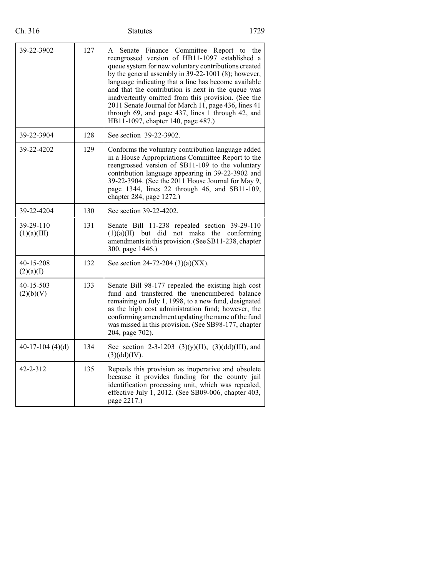| 39-22-3902               | 127 | A Senate Finance Committee Report to the<br>reengrossed version of HB11-1097 established a<br>queue system for new voluntary contributions created<br>by the general assembly in $39-22-1001$ (8); however,<br>language indicating that a line has become available<br>and that the contribution is next in the queue was<br>inadvertently omitted from this provision. (See the<br>2011 Senate Journal for March 11, page 436, lines 41<br>through 69, and page 437, lines 1 through 42, and<br>HB11-1097, chapter 140, page 487.) |
|--------------------------|-----|-------------------------------------------------------------------------------------------------------------------------------------------------------------------------------------------------------------------------------------------------------------------------------------------------------------------------------------------------------------------------------------------------------------------------------------------------------------------------------------------------------------------------------------|
| 39-22-3904               | 128 | See section 39-22-3902.                                                                                                                                                                                                                                                                                                                                                                                                                                                                                                             |
| 39-22-4202               | 129 | Conforms the voluntary contribution language added<br>in a House Appropriations Committee Report to the<br>reengrossed version of SB11-109 to the voluntary<br>contribution language appearing in 39-22-3902 and<br>39-22-3904. (See the 2011 House Journal for May 9,<br>page 1344, lines 22 through 46, and SB11-109,<br>chapter 284, page 1272.)                                                                                                                                                                                 |
| 39-22-4204               | 130 | See section 39-22-4202.                                                                                                                                                                                                                                                                                                                                                                                                                                                                                                             |
| 39-29-110<br>(1)(a)(III) | 131 | Senate Bill 11-238 repealed section 39-29-110<br>but did not make the conforming<br>(1)(a)(II)<br>amendments in this provision. (See SB11-238, chapter<br>300, page 1446.)                                                                                                                                                                                                                                                                                                                                                          |
| 40-15-208<br>(2)(a)(I)   | 132 | See section 24-72-204 (3)(a)(XX).                                                                                                                                                                                                                                                                                                                                                                                                                                                                                                   |
| 40-15-503<br>(2)(b)(V)   | 133 | Senate Bill 98-177 repealed the existing high cost<br>fund and transferred the unencumbered balance<br>remaining on July 1, 1998, to a new fund, designated<br>as the high cost administration fund; however, the<br>conforming amendment updating the name of the fund<br>was missed in this provision. (See SB98-177, chapter<br>204, page 702).                                                                                                                                                                                  |
| 40-17-104 $(4)(d)$       | 134 | See section 2-3-1203 (3)(y)(II), (3)(dd)(III), and<br>(3)(dd)(IV).                                                                                                                                                                                                                                                                                                                                                                                                                                                                  |
| 42-2-312                 | 135 | Repeals this provision as inoperative and obsolete<br>because it provides funding for the county jail<br>identification processing unit, which was repealed,<br>effective July 1, 2012. (See SB09-006, chapter 403,<br>page 2217.)                                                                                                                                                                                                                                                                                                  |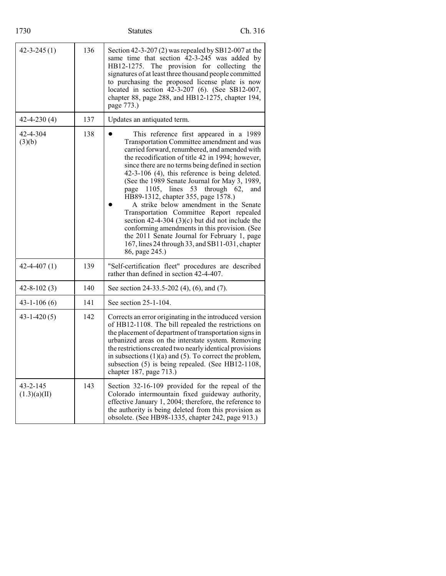| 1730                           |     | <b>Statutes</b>                                                                                                                                                                                                                                                                                                                                                                                                                                                                                                                                                                                                                                                                                                                 | Ch. 316               |
|--------------------------------|-----|---------------------------------------------------------------------------------------------------------------------------------------------------------------------------------------------------------------------------------------------------------------------------------------------------------------------------------------------------------------------------------------------------------------------------------------------------------------------------------------------------------------------------------------------------------------------------------------------------------------------------------------------------------------------------------------------------------------------------------|-----------------------|
| $42 - 3 - 245(1)$              | 136 | Section 42-3-207 (2) was repealed by SB12-007 at the<br>same time that section 42-3-245 was added by<br>HB12-1275. The provision for collecting the<br>signatures of at least three thousand people committed<br>to purchasing the proposed license plate is now<br>located in section 42-3-207 (6). (See SB12-007,<br>chapter 88, page 288, and HB12-1275, chapter 194,<br>page 773.)                                                                                                                                                                                                                                                                                                                                          |                       |
| $42 - 4 - 230(4)$              | 137 | Updates an antiquated term.                                                                                                                                                                                                                                                                                                                                                                                                                                                                                                                                                                                                                                                                                                     |                       |
| 42-4-304<br>(3)(b)             | 138 | This reference first appeared in a 1989<br>Transportation Committee amendment and was<br>carried forward, renumbered, and amended with<br>the recodification of title 42 in 1994; however,<br>since there are no terms being defined in section<br>42-3-106 (4), this reference is being deleted.<br>(See the 1989 Senate Journal for May 3, 1989,<br>page 1105, lines 53<br>HB89-1312, chapter 355, page 1578.)<br>A strike below amendment in the Senate<br>Transportation Committee Report repealed<br>section 42-4-304 (3)(c) but did not include the<br>conforming amendments in this provision. (See<br>the 2011 Senate Journal for February 1, page<br>167, lines 24 through 33, and SB11-031, chapter<br>86, page 245.) | through $62$ ,<br>and |
| $42 - 4 - 407(1)$              | 139 | "Self-certification fleet" procedures are described<br>rather than defined in section 42-4-407.                                                                                                                                                                                                                                                                                                                                                                                                                                                                                                                                                                                                                                 |                       |
| $42 - 8 - 102(3)$              | 140 | See section 24-33.5-202 (4), (6), and (7).                                                                                                                                                                                                                                                                                                                                                                                                                                                                                                                                                                                                                                                                                      |                       |
| $43 - 1 - 106(6)$              | 141 | See section 25-1-104.                                                                                                                                                                                                                                                                                                                                                                                                                                                                                                                                                                                                                                                                                                           |                       |
| $43 - 1 - 420(5)$              | 142 | Corrects an error originating in the introduced version<br>of HB12-1108. The bill repealed the restrictions on<br>the placement of department of transportation signs in<br>urbanized areas on the interstate system. Removing<br>the restrictions created two nearly identical provisions<br>in subsections $(1)(a)$ and $(5)$ . To correct the problem,<br>subsection (5) is being repealed. (See HB12-1108,<br>chapter 187, page 713.)                                                                                                                                                                                                                                                                                       |                       |
| $43 - 2 - 145$<br>(1.3)(a)(II) | 143 | Section 32-16-109 provided for the repeal of the<br>Colorado intermountain fixed guideway authority,<br>effective January 1, 2004; therefore, the reference to<br>the authority is being deleted from this provision as<br>obsolete. (See HB98-1335, chapter 242, page 913.)                                                                                                                                                                                                                                                                                                                                                                                                                                                    |                       |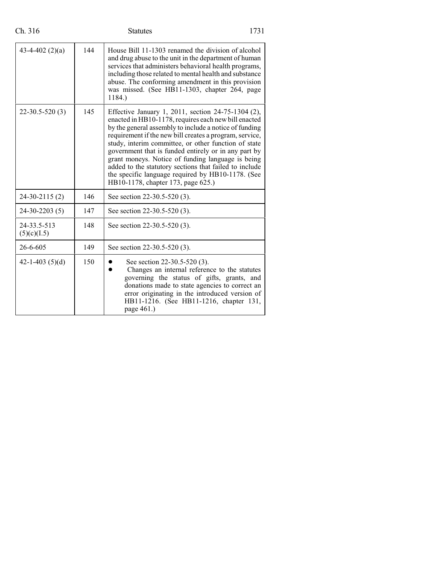| Ch. 316                    |     | <b>Statutes</b>                                                                                                                                                                                                                                                                                                                                                                                                                                                                                                                                           | 1731 |
|----------------------------|-----|-----------------------------------------------------------------------------------------------------------------------------------------------------------------------------------------------------------------------------------------------------------------------------------------------------------------------------------------------------------------------------------------------------------------------------------------------------------------------------------------------------------------------------------------------------------|------|
| 43-4-402 $(2)(a)$          | 144 | House Bill 11-1303 renamed the division of alcohol<br>and drug abuse to the unit in the department of human<br>services that administers behavioral health programs,<br>including those related to mental health and substance<br>abuse. The conforming amendment in this provision<br>was missed. (See HB11-1303, chapter 264, page<br>1184.)                                                                                                                                                                                                            |      |
| $22 - 30.5 - 520(3)$       | 145 | Effective January 1, 2011, section 24-75-1304 (2),<br>enacted in HB10-1178, requires each new bill enacted<br>by the general assembly to include a notice of funding<br>requirement if the new bill creates a program, service,<br>study, interim committee, or other function of state<br>government that is funded entirely or in any part by<br>grant moneys. Notice of funding language is being<br>added to the statutory sections that failed to include<br>the specific language required by HB10-1178. (See<br>HB10-1178, chapter 173, page 625.) |      |
| $24 - 30 - 2115(2)$        | 146 | See section 22-30.5-520 (3).                                                                                                                                                                                                                                                                                                                                                                                                                                                                                                                              |      |
| $24-30-2203(5)$            | 147 | See section 22-30.5-520 (3).                                                                                                                                                                                                                                                                                                                                                                                                                                                                                                                              |      |
| 24-33.5-513<br>(5)(c)(I.5) | 148 | See section 22-30.5-520 (3).                                                                                                                                                                                                                                                                                                                                                                                                                                                                                                                              |      |
| $26 - 6 - 605$             | 149 | See section 22-30.5-520 (3).                                                                                                                                                                                                                                                                                                                                                                                                                                                                                                                              |      |
| 42-1-403 $(5)(d)$          | 150 | See section 22-30.5-520 (3).<br>Changes an internal reference to the statutes<br>governing the status of gifts, grants, and<br>donations made to state agencies to correct an<br>error originating in the introduced version of<br>HB11-1216. (See HB11-1216, chapter 131,<br>page 461.)                                                                                                                                                                                                                                                                  |      |